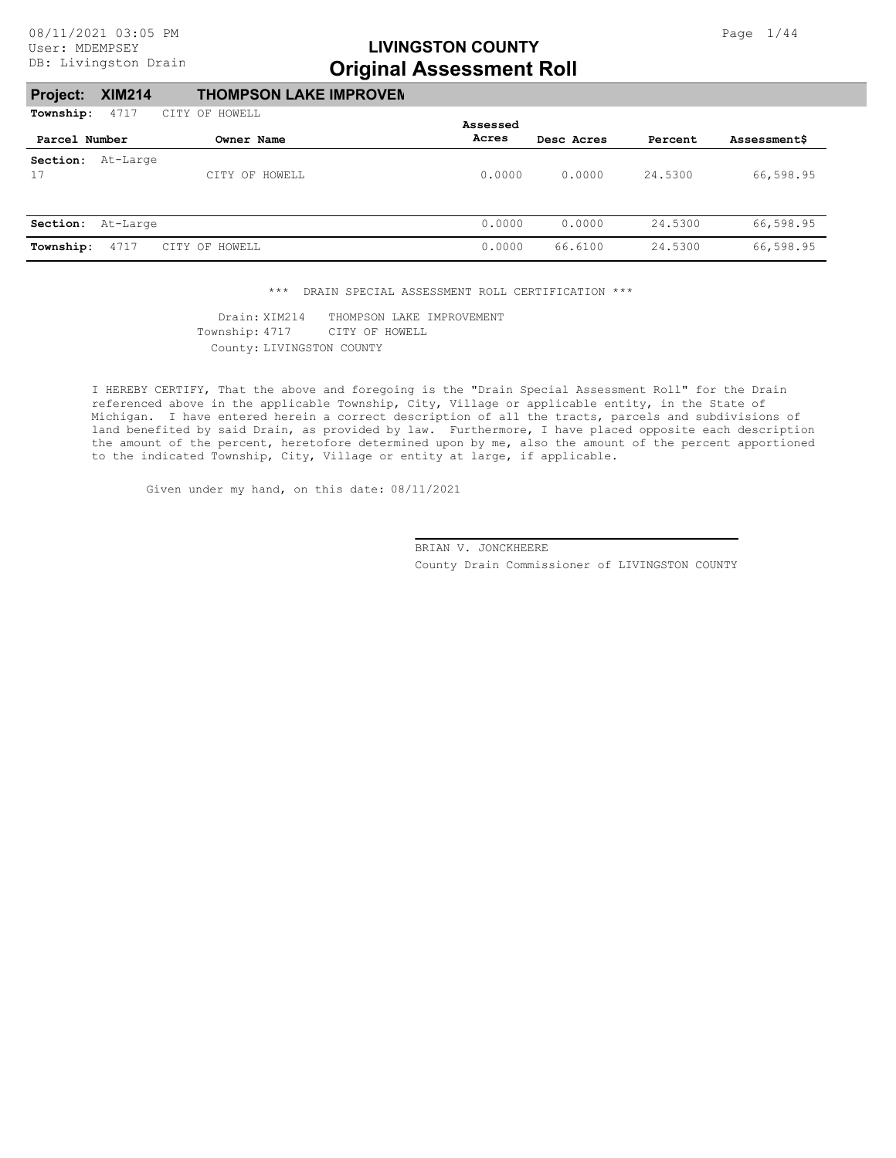#### **Project: XIM214 THOMPSON LAKE IMPROVEM**

| Township:     | 4717     | CITY OF HOWELL |          |            |         |                     |
|---------------|----------|----------------|----------|------------|---------|---------------------|
|               |          |                | Assessed |            |         |                     |
| Parcel Number |          | Owner Name     | Acres    | Desc Acres | Percent | <b>Assessment\$</b> |
| Section:      | At-Large |                |          |            |         |                     |
| 17            |          | CITY OF HOWELL | 0.0000   | 0.0000     | 24.5300 | 66,598.95           |
|               |          |                |          |            |         |                     |
| Section:      | At-Large |                | 0.0000   | 0.0000     | 24.5300 | 66,598.95           |
| Township:     | 4717     | CITY OF HOWELL | 0.0000   | 66.6100    | 24.5300 | 66,598.95           |

\*\*\* DRAIN SPECIAL ASSESSMENT ROLL CERTIFICATION \*\*\*

County: LIVINGSTON COUNTY Township: 4717 CITY OF HOWELL Drain: XIM214 THOMPSON LAKE IMPROVEMENT

I HEREBY CERTIFY, That the above and foregoing is the "Drain Special Assessment Roll" for the Drain referenced above in the applicable Township, City, Village or applicable entity, in the State of Michigan. I have entered herein a correct description of all the tracts, parcels and subdivisions of land benefited by said Drain, as provided by law. Furthermore, I have placed opposite each description the amount of the percent, heretofore determined upon by me, also the amount of the percent apportioned to the indicated Township, City, Village or entity at large, if applicable.

Given under my hand, on this date: 08/11/2021

County Drain Commissioner of LIVINGSTON COUNTY BRIAN V. JONCKHEERE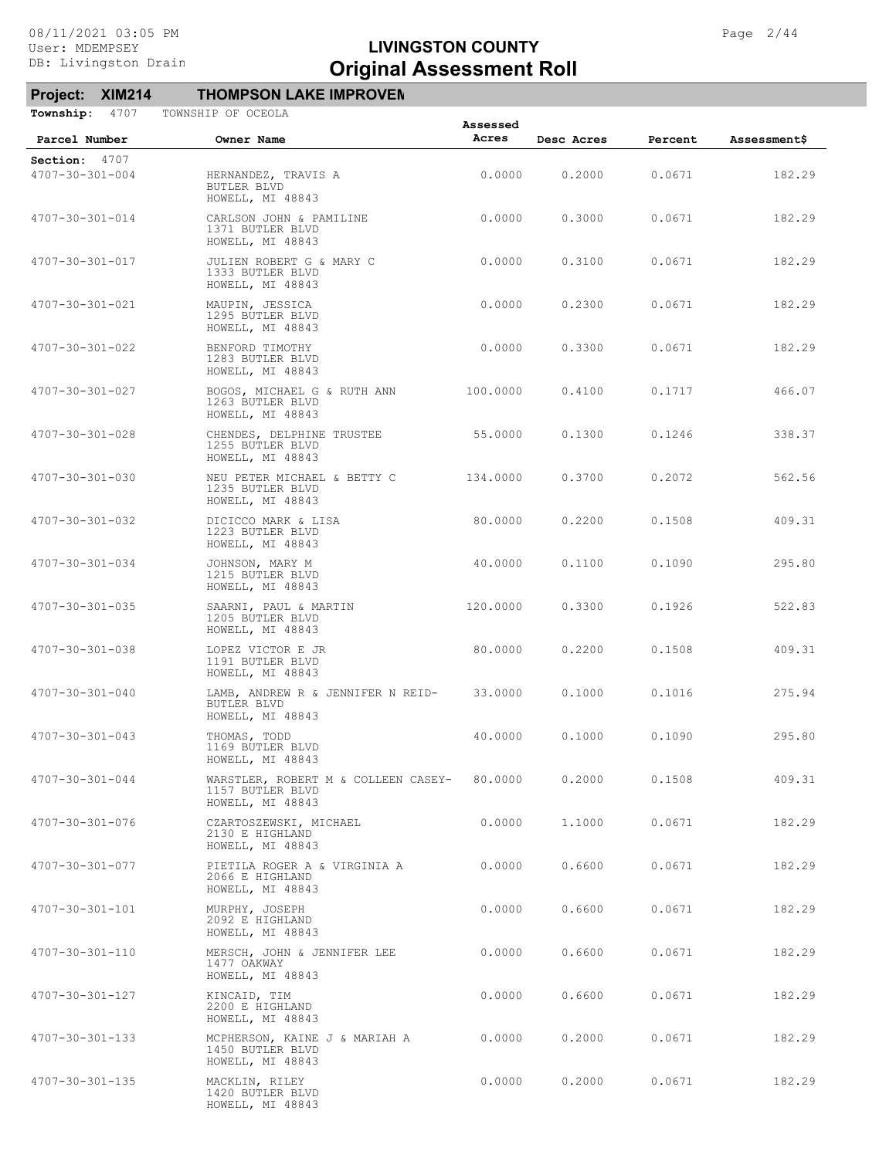#### **Project: XIM214 THOMPSON LAKE IMPROVEM**

| Section: 4707           |                                                                             |          |        |        |        |
|-------------------------|-----------------------------------------------------------------------------|----------|--------|--------|--------|
| 4707-30-301-004         | HERNANDEZ, TRAVIS A<br>BUTLER BLVD<br>HOWELL, MI 48843                      | 0.0000   | 0.2000 | 0.0671 | 182.29 |
| 4707-30-301-014         | CARLSON JOHN & PAMILINE<br>1371 BUTLER BLVD<br>HOWELL, MI 48843             | 0.0000   | 0.3000 | 0.0671 | 182.29 |
| 4707-30-301-017         | JULIEN ROBERT G & MARY C<br>1333 BUTLER BLVD<br>HOWELL, MI 48843            | 0.0000   | 0.3100 | 0.0671 | 182.29 |
| 4707-30-301-021         | MAUPIN, JESSICA<br>1295 BUTLER BLVD<br>HOWELL, MI 48843                     | 0.0000   | 0.2300 | 0.0671 | 182.29 |
| 4707-30-301-022         | BENFORD TIMOTHY<br>1283 BUTLER BLVD<br>HOWELL, MI 48843                     | 0.0000   | 0.3300 | 0.0671 | 182.29 |
| 4707-30-301-027         | BOGOS, MICHAEL G & RUTH ANN<br>1263 BUTLER BLVD<br>HOWELL, MI 48843         | 100.0000 | 0.4100 | 0.1717 | 466.07 |
| 4707-30-301-028         | CHENDES, DELPHINE TRUSTEE<br>1255 BUTLER BLVD<br>HOWELL, MI 48843           | 55.0000  | 0.1300 | 0.1246 | 338.37 |
| 4707-30-301-030         | NEU PETER MICHAEL & BETTY C<br>1235 BUTLER BLVD<br>HOWELL, MI 48843         | 134,0000 | 0.3700 | 0.2072 | 562.56 |
| 4707-30-301-032         | DICICCO MARK & LISA<br>1223 BUTLER BLVD<br>HOWELL, MI 48843                 | 80.0000  | 0.2200 | 0.1508 | 409.31 |
| 4707-30-301-034         | JOHNSON, MARY M<br>1215 BUTLER BLVD<br>HOWELL, MI 48843                     | 40.0000  | 0.1100 | 0.1090 | 295.80 |
| 4707-30-301-035         | SAARNI, PAUL & MARTIN<br>1205 BUTLER BLVD<br>HOWELL, MI 48843               | 120.0000 | 0.3300 | 0.1926 | 522.83 |
| 4707-30-301-038         | LOPEZ VICTOR E JR<br>1191 BUTLER BLVD<br>HOWELL, MI 48843                   | 80.0000  | 0.2200 | 0.1508 | 409.31 |
| 4707-30-301-040         | LAMB, ANDREW R & JENNIFER N REID-<br>BUTLER BLVD<br>HOWELL, MI 48843        | 33.0000  | 0.1000 | 0.1016 | 275.94 |
| $4707 - 30 - 301 - 043$ | THOMAS, TODD<br>1169 BUTLER BLVD<br>HOWELL, MI 48843                        | 40.0000  | 0.1000 | 0.1090 | 295.80 |
| 4707-30-301-044         | WARSTLER, ROBERT M & COLLEEN CASEY-<br>1157 BUTLER BLVD<br>HOWELL, MI 48843 | 80,0000  | 0.2000 | 0.1508 | 409.31 |
| 4707-30-301-076         | CZARTOSZEWSKI, MICHAEL<br>2130 E HIGHLAND<br>HOWELL, MI 48843               | 0.0000   | 1.1000 | 0.0671 | 182.29 |
| 4707-30-301-077         | PIETILA ROGER A & VIRGINIA A<br>2066 E HIGHLAND<br>HOWELL, MI 48843         | 0.0000   | 0.6600 | 0.0671 | 182.29 |
| 4707-30-301-101         | MURPHY, JOSEPH<br>2092 E HIGHLAND<br>HOWELL, MI 48843                       | 0.0000   | 0.6600 | 0.0671 | 182.29 |
| 4707-30-301-110         | MERSCH, JOHN & JENNIFER LEE<br>1477 OAKWAY<br>HOWELL, MI 48843              | 0.0000   | 0.6600 | 0.0671 | 182.29 |
| 4707-30-301-127         | KINCAID, TIM<br>2200 E HIGHLAND<br>HOWELL, MI 48843                         | 0.0000   | 0.6600 | 0.0671 | 182.29 |
| 4707-30-301-133         | MCPHERSON, KAINE J & MARIAH A<br>1450 BUTLER BLVD<br>HOWELL, MI 48843       | 0.0000   | 0.2000 | 0.0671 | 182.29 |
| 4707-30-301-135         | MACKLIN, RILEY<br>1420 BUTLER BLVD<br>HOWELL, MI 48843                      | 0.0000   | 0.2000 | 0.0671 | 182.29 |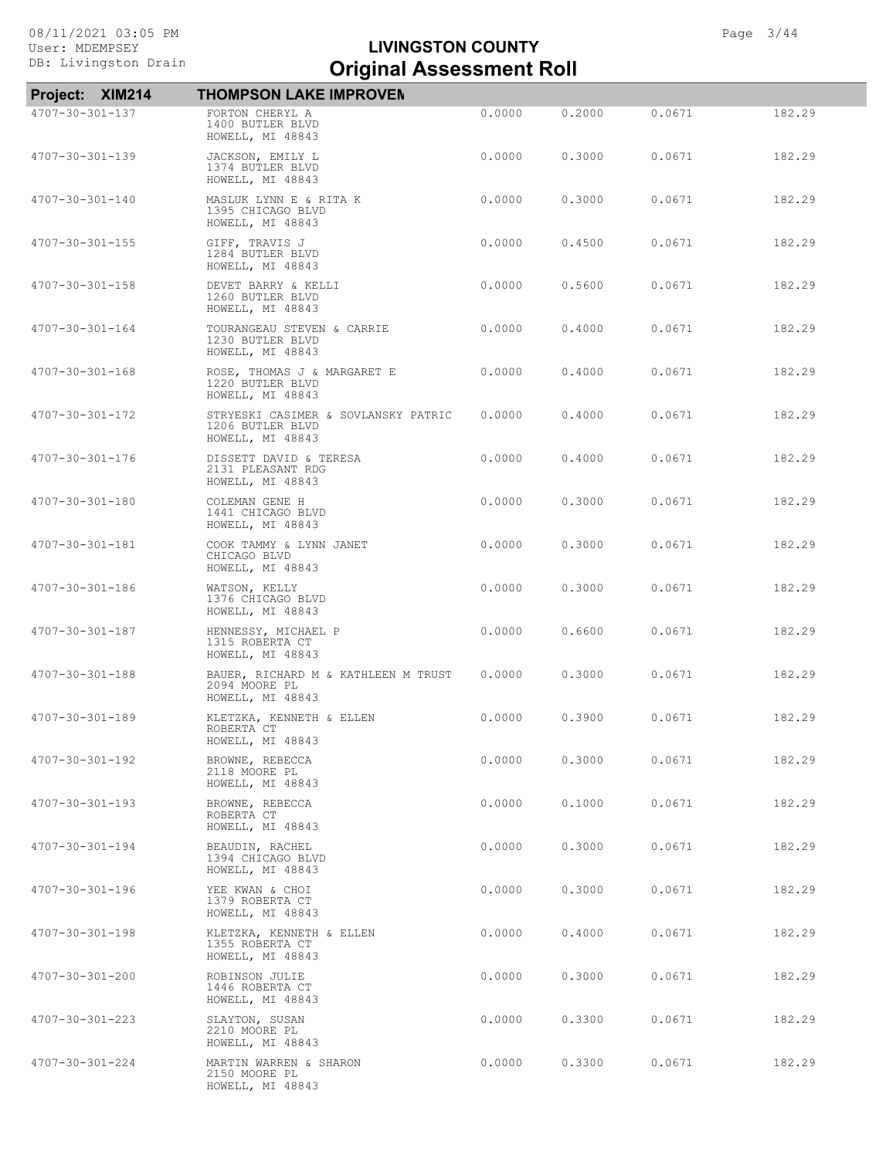| Project: XIM214         | <b>THOMPSON LAKE IMPROVEN</b>                                               |        |        |        |        |
|-------------------------|-----------------------------------------------------------------------------|--------|--------|--------|--------|
| 4707-30-301-137         | FORTON CHERYL A<br>1400 BUTLER BLVD<br>HOWELL, MI 48843                     | 0.0000 | 0.2000 | 0.0671 | 182.29 |
| 4707-30-301-139         | JACKSON, EMILY L<br>1374 BUTLER BLVD<br>HOWELL, MI 48843                    | 0.0000 | 0.3000 | 0.0671 | 182.29 |
| 4707-30-301-140         | MASLUK LYNN E & RITA K<br>1395 CHICAGO BLVD<br>HOWELL, MI 48843             | 0.0000 | 0.3000 | 0.0671 | 182.29 |
| 4707-30-301-155         | GIFF, TRAVIS J<br>1284 BUTLER BLVD<br>HOWELL, MI 48843                      | 0.0000 | 0.4500 | 0.0671 | 182.29 |
| 4707-30-301-158         | DEVET BARRY & KELLI<br>1260 BUTLER BLVD<br>HOWELL, MI 48843                 | 0.0000 | 0.5600 | 0.0671 | 182.29 |
| 4707-30-301-164         | TOURANGEAU STEVEN & CARRIE<br>1230 BUTLER BLVD<br>HOWELL, MI 48843          | 0.0000 | 0.4000 | 0.0671 | 182.29 |
| 4707-30-301-168         | ROSE, THOMAS J & MARGARET E<br>1220 BUTLER BLVD<br>HOWELL, MI 48843         | 0.0000 | 0.4000 | 0.0671 | 182.29 |
| 4707-30-301-172         | STRYESKI CASIMER & SOVLANSKY PATRIC<br>1206 BUTLER BLVD<br>HOWELL, MI 48843 | 0.0000 | 0.4000 | 0.0671 | 182.29 |
| 4707-30-301-176         | DISSETT DAVID & TERESA<br>2131 PLEASANT RDG<br>HOWELL, MI 48843             | 0.0000 | 0.4000 | 0.0671 | 182.29 |
| 4707-30-301-180         | COLEMAN GENE H<br>1441 CHICAGO BLVD<br>HOWELL, MI 48843                     | 0.0000 | 0.3000 | 0.0671 | 182.29 |
| 4707-30-301-181         | COOK TAMMY & LYNN JANET<br>CHICAGO BLVD<br>HOWELL, MI 48843                 | 0.0000 | 0.3000 | 0.0671 | 182.29 |
| 4707-30-301-186         | WATSON, KELLY<br>1376 CHICAGO BLVD<br>HOWELL, MI 48843                      | 0.0000 | 0.3000 | 0.0671 | 182.29 |
| 4707-30-301-187         | HENNESSY, MICHAEL P<br>1315 ROBERTA CT<br>HOWELL, MI 48843                  | 0.0000 | 0.6600 | 0.0671 | 182.29 |
| 4707-30-301-188         | BAUER, RICHARD M & KATHLEEN M TRUST<br>2094 MOORE PL<br>HOWELL, MI 48843    | 0.0000 | 0.3000 | 0.0671 | 182.29 |
| 4707-30-301-189         | KLETZKA, KENNETH & ELLEN<br>ROBERTA CT<br>HOWELL, MI 48843                  | 0.0000 | 0.3900 | 0.0671 | 182.29 |
| 4707-30-301-192         | BROWNE, REBECCA<br>2118 MOORE PL<br>HOWELL, MI 48843                        | 0.0000 | 0.3000 | 0.0671 | 182.29 |
| $4707 - 30 - 301 - 193$ | BROWNE, REBECCA<br>ROBERTA CT<br>HOWELL, MI 48843                           | 0.0000 | 0.1000 | 0.0671 | 182.29 |
| 4707-30-301-194         | BEAUDIN, RACHEL<br>1394 CHICAGO BLVD<br>HOWELL, MI 48843                    | 0.0000 | 0.3000 | 0.0671 | 182.29 |
| 4707-30-301-196         | YEE KWAN & CHOI<br>1379 ROBERTA CT<br>HOWELL, MI 48843                      | 0.0000 | 0.3000 | 0.0671 | 182.29 |
| 4707-30-301-198         | KLETZKA, KENNETH & ELLEN<br>1355 ROBERTA CT<br>HOWELL, MI 48843             | 0.0000 | 0.4000 | 0.0671 | 182.29 |
| 4707-30-301-200         | ROBINSON JULIE<br>1446 ROBERTA CT<br>HOWELL, MI 48843                       | 0.0000 | 0.3000 | 0.0671 | 182.29 |
| 4707-30-301-223         | SLAYTON, SUSAN<br>2210 MOORE PL<br>HOWELL, MI 48843                         | 0.0000 | 0.3300 | 0.0671 | 182.29 |
| 4707-30-301-224         | MARTIN WARREN & SHARON<br>2150 MOORE PL<br>HOWELL, MI 48843                 | 0.0000 | 0.3300 | 0.0671 | 182.29 |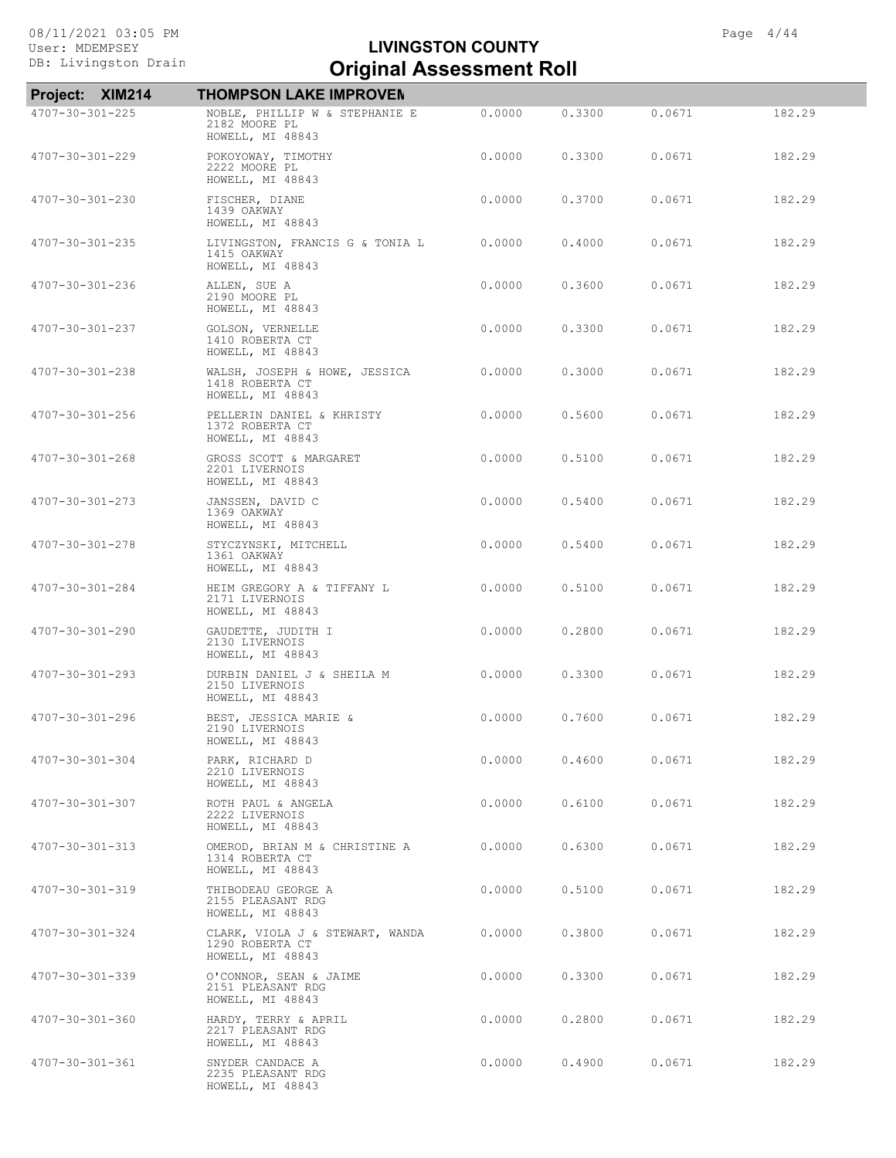| Project: XIM214         | <b>THOMPSON LAKE IMPROVEN</b>                                          |        |        |        |        |
|-------------------------|------------------------------------------------------------------------|--------|--------|--------|--------|
| 4707-30-301-225         | NOBLE, PHILLIP W & STEPHANIE E<br>2182 MOORE PL<br>HOWELL, MI 48843    | 0.0000 | 0.3300 | 0.0671 | 182.29 |
| 4707-30-301-229         | POKOYOWAY, TIMOTHY<br>2222 MOORE PL<br>HOWELL, MI 48843                | 0.0000 | 0.3300 | 0.0671 | 182.29 |
| 4707-30-301-230         | FISCHER, DIANE<br>1439 OAKWAY<br>HOWELL, MI 48843                      | 0.0000 | 0.3700 | 0.0671 | 182.29 |
| 4707-30-301-235         | LIVINGSTON, FRANCIS G & TONIA L<br>1415 OAKWAY<br>HOWELL, MI 48843     | 0.0000 | 0.4000 | 0.0671 | 182.29 |
| 4707-30-301-236         | ALLEN, SUE A<br>2190 MOORE PL<br>HOWELL, MI 48843                      | 0.0000 | 0.3600 | 0.0671 | 182.29 |
| 4707-30-301-237         | GOLSON, VERNELLE<br>1410 ROBERTA CT<br>HOWELL, MI 48843                | 0.0000 | 0.3300 | 0.0671 | 182.29 |
| 4707-30-301-238         | WALSH, JOSEPH & HOWE, JESSICA<br>1418 ROBERTA CT<br>HOWELL, MI 48843   | 0.0000 | 0.3000 | 0.0671 | 182.29 |
| 4707-30-301-256         | PELLERIN DANIEL & KHRISTY<br>1372 ROBERTA CT<br>HOWELL, MI 48843       | 0.0000 | 0.5600 | 0.0671 | 182.29 |
| $4707 - 30 - 301 - 268$ | GROSS SCOTT & MARGARET<br>2201 LIVERNOIS<br>HOWELL, MI 48843           | 0.0000 | 0.5100 | 0.0671 | 182.29 |
| 4707-30-301-273         | JANSSEN, DAVID C<br>1369 OAKWAY<br>HOWELL, MI 48843                    | 0.0000 | 0.5400 | 0.0671 | 182.29 |
| 4707-30-301-278         | STYCZYNSKI, MITCHELL<br>1361 OAKWAY<br>HOWELL, MI 48843                | 0.0000 | 0.5400 | 0.0671 | 182.29 |
| 4707-30-301-284         | HEIM GREGORY A & TIFFANY L<br>2171 LIVERNOIS<br>HOWELL, MI 48843       | 0.0000 | 0.5100 | 0.0671 | 182.29 |
| 4707-30-301-290         | GAUDETTE, JUDITH I<br>2130 LIVERNOIS<br>HOWELL, MI 48843               | 0.0000 | 0.2800 | 0.0671 | 182.29 |
| $4707 - 30 - 301 - 293$ | DURBIN DANIEL J & SHEILA M<br>2150 LIVERNOIS<br>HOWELL, MI 48843       | 0.0000 | 0.3300 | 0.0671 | 182.29 |
| 4707-30-301-296         | BEST, JESSICA MARIE &<br>2190 LIVERNOIS<br>HOWELL, MI 48843            | 0.0000 | 0.7600 | 0.0671 | 182.29 |
| 4707-30-301-304         | PARK, RICHARD D<br>2210 LIVERNOIS<br>HOWELL, MI 48843                  | 0.0000 | 0.4600 | 0.0671 | 182.29 |
| 4707-30-301-307         | ROTH PAUL & ANGELA<br>2222 LIVERNOIS<br>HOWELL, MI 48843               | 0.0000 | 0.6100 | 0.0671 | 182.29 |
| $4707 - 30 - 301 - 313$ | OMEROD, BRIAN M & CHRISTINE A<br>1314 ROBERTA CT<br>HOWELL, MI 48843   | 0.0000 | 0.6300 | 0.0671 | 182.29 |
| 4707-30-301-319         | THIBODEAU GEORGE A<br>2155 PLEASANT RDG<br>HOWELL, MI 48843            | 0.0000 | 0.5100 | 0.0671 | 182.29 |
| 4707-30-301-324         | CLARK, VIOLA J & STEWART, WANDA<br>1290 ROBERTA CT<br>HOWELL, MI 48843 | 0.0000 | 0.3800 | 0.0671 | 182.29 |
| 4707-30-301-339         | O'CONNOR, SEAN & JAIME<br>2151 PLEASANT RDG<br>HOWELL, MI 48843        | 0.0000 | 0.3300 | 0.0671 | 182.29 |
| 4707-30-301-360         | HARDY, TERRY & APRIL<br>2217 PLEASANT RDG<br>HOWELL, MI 48843          | 0.0000 | 0.2800 | 0.0671 | 182.29 |
| 4707-30-301-361         | SNYDER CANDACE A<br>2235 PLEASANT RDG<br>HOWELL, MI 48843              | 0.0000 | 0.4900 | 0.0671 | 182.29 |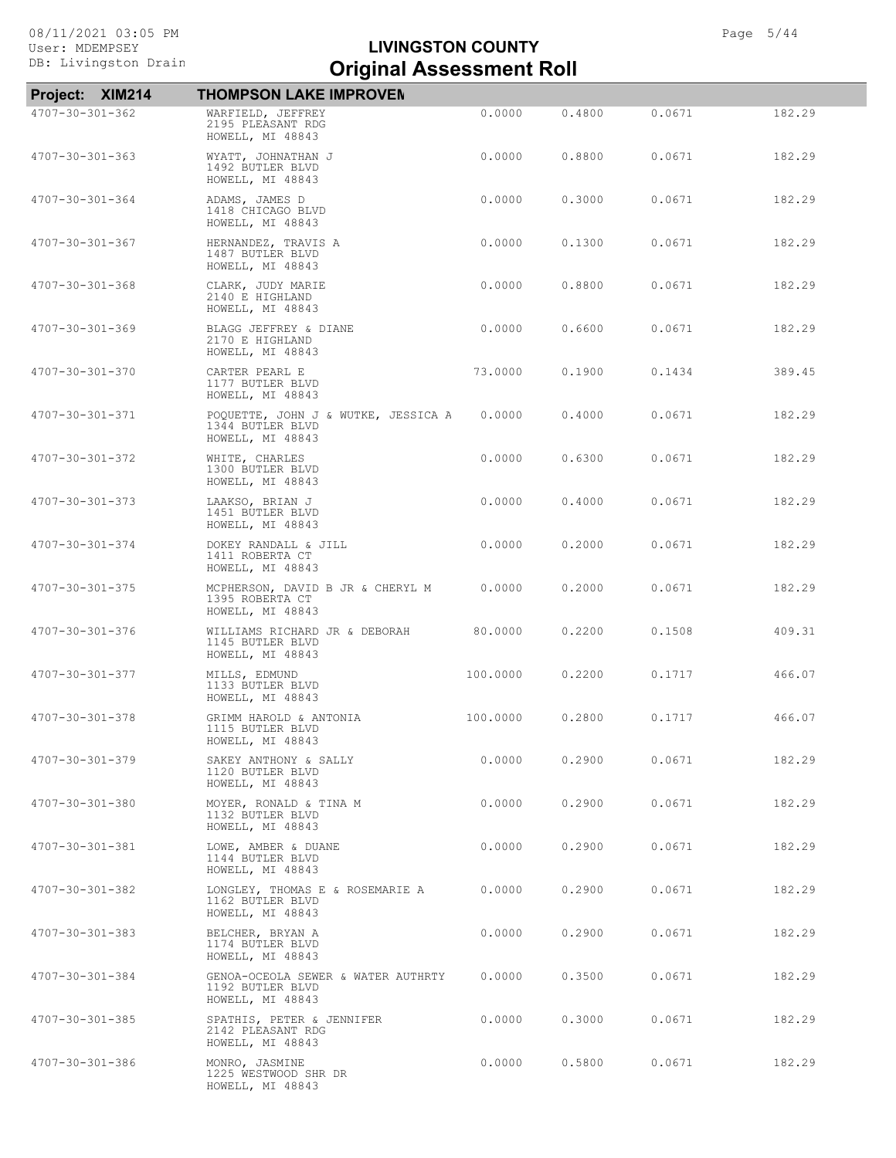| <b>XIM214</b><br>Project: | <b>THOMPSON LAKE IMPROVEN</b>                                               |          |        |        |        |
|---------------------------|-----------------------------------------------------------------------------|----------|--------|--------|--------|
| 4707-30-301-362           | WARFIELD, JEFFREY<br>2195 PLEASANT RDG<br>HOWELL, MI 48843                  | 0.0000   | 0.4800 | 0.0671 | 182.29 |
| 4707-30-301-363           | WYATT, JOHNATHAN J<br>1492 BUTLER BLVD<br>HOWELL, MI 48843                  | 0.0000   | 0.8800 | 0.0671 | 182.29 |
| 4707-30-301-364           | ADAMS, JAMES D<br>1418 CHICAGO BLVD<br>HOWELL, MI 48843                     | 0.0000   | 0.3000 | 0.0671 | 182.29 |
| 4707-30-301-367           | HERNANDEZ, TRAVIS A<br>1487 BUTLER BLVD<br>HOWELL, MI 48843                 | 0.0000   | 0.1300 | 0.0671 | 182.29 |
| 4707-30-301-368           | CLARK, JUDY MARIE<br>2140 E HIGHLAND<br>HOWELL, MI 48843                    | 0.0000   | 0.8800 | 0.0671 | 182.29 |
| 4707-30-301-369           | BLAGG JEFFREY & DIANE<br>2170 E HIGHLAND<br>HOWELL, MI 48843                | 0.0000   | 0.6600 | 0.0671 | 182.29 |
| 4707-30-301-370           | CARTER PEARL E<br>1177 BUTLER BLVD<br>HOWELL, MI 48843                      | 73.0000  | 0.1900 | 0.1434 | 389.45 |
| 4707-30-301-371           | POQUETTE, JOHN J & WUTKE, JESSICA A<br>1344 BUTLER BLVD<br>HOWELL, MI 48843 | 0.0000   | 0.4000 | 0.0671 | 182.29 |
| 4707-30-301-372           | WHITE, CHARLES<br>1300 BUTLER BLVD<br>HOWELL, MI 48843                      | 0.0000   | 0.6300 | 0.0671 | 182.29 |
| 4707-30-301-373           | LAAKSO, BRIAN J<br>1451 BUTLER BLVD<br>HOWELL, MI 48843                     | 0.0000   | 0.4000 | 0.0671 | 182.29 |
| 4707-30-301-374           | DOKEY RANDALL & JILL<br>1411 ROBERTA CT<br>HOWELL, MI 48843                 | 0.0000   | 0.2000 | 0.0671 | 182.29 |
| 4707-30-301-375           | MCPHERSON, DAVID B JR & CHERYL M<br>1395 ROBERTA CT<br>HOWELL, MI 48843     | 0.0000   | 0.2000 | 0.0671 | 182.29 |
| 4707-30-301-376           | WILLIAMS RICHARD JR & DEBORAH<br>1145 BUTLER BLVD<br>HOWELL, MI 48843       | 80.0000  | 0.2200 | 0.1508 | 409.31 |
| 4707-30-301-377           | MILLS, EDMUND<br>1133 BUTLER BLVD<br>HOWELL, MI 48843                       | 100.0000 | 0.2200 | 0.1717 | 466.07 |
| 4707-30-301-378           | GRIMM HAROLD & ANTONIA<br>1115 BUTLER BLVD<br>HOWELL, MI 48843              | 100,0000 | 0.2800 | 0.1717 | 466.07 |
| 4707-30-301-379           | SAKEY ANTHONY & SALLY<br>1120 BUTLER BLVD<br>HOWELL, MI 48843               | 0.0000   | 0.2900 | 0.0671 | 182.29 |
| 4707-30-301-380           | MOYER, RONALD & TINA M<br>1132 BUTLER BLVD<br>HOWELL, MI 48843              | 0.0000   | 0.2900 | 0.0671 | 182.29 |
| 4707-30-301-381           | LOWE, AMBER & DUANE<br>1144 BUTLER BLVD<br>HOWELL, MI 48843                 | 0.0000   | 0.2900 | 0.0671 | 182.29 |
| 4707-30-301-382           | LONGLEY, THOMAS E & ROSEMARIE A<br>1162 BUTLER BLVD<br>HOWELL, MI 48843     | 0.0000   | 0.2900 | 0.0671 | 182.29 |
| 4707-30-301-383           | BELCHER, BRYAN A<br>1174 BUTLER BLVD<br>HOWELL, MI 48843                    | 0.0000   | 0.2900 | 0.0671 | 182.29 |
| 4707-30-301-384           | GENOA-OCEOLA SEWER & WATER AUTHRTY<br>1192 BUTLER BLVD<br>HOWELL, MI 48843  | 0.0000   | 0.3500 | 0.0671 | 182.29 |
| 4707-30-301-385           | SPATHIS, PETER & JENNIFER<br>2142 PLEASANT RDG<br>HOWELL, MI 48843          | 0.0000   | 0.3000 | 0.0671 | 182.29 |
| 4707-30-301-386           | MONRO, JASMINE<br>1225 WESTWOOD SHR DR<br>HOWELL, MI 48843                  | 0.0000   | 0.5800 | 0.0671 | 182.29 |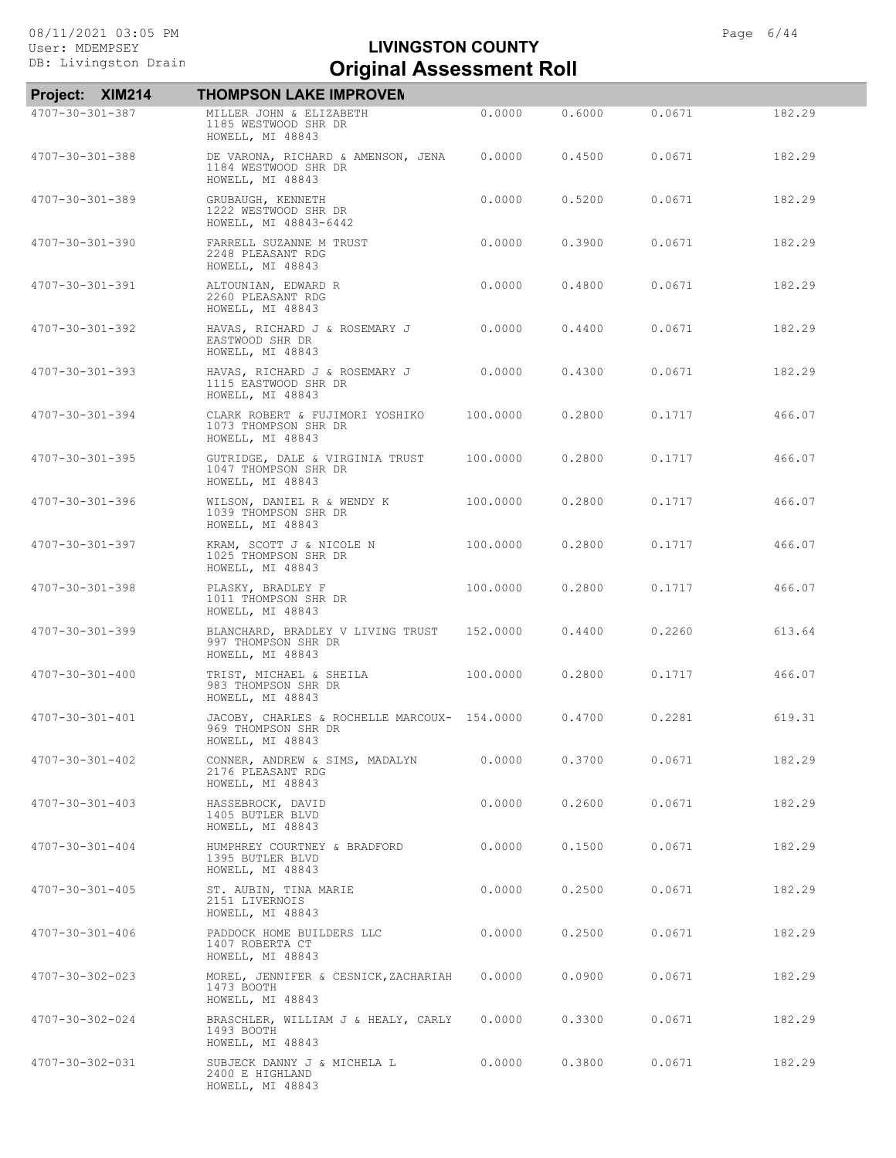| Project: XIM214         | <b>THOMPSON LAKE IMPROVEN</b>                                                           |          |        |        |        |
|-------------------------|-----------------------------------------------------------------------------------------|----------|--------|--------|--------|
| $4707 - 30 - 301 - 387$ | MILLER JOHN & ELIZABETH<br>1185 WESTWOOD SHR DR<br>HOWELL, MI 48843                     | 0.0000   | 0.6000 | 0.0671 | 182.29 |
| 4707-30-301-388         | DE VARONA, RICHARD & AMENSON, JENA<br>1184 WESTWOOD SHR DR<br>HOWELL, MI 48843          | 0.0000   | 0.4500 | 0.0671 | 182.29 |
| 4707-30-301-389         | GRUBAUGH, KENNETH<br>1222 WESTWOOD SHR DR<br>HOWELL, MI 48843-6442                      | 0.0000   | 0.5200 | 0.0671 | 182.29 |
| 4707-30-301-390         | FARRELL SUZANNE M TRUST<br>2248 PLEASANT RDG<br>HOWELL, MI 48843                        | 0.0000   | 0.3900 | 0.0671 | 182.29 |
| 4707-30-301-391         | ALTOUNIAN, EDWARD R<br>2260 PLEASANT RDG<br>HOWELL, MI 48843                            | 0.0000   | 0.4800 | 0.0671 | 182.29 |
| 4707-30-301-392         | HAVAS, RICHARD J & ROSEMARY J<br>EASTWOOD SHR DR<br>HOWELL, MI 48843                    | 0.0000   | 0.4400 | 0.0671 | 182.29 |
| 4707-30-301-393         | HAVAS, RICHARD J & ROSEMARY J<br>1115 EASTWOOD SHR DR<br>HOWELL, MI 48843               | 0.0000   | 0.4300 | 0.0671 | 182.29 |
| 4707-30-301-394         | CLARK ROBERT & FUJIMORI YOSHIKO<br>1073 THOMPSON SHR DR<br>HOWELL, MI 48843             | 100.0000 | 0.2800 | 0.1717 | 466.07 |
| 4707-30-301-395         | GUTRIDGE, DALE & VIRGINIA TRUST<br>1047 THOMPSON SHR DR<br>HOWELL, MI 48843             | 100.0000 | 0.2800 | 0.1717 | 466.07 |
| 4707-30-301-396         | WILSON, DANIEL R & WENDY K<br>1039 THOMPSON SHR DR<br>HOWELL, MI 48843                  | 100.0000 | 0.2800 | 0.1717 | 466.07 |
| 4707-30-301-397         | KRAM, SCOTT J & NICOLE N<br>1025 THOMPSON SHR DR<br>HOWELL, MI 48843                    | 100.0000 | 0.2800 | 0.1717 | 466.07 |
| $4707 - 30 - 301 - 398$ | PLASKY, BRADLEY F<br>1011 THOMPSON SHR DR<br>HOWELL, MI 48843                           | 100.0000 | 0.2800 | 0.1717 | 466.07 |
| 4707-30-301-399         | BLANCHARD, BRADLEY V LIVING TRUST<br>997 THOMPSON SHR DR<br>HOWELL, MI 48843            | 152,0000 | 0.4400 | 0.2260 | 613.64 |
| 4707-30-301-400         | TRIST, MICHAEL & SHEILA<br>983 THOMPSON SHR DR<br>HOWELL, MI 48843                      | 100.0000 | 0.2800 | 0.1717 | 466.07 |
| 4707-30-301-401         | JACOBY, CHARLES & ROCHELLE MARCOUX- 154.0000<br>969 THOMPSON SHR DR<br>HOWELL, MI 48843 |          | 0.4700 | 0.2281 | 619.31 |
| 4707-30-301-402         | CONNER, ANDREW & SIMS, MADALYN<br>2176 PLEASANT RDG<br>HOWELL, MI 48843                 | 0.0000   | 0.3700 | 0.0671 | 182.29 |
| 4707-30-301-403         | HASSEBROCK, DAVID<br>1405 BUTLER BLVD<br>HOWELL, MI 48843                               | 0.0000   | 0.2600 | 0.0671 | 182.29 |
| $4707 - 30 - 301 - 404$ | HUMPHREY COURTNEY & BRADFORD<br>1395 BUTLER BLVD<br>HOWELL, MI 48843                    | 0.0000   | 0.1500 | 0.0671 | 182.29 |
| $4707 - 30 - 301 - 405$ | ST. AUBIN, TINA MARIE<br>2151 LIVERNOIS<br>HOWELL, MI 48843                             | 0.0000   | 0.2500 | 0.0671 | 182.29 |
| 4707-30-301-406         | PADDOCK HOME BUILDERS LLC<br>1407 ROBERTA CT<br>HOWELL, MI 48843                        | 0.0000   | 0.2500 | 0.0671 | 182.29 |
| 4707-30-302-023         | MOREL, JENNIFER & CESNICK, ZACHARIAH<br>1473 BOOTH<br>HOWELL, MI 48843                  | 0.0000   | 0.0900 | 0.0671 | 182.29 |
| 4707-30-302-024         | BRASCHLER, WILLIAM J & HEALY, CARLY<br>1493 BOOTH<br>HOWELL, MI 48843                   | 0.0000   | 0.3300 | 0.0671 | 182.29 |
| 4707-30-302-031         | SUBJECK DANNY J & MICHELA L<br>2400 E HIGHLAND<br>HOWELL, MI 48843                      | 0.0000   | 0.3800 | 0.0671 | 182.29 |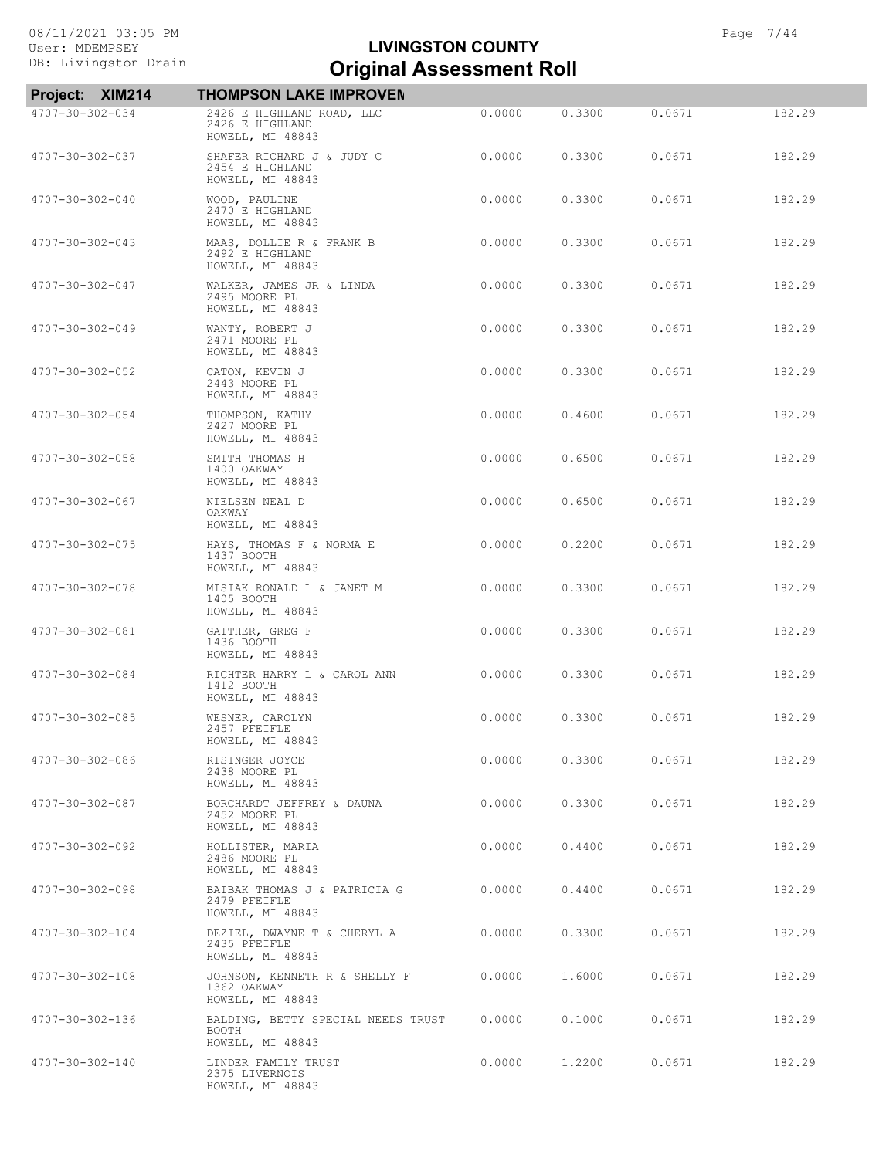| Project: XIM214         | <b>THOMPSON LAKE IMPROVEN</b>                                                 |        |        |        |        |
|-------------------------|-------------------------------------------------------------------------------|--------|--------|--------|--------|
| 4707-30-302-034         | 2426 E HIGHLAND ROAD, LLC<br>2426 E HIGHLAND<br>HOWELL, MI 48843              | 0.0000 | 0.3300 | 0.0671 | 182.29 |
| 4707-30-302-037         | SHAFER RICHARD J & JUDY C<br>2454 E HIGHLAND<br>HOWELL, MI 48843              | 0.0000 | 0.3300 | 0.0671 | 182.29 |
| 4707-30-302-040         | WOOD, PAULINE<br>2470 E HIGHLAND<br>HOWELL, MI 48843                          | 0.0000 | 0.3300 | 0.0671 | 182.29 |
| 4707-30-302-043         | MAAS, DOLLIE R & FRANK B<br>2492 E HIGHLAND<br>HOWELL, MI 48843               | 0.0000 | 0.3300 | 0.0671 | 182.29 |
| 4707-30-302-047         | WALKER, JAMES JR & LINDA<br>2495 MOORE PL<br>HOWELL, MI 48843                 | 0.0000 | 0.3300 | 0.0671 | 182.29 |
| 4707-30-302-049         | WANTY, ROBERT J<br>2471 MOORE PL<br>HOWELL, MI 48843                          | 0.0000 | 0.3300 | 0.0671 | 182.29 |
| 4707-30-302-052         | CATON, KEVIN J<br>2443 MOORE PL<br>HOWELL, MI 48843                           | 0.0000 | 0.3300 | 0.0671 | 182.29 |
| 4707-30-302-054         | THOMPSON, KATHY<br>2427 MOORE PL<br>HOWELL, MI 48843                          | 0.0000 | 0.4600 | 0.0671 | 182.29 |
| 4707-30-302-058         | SMITH THOMAS H<br>1400 OAKWAY<br>HOWELL, MI 48843                             | 0.0000 | 0.6500 | 0.0671 | 182.29 |
| 4707-30-302-067         | NIELSEN NEAL D<br>OAKWAY<br>HOWELL, MI 48843                                  | 0.0000 | 0.6500 | 0.0671 | 182.29 |
| 4707-30-302-075         | HAYS, THOMAS F & NORMA E<br>1437 BOOTH<br>HOWELL, MI 48843                    | 0.0000 | 0.2200 | 0.0671 | 182.29 |
| 4707-30-302-078         | MISIAK RONALD L & JANET M<br>1405 BOOTH<br>HOWELL, MI 48843                   | 0.0000 | 0.3300 | 0.0671 | 182.29 |
| 4707-30-302-081         | GAITHER, GREG F<br>1436 BOOTH<br>HOWELL, MI 48843                             | 0.0000 | 0.3300 | 0.0671 | 182.29 |
| 4707-30-302-084         | RICHTER HARRY L & CAROL ANN<br>1412 BOOTH<br>HOWELL, MI 48843                 | 0.0000 | 0.3300 | 0.0671 | 182.29 |
| 4707-30-302-085         | WESNER, CAROLYN<br>2457 PFEIFLE<br>HOWELL, MI 48843                           | 0.0000 | 0.3300 | 0.0671 | 182.29 |
| 4707-30-302-086         | RISINGER JOYCE<br>2438 MOORE PL<br>HOWELL, MI 48843                           | 0.0000 | 0.3300 | 0.0671 | 182.29 |
| $4707 - 30 - 302 - 087$ | BORCHARDT JEFFREY & DAUNA<br>2452 MOORE PL<br>HOWELL, MI 48843                | 0.0000 | 0.3300 | 0.0671 | 182.29 |
| 4707-30-302-092         | HOLLISTER, MARIA<br>2486 MOORE PL<br>HOWELL, MI 48843                         | 0.0000 | 0.4400 | 0.0671 | 182.29 |
| 4707-30-302-098         | BAIBAK THOMAS J & PATRICIA G<br>2479 PFEIFLE<br>HOWELL, MI 48843              | 0.0000 | 0.4400 | 0.0671 | 182.29 |
| 4707-30-302-104         | DEZIEL, DWAYNE T & CHERYL A<br>2435 PFEIFLE<br>HOWELL, MI 48843               | 0.0000 | 0.3300 | 0.0671 | 182.29 |
| 4707-30-302-108         | JOHNSON, KENNETH R & SHELLY F<br>1362 OAKWAY<br>HOWELL, MI 48843              | 0.0000 | 1.6000 | 0.0671 | 182.29 |
| 4707-30-302-136         | BALDING, BETTY SPECIAL NEEDS TRUST 0.0000<br><b>BOOTH</b><br>HOWELL, MI 48843 |        | 0.1000 | 0.0671 | 182.29 |
| 4707-30-302-140         | LINDER FAMILY TRUST<br>2375 LIVERNOIS<br>HOWELL, MI 48843                     | 0.0000 | 1,2200 | 0.0671 | 182.29 |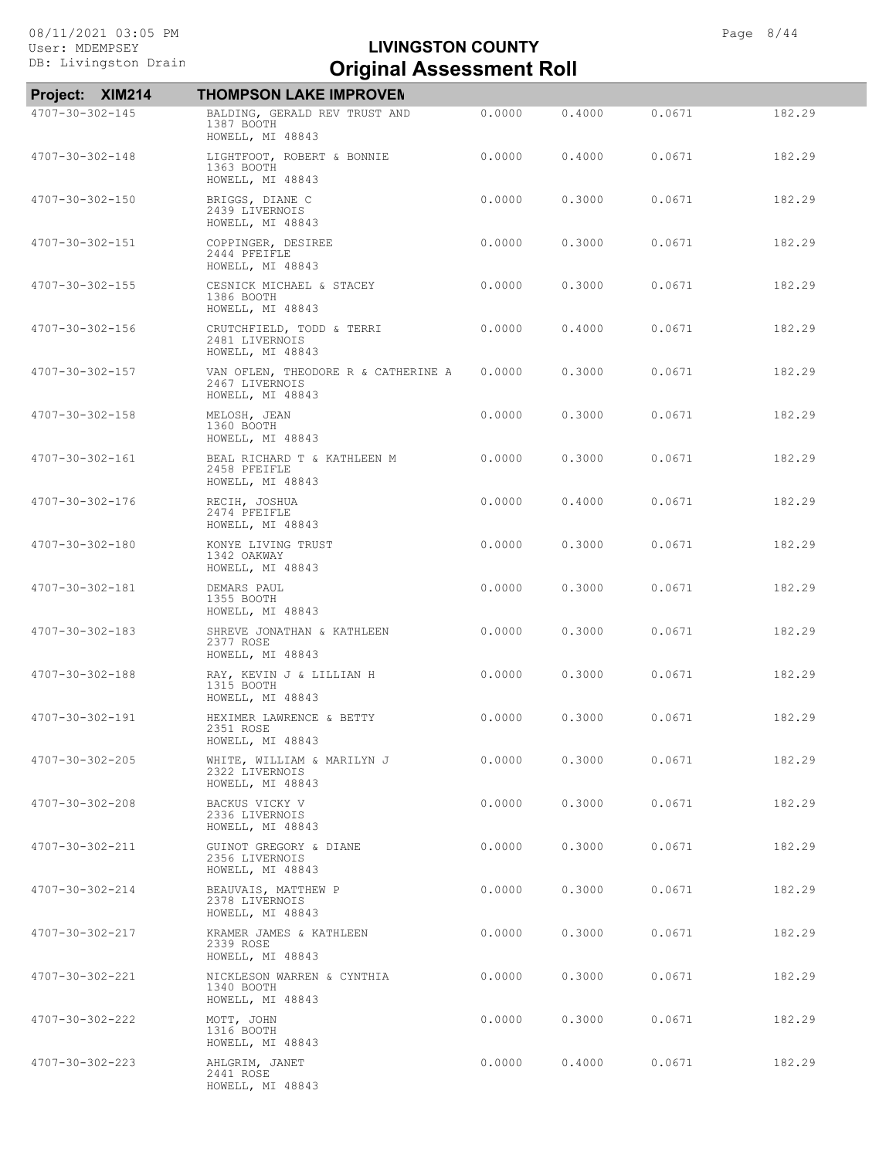| Project: XIM214 | <b>THOMPSON LAKE IMPROVEN</b>                                             |        |        |        |        |
|-----------------|---------------------------------------------------------------------------|--------|--------|--------|--------|
| 4707-30-302-145 | BALDING, GERALD REV TRUST AND<br>1387 BOOTH                               | 0.0000 | 0.4000 | 0.0671 | 182.29 |
|                 | HOWELL, MI 48843                                                          |        |        |        |        |
| 4707-30-302-148 | LIGHTFOOT, ROBERT & BONNIE<br>1363 BOOTH<br>HOWELL, MI 48843              | 0.0000 | 0.4000 | 0.0671 | 182.29 |
| 4707-30-302-150 | BRIGGS, DIANE C<br>2439 LIVERNOIS<br>HOWELL, MI 48843                     | 0.0000 | 0.3000 | 0.0671 | 182.29 |
| 4707-30-302-151 | COPPINGER, DESIREE<br>2444 PFEIFLE<br>HOWELL, MI 48843                    | 0.0000 | 0.3000 | 0.0671 | 182.29 |
| 4707-30-302-155 | CESNICK MICHAEL & STACEY<br>1386 BOOTH<br>HOWELL, MI 48843                | 0.0000 | 0.3000 | 0.0671 | 182.29 |
| 4707-30-302-156 | CRUTCHFIELD, TODD & TERRI<br>2481 LIVERNOIS<br>HOWELL, MI 48843           | 0.0000 | 0.4000 | 0.0671 | 182.29 |
| 4707-30-302-157 | VAN OFLEN, THEODORE R & CATHERINE A<br>2467 LIVERNOIS<br>HOWELL, MI 48843 | 0.0000 | 0.3000 | 0.0671 | 182.29 |
| 4707-30-302-158 | MELOSH, JEAN<br>1360 BOOTH<br>HOWELL, MI 48843                            | 0.0000 | 0.3000 | 0.0671 | 182.29 |
| 4707-30-302-161 | BEAL RICHARD T & KATHLEEN M<br>2458 PFEIFLE<br>HOWELL, MI 48843           | 0.0000 | 0.3000 | 0.0671 | 182.29 |
| 4707-30-302-176 | RECIH, JOSHUA<br>2474 PFEIFLE<br>HOWELL, MI 48843                         | 0.0000 | 0.4000 | 0.0671 | 182.29 |
| 4707-30-302-180 | KONYE LIVING TRUST<br>1342 OAKWAY<br>HOWELL, MI 48843                     | 0.0000 | 0.3000 | 0.0671 | 182.29 |
| 4707-30-302-181 | DEMARS PAUL<br>1355 BOOTH<br>HOWELL, MI 48843                             | 0.0000 | 0.3000 | 0.0671 | 182.29 |
| 4707-30-302-183 | SHREVE JONATHAN & KATHLEEN<br>2377 ROSE<br>HOWELL, MI 48843               | 0.0000 | 0.3000 | 0.0671 | 182.29 |
| 4707-30-302-188 | RAY, KEVIN J & LILLIAN H<br>1315 BOOTH<br>HOWELL, MI 48843                | 0.0000 | 0.3000 | 0.0671 | 182.29 |
| 4707-30-302-191 | HEXIMER LAWRENCE & BETTY<br>2351 ROSE<br>HOWELL, MI 48843                 | 0.0000 | 0.3000 | 0.0671 | 182.29 |
| 4707-30-302-205 | WHITE, WILLIAM & MARILYN J<br>2322 LIVERNOIS<br>HOWELL, MI 48843          | 0.0000 | 0.3000 | 0.0671 | 182.29 |
| 4707-30-302-208 | BACKUS VICKY V<br>2336 LIVERNOIS<br>HOWELL, MI 48843                      | 0.0000 | 0.3000 | 0.0671 | 182.29 |
| 4707-30-302-211 | GUINOT GREGORY & DIANE<br>2356 LIVERNOIS<br>HOWELL, MI 48843              | 0.0000 | 0.3000 | 0.0671 | 182.29 |
| 4707-30-302-214 | BEAUVAIS, MATTHEW P<br>2378 LIVERNOIS<br>HOWELL, MI 48843                 | 0.0000 | 0.3000 | 0.0671 | 182.29 |
| 4707-30-302-217 | KRAMER JAMES & KATHLEEN<br>2339 ROSE<br>HOWELL, MI 48843                  | 0.0000 | 0.3000 | 0.0671 | 182.29 |
| 4707-30-302-221 | NICKLESON WARREN & CYNTHIA<br>1340 BOOTH<br>HOWELL, MI 48843              | 0.0000 | 0.3000 | 0.0671 | 182.29 |
| 4707-30-302-222 | MOTT, JOHN<br>1316 BOOTH<br>HOWELL, MI 48843                              | 0.0000 | 0.3000 | 0.0671 | 182.29 |
| 4707-30-302-223 | AHLGRIM, JANET<br>2441 ROSE<br>HOWELL, MI 48843                           | 0.0000 | 0.4000 | 0.0671 | 182.29 |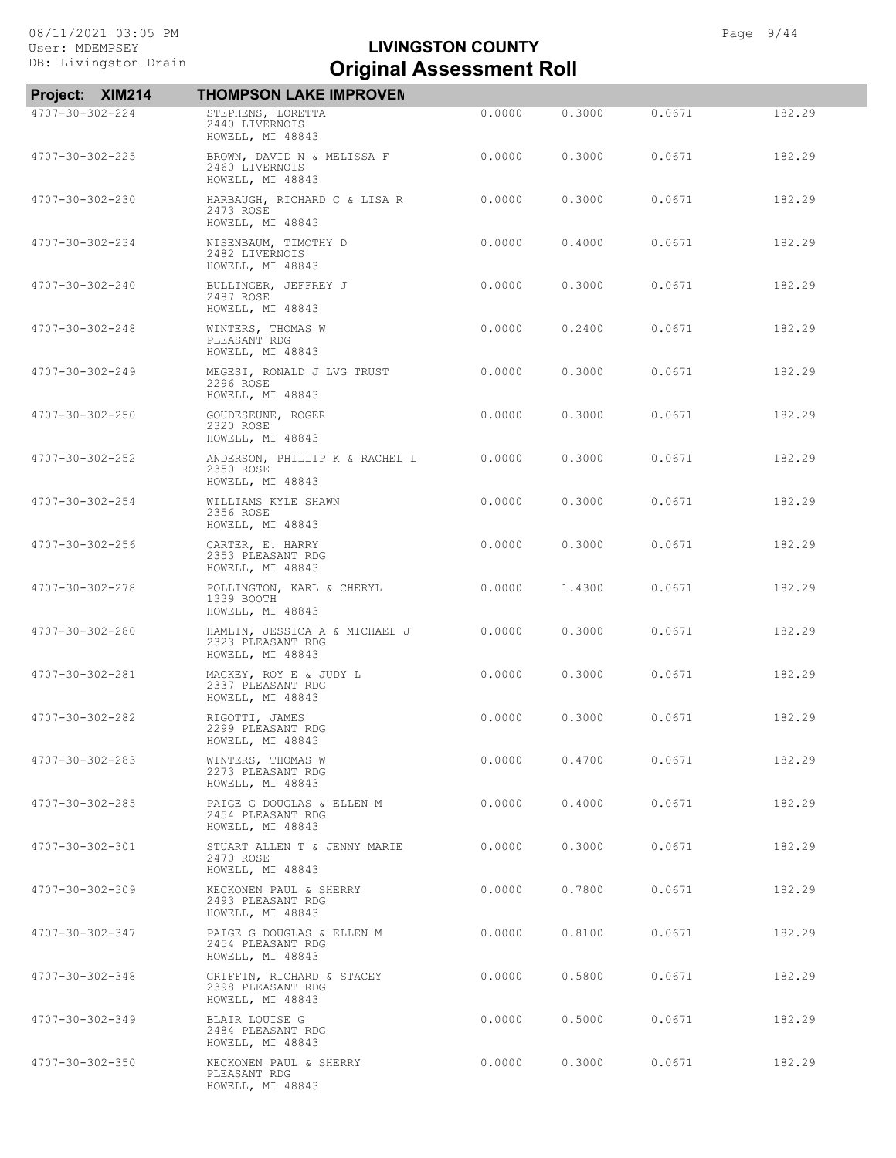|                         | Project: XIM214 | <b>THOMPSON LAKE IMPROVEN</b>                                          |        |        |        |        |
|-------------------------|-----------------|------------------------------------------------------------------------|--------|--------|--------|--------|
| 4707-30-302-224         |                 | STEPHENS, LORETTA<br>2440 LIVERNOIS<br>HOWELL, MI 48843                | 0.0000 | 0.3000 | 0.0671 | 182.29 |
| 4707-30-302-225         |                 | BROWN, DAVID N & MELISSA F<br>2460 LIVERNOIS<br>HOWELL, MI 48843       | 0.0000 | 0.3000 | 0.0671 | 182.29 |
| 4707-30-302-230         |                 | HARBAUGH, RICHARD C & LISA R<br>2473 ROSE<br>HOWELL, MI 48843          | 0.0000 | 0.3000 | 0.0671 | 182.29 |
| $4707 - 30 - 302 - 234$ |                 | NISENBAUM, TIMOTHY D<br>2482 LIVERNOIS<br>HOWELL, MI 48843             | 0.0000 | 0.4000 | 0.0671 | 182.29 |
| 4707-30-302-240         |                 | BULLINGER, JEFFREY J<br>2487 ROSE<br>HOWELL, MI 48843                  | 0.0000 | 0.3000 | 0.0671 | 182.29 |
| 4707-30-302-248         |                 | WINTERS, THOMAS W<br>PLEASANT RDG<br>HOWELL, MI 48843                  | 0.0000 | 0.2400 | 0.0671 | 182.29 |
| 4707-30-302-249         |                 | MEGESI, RONALD J LVG TRUST<br>2296 ROSE<br>HOWELL, MI 48843            | 0.0000 | 0.3000 | 0.0671 | 182.29 |
| 4707-30-302-250         |                 | GOUDESEUNE, ROGER<br>2320 ROSE<br>HOWELL, MI 48843                     | 0.0000 | 0.3000 | 0.0671 | 182.29 |
| 4707-30-302-252         |                 | ANDERSON, PHILLIP K & RACHEL L<br>2350 ROSE<br>HOWELL, MI 48843        | 0.0000 | 0.3000 | 0.0671 | 182.29 |
| 4707-30-302-254         |                 | WILLIAMS KYLE SHAWN<br>2356 ROSE<br>HOWELL, MI 48843                   | 0.0000 | 0.3000 | 0.0671 | 182.29 |
| 4707-30-302-256         |                 | CARTER, E. HARRY<br>2353 PLEASANT RDG<br>HOWELL, MI 48843              | 0.0000 | 0.3000 | 0.0671 | 182.29 |
| 4707-30-302-278         |                 | POLLINGTON, KARL & CHERYL<br>1339 BOOTH<br>HOWELL, MI 48843            | 0.0000 | 1,4300 | 0.0671 | 182.29 |
| 4707-30-302-280         |                 | HAMLIN, JESSICA A & MICHAEL J<br>2323 PLEASANT RDG<br>HOWELL, MI 48843 | 0.0000 | 0.3000 | 0.0671 | 182.29 |
| 4707-30-302-281         |                 | MACKEY, ROY E & JUDY L<br>2337 PLEASANT RDG<br>HOWELL, MI 48843        | 0.0000 | 0.3000 | 0.0671 | 182.29 |
| 4707-30-302-282         |                 | RIGOTTI, JAMES<br>2299 PLEASANT RDG<br>HOWELL, MI 48843                | 0.0000 | 0.3000 | 0.0671 | 182.29 |
| $4707 - 30 - 302 - 283$ |                 | WINTERS, THOMAS W<br>2273 PLEASANT RDG<br>HOWELL, MI 48843             | 0.0000 | 0.4700 | 0.0671 | 182.29 |
| 4707-30-302-285         |                 | PAIGE G DOUGLAS & ELLEN M<br>2454 PLEASANT RDG<br>HOWELL, MI 48843     | 0.0000 | 0.4000 | 0.0671 | 182.29 |
| 4707-30-302-301         |                 | STUART ALLEN T & JENNY MARIE<br>2470 ROSE<br>HOWELL, MI 48843          | 0.0000 | 0.3000 | 0.0671 | 182.29 |
| 4707-30-302-309         |                 | KECKONEN PAUL & SHERRY<br>2493 PLEASANT RDG<br>HOWELL, MI 48843        | 0.0000 | 0.7800 | 0.0671 | 182.29 |
| 4707-30-302-347         |                 | PAIGE G DOUGLAS & ELLEN M<br>2454 PLEASANT RDG<br>HOWELL, MI 48843     | 0.0000 | 0.8100 | 0.0671 | 182.29 |
| 4707-30-302-348         |                 | GRIFFIN, RICHARD & STACEY<br>2398 PLEASANT RDG<br>HOWELL, MI 48843     | 0.0000 | 0.5800 | 0.0671 | 182.29 |
| 4707-30-302-349         |                 | BLAIR LOUISE G<br>2484 PLEASANT RDG<br>HOWELL, MI 48843                | 0.0000 | 0.5000 | 0.0671 | 182.29 |
| 4707-30-302-350         |                 | KECKONEN PAUL & SHERRY<br>PLEASANT RDG<br>HOWELL, MI 48843             | 0.0000 | 0.3000 | 0.0671 | 182.29 |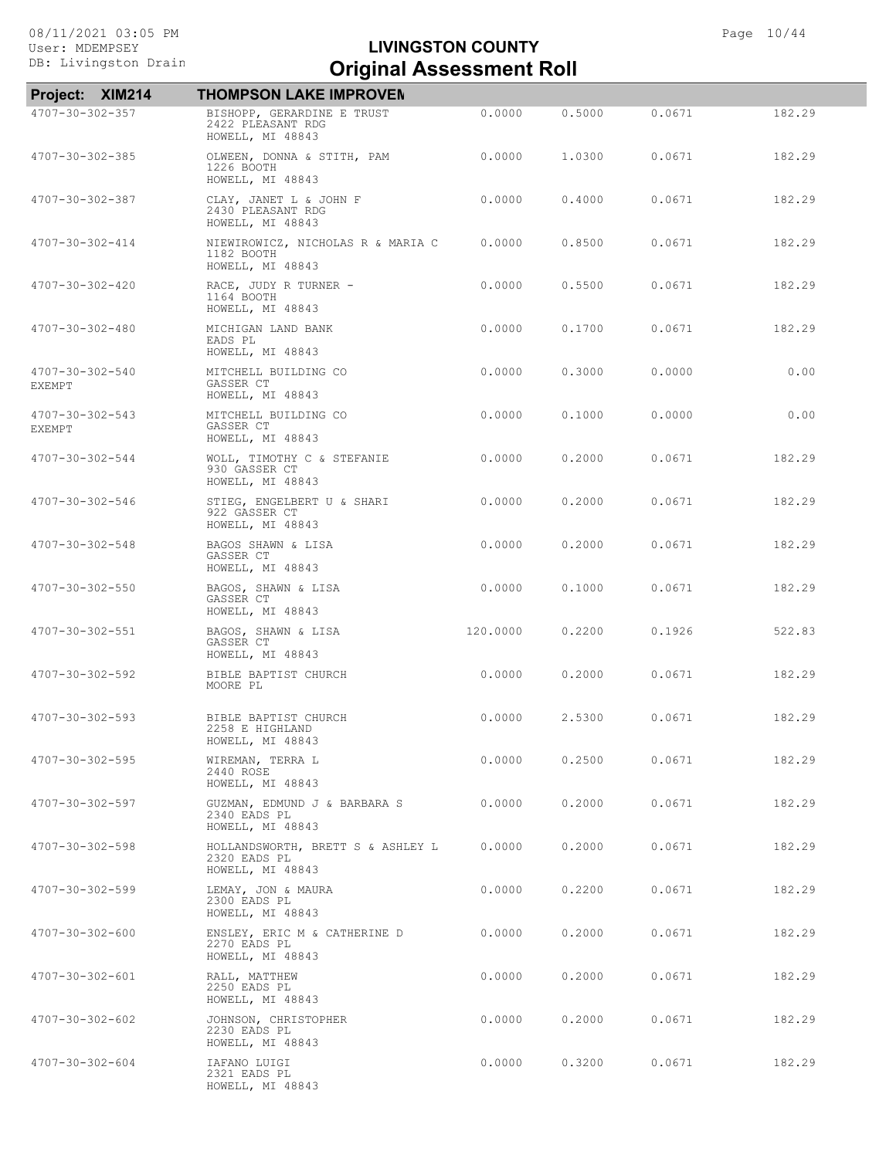| Project: XIM214                  | <b>THOMPSON LAKE IMPROVEN</b>                                         |          |        |        |        |
|----------------------------------|-----------------------------------------------------------------------|----------|--------|--------|--------|
| 4707-30-302-357                  | BISHOPP, GERARDINE E TRUST<br>2422 PLEASANT RDG<br>HOWELL, MI 48843   | 0.0000   | 0.5000 | 0.0671 | 182.29 |
| 4707-30-302-385                  | OLWEEN, DONNA & STITH, PAM<br>1226 BOOTH<br>HOWELL, MI 48843          | 0.0000   | 1,0300 | 0.0671 | 182.29 |
| 4707-30-302-387                  | CLAY, JANET L & JOHN F<br>2430 PLEASANT RDG<br>HOWELL, MI 48843       | 0.0000   | 0.4000 | 0.0671 | 182.29 |
| 4707-30-302-414                  | NIEWIROWICZ, NICHOLAS R & MARIA C<br>1182 BOOTH<br>HOWELL, MI 48843   | 0.0000   | 0.8500 | 0.0671 | 182.29 |
| 4707-30-302-420                  | RACE, JUDY R TURNER -<br>1164 BOOTH<br>HOWELL, MI 48843               | 0.0000   | 0.5500 | 0.0671 | 182.29 |
| 4707-30-302-480                  | MICHIGAN LAND BANK<br>EADS PL<br>HOWELL, MI 48843                     | 0.0000   | 0.1700 | 0.0671 | 182.29 |
| 4707-30-302-540<br><b>EXEMPT</b> | MITCHELL BUILDING CO<br>GASSER CT<br>HOWELL, MI 48843                 | 0.0000   | 0.3000 | 0.0000 | 0.00   |
| 4707-30-302-543<br><b>EXEMPT</b> | MITCHELL BUILDING CO<br>GASSER CT<br>HOWELL, MI 48843                 | 0.0000   | 0.1000 | 0.0000 | 0.00   |
| $4707 - 30 - 302 - 544$          | WOLL, TIMOTHY C & STEFANIE<br>930 GASSER CT<br>HOWELL, MI 48843       | 0.0000   | 0,2000 | 0.0671 | 182.29 |
| $4707 - 30 - 302 - 546$          | STIEG, ENGELBERT U & SHARI<br>922 GASSER CT<br>HOWELL, MI 48843       | 0.0000   | 0.2000 | 0.0671 | 182.29 |
| 4707-30-302-548                  | BAGOS SHAWN & LISA<br>GASSER CT<br>HOWELL, MI 48843                   | 0.0000   | 0.2000 | 0.0671 | 182.29 |
| $4707 - 30 - 302 - 550$          | BAGOS, SHAWN & LISA<br>GASSER CT<br>HOWELL, MI 48843                  | 0.0000   | 0.1000 | 0.0671 | 182.29 |
| 4707-30-302-551                  | BAGOS, SHAWN & LISA<br>GASSER CT<br>HOWELL, MI 48843                  | 120.0000 | 0.2200 | 0.1926 | 522.83 |
| 4707-30-302-592                  | BIBLE BAPTIST CHURCH<br>MOORE PL                                      | 0.0000   | 0.2000 | 0.0671 | 182.29 |
| $4707 - 30 - 302 - 593$          | BIBLE BAPTIST CHURCH<br>2258 E HIGHLAND<br>HOWELL, MI 48843           | 0.0000   | 2.5300 | 0.0671 | 182.29 |
| 4707-30-302-595                  | WIREMAN, TERRA L<br>2440 ROSE<br>HOWELL, MI 48843                     | 0.0000   | 0.2500 | 0.0671 | 182.29 |
| 4707-30-302-597                  | GUZMAN, EDMUND J & BARBARA S<br>2340 EADS PL<br>HOWELL, MI 48843      | 0.0000   | 0.2000 | 0.0671 | 182.29 |
| 4707-30-302-598                  | HOLLANDSWORTH, BRETT S & ASHLEY L<br>2320 EADS PL<br>HOWELL, MI 48843 | 0.0000   | 0.2000 | 0.0671 | 182.29 |
| $4707 - 30 - 302 - 599$          | LEMAY, JON & MAURA<br>2300 EADS PL<br>HOWELL, MI 48843                | 0.0000   | 0.2200 | 0.0671 | 182.29 |
| $4707 - 30 - 302 - 600$          | ENSLEY, ERIC M & CATHERINE D<br>2270 EADS PL<br>HOWELL, MI 48843      | 0.0000   | 0.2000 | 0.0671 | 182.29 |
| 4707-30-302-601                  | RALL, MATTHEW<br>2250 EADS PL<br>HOWELL, MI 48843                     | 0.0000   | 0.2000 | 0.0671 | 182.29 |
| 4707-30-302-602                  | JOHNSON, CHRISTOPHER<br>2230 EADS PL<br>HOWELL, MI 48843              | 0.0000   | 0.2000 | 0.0671 | 182.29 |
| 4707-30-302-604                  | IAFANO LUIGI<br>2321 EADS PL<br>HOWELL, MI 48843                      | 0.0000   | 0.3200 | 0.0671 | 182.29 |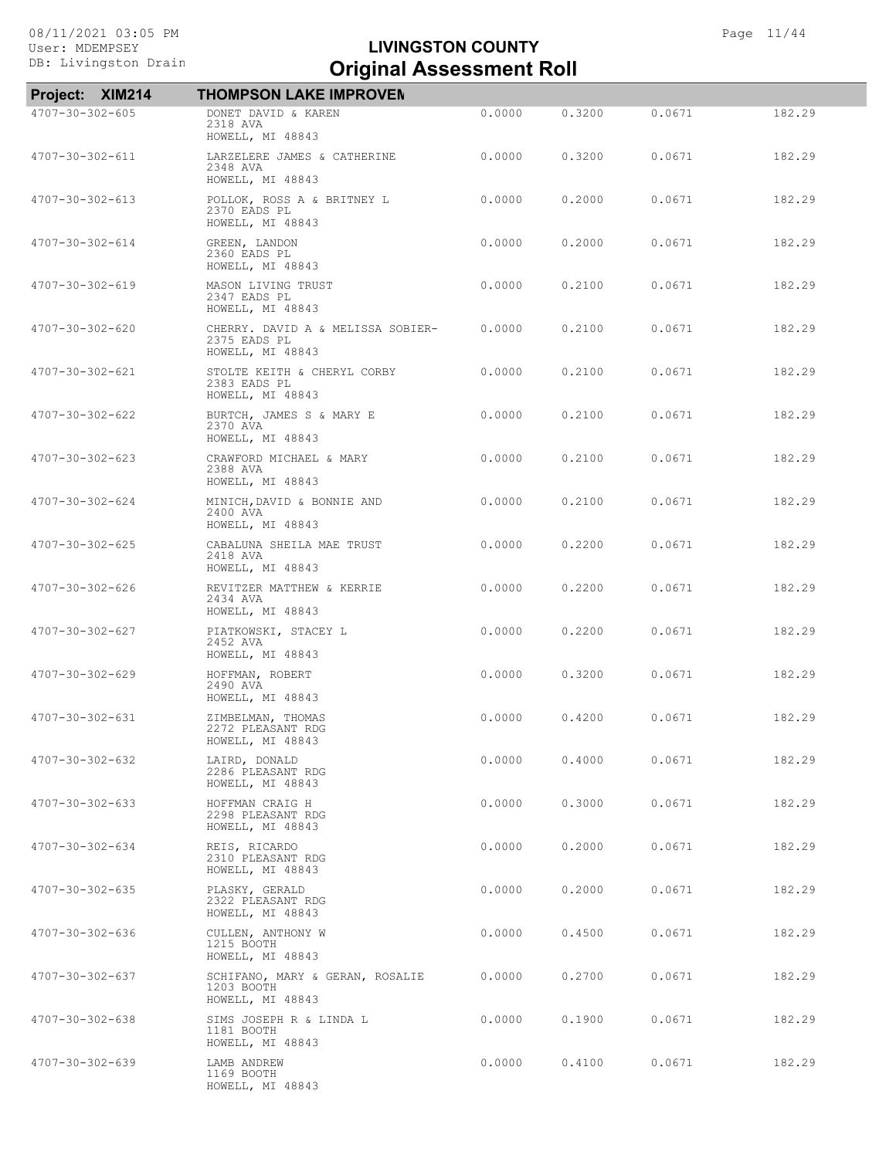| <b>XIM214</b><br><b>Project:</b> | <b>THOMPSON LAKE IMPROVEN</b>                                         |        |        |        |        |
|----------------------------------|-----------------------------------------------------------------------|--------|--------|--------|--------|
| 4707-30-302-605                  | DONET DAVID & KAREN<br>2318 AVA<br>HOWELL, MI 48843                   | 0.0000 | 0.3200 | 0.0671 | 182.29 |
| 4707-30-302-611                  | LARZELERE JAMES & CATHERINE<br>2348 AVA<br>HOWELL, MI 48843           | 0.0000 | 0.3200 | 0.0671 | 182.29 |
| 4707-30-302-613                  | POLLOK, ROSS A & BRITNEY L<br>2370 EADS PL<br>HOWELL, MI 48843        | 0.0000 | 0.2000 | 0.0671 | 182.29 |
| 4707-30-302-614                  | GREEN, LANDON<br>2360 EADS PL<br>HOWELL, MI 48843                     | 0.0000 | 0.2000 | 0.0671 | 182.29 |
| 4707-30-302-619                  | MASON LIVING TRUST<br>2347 EADS PL<br>HOWELL, MI 48843                | 0.0000 | 0.2100 | 0.0671 | 182.29 |
| 4707-30-302-620                  | CHERRY. DAVID A & MELISSA SOBIER-<br>2375 EADS PL<br>HOWELL, MI 48843 | 0.0000 | 0.2100 | 0.0671 | 182.29 |
| 4707-30-302-621                  | STOLTE KEITH & CHERYL CORBY<br>2383 EADS PL<br>HOWELL, MI 48843       | 0.0000 | 0.2100 | 0.0671 | 182.29 |
| 4707-30-302-622                  | BURTCH, JAMES S & MARY E<br>2370 AVA<br>HOWELL, MI 48843              | 0.0000 | 0.2100 | 0.0671 | 182.29 |
| 4707-30-302-623                  | CRAWFORD MICHAEL & MARY<br>2388 AVA<br>HOWELL, MI 48843               | 0.0000 | 0.2100 | 0.0671 | 182.29 |
| $4707 - 30 - 302 - 624$          | MINICH, DAVID & BONNIE AND<br>2400 AVA<br>HOWELL, MI 48843            | 0.0000 | 0.2100 | 0.0671 | 182.29 |
| $4707 - 30 - 302 - 625$          | CABALUNA SHEILA MAE TRUST<br>2418 AVA<br>HOWELL, MI 48843             | 0.0000 | 0.2200 | 0.0671 | 182.29 |
| 4707-30-302-626                  | REVITZER MATTHEW & KERRIE<br>2434 AVA<br>HOWELL, MI 48843             | 0.0000 | 0.2200 | 0.0671 | 182.29 |
| 4707-30-302-627                  | PIATKOWSKI, STACEY L<br>2452 AVA<br>HOWELL, MI 48843                  | 0.0000 | 0.2200 | 0.0671 | 182.29 |
| 4707-30-302-629                  | HOFFMAN, ROBERT<br>2490 AVA<br>HOWELL, MI 48843                       | 0.0000 | 0.3200 | 0.0671 | 182.29 |
| 4707-30-302-631                  | ZIMBELMAN, THOMAS<br>2272 PLEASANT RDG<br>HOWELL, MI 48843            | 0.0000 | 0.4200 | 0.0671 | 182.29 |
| 4707-30-302-632                  | LAIRD, DONALD<br>2286 PLEASANT RDG<br>HOWELL, MI 48843                | 0.0000 | 0.4000 | 0.0671 | 182.29 |
| $4707 - 30 - 302 - 633$          | HOFFMAN CRAIG H<br>2298 PLEASANT RDG<br>HOWELL, MI 48843              | 0.0000 | 0.3000 | 0.0671 | 182.29 |
| 4707-30-302-634                  | REIS, RICARDO<br>2310 PLEASANT RDG<br>HOWELL, MI 48843                | 0.0000 | 0.2000 | 0.0671 | 182.29 |
| $4707 - 30 - 302 - 635$          | PLASKY, GERALD<br>2322 PLEASANT RDG<br>HOWELL, MI 48843               | 0.0000 | 0.2000 | 0.0671 | 182.29 |
| 4707-30-302-636                  | CULLEN, ANTHONY W<br>1215 BOOTH<br>HOWELL, MI 48843                   | 0.0000 | 0.4500 | 0.0671 | 182.29 |
| 4707-30-302-637                  | SCHIFANO, MARY & GERAN, ROSALIE<br>1203 BOOTH<br>HOWELL, MI 48843     | 0.0000 | 0.2700 | 0.0671 | 182.29 |
| $4707 - 30 - 302 - 638$          | SIMS JOSEPH R & LINDA L<br>1181 BOOTH<br>HOWELL, MI 48843             | 0.0000 | 0.1900 | 0.0671 | 182.29 |
| 4707-30-302-639                  | LAMB ANDREW<br>1169 BOOTH<br>HOWELL, MI 48843                         | 0.0000 | 0.4100 | 0.0671 | 182.29 |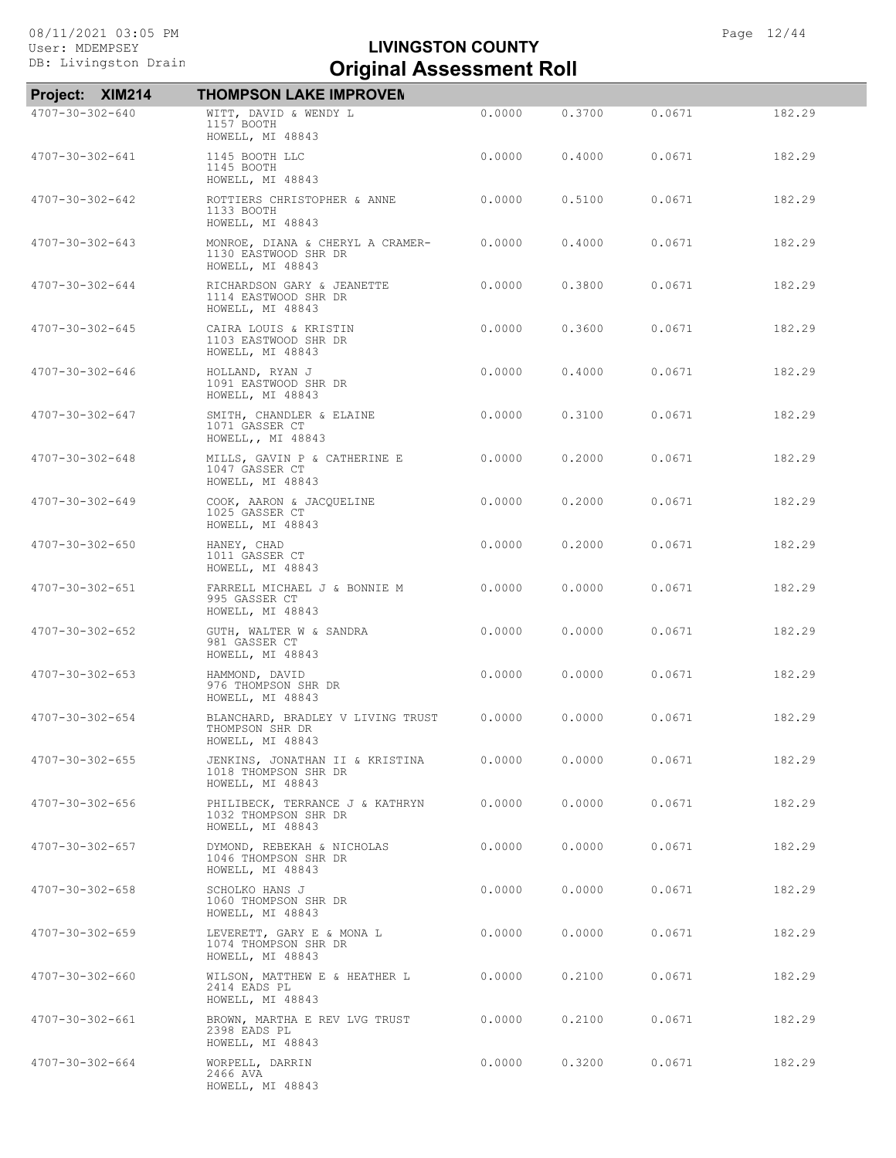| Project: XIM214         | <b>THOMPSON LAKE IMPROVEN</b>                                                |        |        |        |        |
|-------------------------|------------------------------------------------------------------------------|--------|--------|--------|--------|
| 4707-30-302-640         | WITT, DAVID & WENDY L<br>1157 BOOTH<br>HOWELL, MI 48843                      | 0.0000 | 0.3700 | 0.0671 | 182.29 |
| 4707-30-302-641         | 1145 BOOTH LLC<br>1145 BOOTH<br>HOWELL, MI 48843                             | 0.0000 | 0.4000 | 0.0671 | 182.29 |
| 4707-30-302-642         | ROTTIERS CHRISTOPHER & ANNE<br>1133 BOOTH<br>HOWELL, MI 48843                | 0.0000 | 0.5100 | 0.0671 | 182.29 |
| $4707 - 30 - 302 - 643$ | MONROE, DIANA & CHERYL A CRAMER-<br>1130 EASTWOOD SHR DR<br>HOWELL, MI 48843 | 0.0000 | 0.4000 | 0.0671 | 182.29 |
| 4707-30-302-644         | RICHARDSON GARY & JEANETTE<br>1114 EASTWOOD SHR DR<br>HOWELL, MI 48843       | 0.0000 | 0.3800 | 0.0671 | 182.29 |
| $4707 - 30 - 302 - 645$ | CAIRA LOUIS & KRISTIN<br>1103 EASTWOOD SHR DR<br>HOWELL, MI 48843            | 0.0000 | 0.3600 | 0.0671 | 182.29 |
| 4707-30-302-646         | HOLLAND, RYAN J<br>1091 EASTWOOD SHR DR<br>HOWELL, MI 48843                  | 0.0000 | 0.4000 | 0.0671 | 182.29 |
| 4707-30-302-647         | SMITH, CHANDLER & ELAINE<br>1071 GASSER CT<br>HOWELL,, MI 48843              | 0.0000 | 0.3100 | 0.0671 | 182.29 |
| $4707 - 30 - 302 - 648$ | MILLS, GAVIN P & CATHERINE E<br>1047 GASSER CT<br>HOWELL, MI 48843           | 0.0000 | 0,2000 | 0.0671 | 182.29 |
| $4707 - 30 - 302 - 649$ | COOK, AARON & JACQUELINE<br>1025 GASSER CT<br>HOWELL, MI 48843               | 0.0000 | 0.2000 | 0.0671 | 182.29 |
| 4707-30-302-650         | HANEY, CHAD<br>1011 GASSER CT<br>HOWELL, MI 48843                            | 0.0000 | 0.2000 | 0.0671 | 182.29 |
| 4707-30-302-651         | FARRELL MICHAEL J & BONNIE M<br>995 GASSER CT<br>HOWELL, MI 48843            | 0.0000 | 0.0000 | 0.0671 | 182.29 |
| $4707 - 30 - 302 - 652$ | GUTH, WALTER W & SANDRA<br>981 GASSER CT<br>HOWELL, MI 48843                 | 0.0000 | 0.0000 | 0.0671 | 182.29 |
| $4707 - 30 - 302 - 653$ | HAMMOND, DAVID<br>976 THOMPSON SHR DR<br>HOWELL, MI 48843                    | 0.0000 | 0.0000 | 0.0671 | 182.29 |
| $4707 - 30 - 302 - 654$ | BLANCHARD, BRADLEY V LIVING TRUST<br>THOMPSON SHR DR<br>HOWELL, MI 48843     | 0.0000 | 0.0000 | 0.0671 | 182.29 |
| $4707 - 30 - 302 - 655$ | JENKINS, JONATHAN II & KRISTINA<br>1018 THOMPSON SHR DR<br>HOWELL, MI 48843  | 0.0000 | 0.0000 | 0.0671 | 182.29 |
| 4707-30-302-656         | PHILIBECK, TERRANCE J & KATHRYN<br>1032 THOMPSON SHR DR<br>HOWELL, MI 48843  | 0.0000 | 0.0000 | 0.0671 | 182.29 |
| 4707-30-302-657         | DYMOND, REBEKAH & NICHOLAS<br>1046 THOMPSON SHR DR<br>HOWELL, MI 48843       | 0.0000 | 0.0000 | 0.0671 | 182.29 |
| 4707-30-302-658         | SCHOLKO HANS J<br>1060 THOMPSON SHR DR<br>HOWELL, MI 48843                   | 0.0000 | 0.0000 | 0.0671 | 182.29 |
| 4707-30-302-659         | LEVERETT, GARY E & MONA L<br>1074 THOMPSON SHR DR<br>HOWELL, MI 48843        | 0.0000 | 0.0000 | 0.0671 | 182.29 |
| 4707-30-302-660         | WILSON, MATTHEW E & HEATHER L<br>2414 EADS PL<br>HOWELL, MI 48843            | 0.0000 | 0.2100 | 0.0671 | 182.29 |
| 4707-30-302-661         | BROWN, MARTHA E REV LVG TRUST<br>2398 EADS PL<br>HOWELL, MI 48843            | 0.0000 | 0.2100 | 0.0671 | 182.29 |
| 4707-30-302-664         | WORPELL, DARRIN<br>2466 AVA<br>HOWELL, MI 48843                              | 0.0000 | 0.3200 | 0.0671 | 182.29 |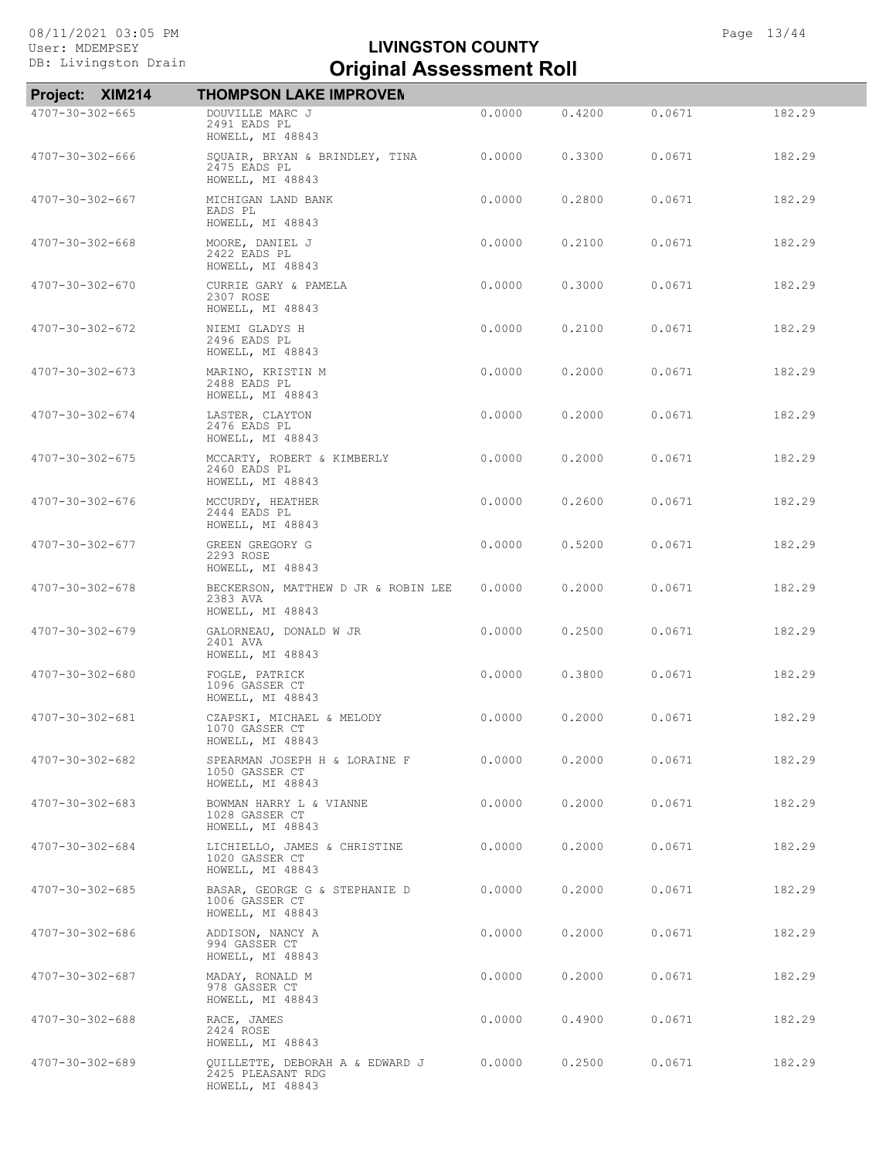| Project: XIM214         | <b>THOMPSON LAKE IMPROVEN</b>                                            |        |        |        |        |
|-------------------------|--------------------------------------------------------------------------|--------|--------|--------|--------|
| 4707-30-302-665         | DOUVILLE MARC J<br>2491 EADS PL<br>HOWELL, MI 48843                      | 0.0000 | 0.4200 | 0.0671 | 182.29 |
| 4707-30-302-666         | SQUAIR, BRYAN & BRINDLEY, TINA<br>2475 EADS PL<br>HOWELL, MI 48843       | 0.0000 | 0.3300 | 0.0671 | 182.29 |
| 4707-30-302-667         | MICHIGAN LAND BANK<br>EADS PL<br>HOWELL, MI 48843                        | 0.0000 | 0.2800 | 0.0671 | 182.29 |
| $4707 - 30 - 302 - 668$ | MOORE, DANIEL J<br>2422 EADS PL<br>HOWELL, MI 48843                      | 0.0000 | 0.2100 | 0.0671 | 182.29 |
| 4707-30-302-670         | CURRIE GARY & PAMELA<br>2307 ROSE<br>HOWELL, MI 48843                    | 0.0000 | 0.3000 | 0.0671 | 182.29 |
| 4707-30-302-672         | NIEMI GLADYS H<br>2496 EADS PL<br>HOWELL, MI 48843                       | 0.0000 | 0.2100 | 0.0671 | 182.29 |
| 4707-30-302-673         | MARINO, KRISTIN M<br>2488 EADS PL<br>HOWELL, MI 48843                    | 0.0000 | 0.2000 | 0.0671 | 182.29 |
| 4707-30-302-674         | LASTER, CLAYTON<br>2476 EADS PL<br>HOWELL, MI 48843                      | 0.0000 | 0.2000 | 0.0671 | 182.29 |
| 4707-30-302-675         | MCCARTY, ROBERT & KIMBERLY<br>2460 EADS PL<br>HOWELL, MI 48843           | 0.0000 | 0,2000 | 0.0671 | 182.29 |
| 4707-30-302-676         | MCCURDY, HEATHER<br>2444 EADS PL<br>HOWELL, MI 48843                     | 0.0000 | 0.2600 | 0.0671 | 182.29 |
| 4707-30-302-677         | GREEN GREGORY G<br>2293 ROSE<br>HOWELL, MI 48843                         | 0.0000 | 0.5200 | 0.0671 | 182.29 |
| 4707-30-302-678         | BECKERSON, MATTHEW D JR & ROBIN LEE<br>2383 AVA<br>HOWELL, MI 48843      | 0.0000 | 0.2000 | 0.0671 | 182.29 |
| 4707-30-302-679         | GALORNEAU, DONALD W JR<br>2401 AVA<br>HOWELL, MI 48843                   | 0.0000 | 0.2500 | 0.0671 | 182.29 |
| 4707-30-302-680         | FOGLE, PATRICK<br>1096 GASSER CT<br>HOWELL, MI 48843                     | 0.0000 | 0.3800 | 0.0671 | 182.29 |
| 4707-30-302-681         | CZAPSKI, MICHAEL & MELODY<br>1070 GASSER CT<br>HOWELL, MI 48843          | 0.0000 | 0.2000 | 0.0671 | 182.29 |
| 4707-30-302-682         | SPEARMAN JOSEPH H & LORAINE F<br>1050 GASSER CT<br>HOWELL, MI 48843      | 0.0000 | 0.2000 | 0.0671 | 182.29 |
| $4707 - 30 - 302 - 683$ | BOWMAN HARRY L & VIANNE<br>1028 GASSER CT<br>HOWELL, MI 48843            | 0.0000 | 0.2000 | 0.0671 | 182.29 |
| $4707 - 30 - 302 - 684$ | LICHIELLO, JAMES & CHRISTINE<br>1020 GASSER CT<br>HOWELL, MI 48843       | 0.0000 | 0.2000 | 0.0671 | 182.29 |
| 4707-30-302-685         | BASAR, GEORGE G & STEPHANIE D<br>1006 GASSER CT<br>HOWELL, MI 48843      | 0.0000 | 0.2000 | 0.0671 | 182.29 |
| 4707-30-302-686         | ADDISON, NANCY A<br>994 GASSER CT<br>HOWELL, MI 48843                    | 0.0000 | 0.2000 | 0.0671 | 182.29 |
| 4707-30-302-687         | MADAY, RONALD M<br>978 GASSER CT<br>HOWELL, MI 48843                     | 0.0000 | 0.2000 | 0.0671 | 182.29 |
| $4707 - 30 - 302 - 688$ | RACE, JAMES<br>2424 ROSE<br>HOWELL, MI 48843                             | 0.0000 | 0.4900 | 0.0671 | 182.29 |
| 4707-30-302-689         | QUILLETTE, DEBORAH A & EDWARD J<br>2425 PLEASANT RDG<br>HOWELL, MI 48843 | 0.0000 | 0.2500 | 0.0671 | 182.29 |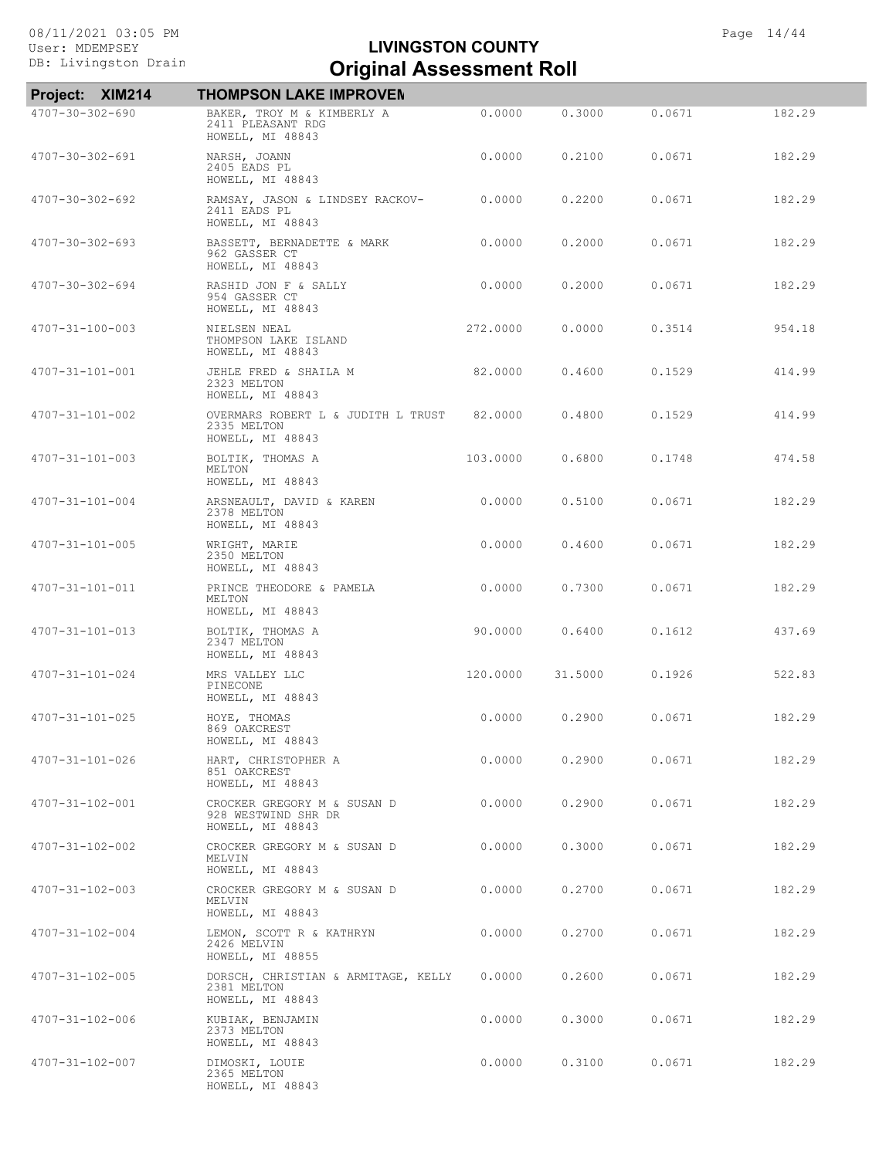| Project: XIM214         | <b>THOMPSON LAKE IMPROVEN</b>                                          |          |         |        |        |
|-------------------------|------------------------------------------------------------------------|----------|---------|--------|--------|
| 4707-30-302-690         | BAKER, TROY M & KIMBERLY A<br>2411 PLEASANT RDG<br>HOWELL, MI 48843    | 0.0000   | 0.3000  | 0.0671 | 182.29 |
| $4707 - 30 - 302 - 691$ | NARSH, JOANN<br>2405 EADS PL<br>HOWELL, MI 48843                       | 0.0000   | 0.2100  | 0.0671 | 182.29 |
| $4707 - 30 - 302 - 692$ | RAMSAY, JASON & LINDSEY RACKOV-<br>2411 EADS PL<br>HOWELL, MI 48843    | 0.0000   | 0.2200  | 0.0671 | 182.29 |
| $4707 - 30 - 302 - 693$ | BASSETT, BERNADETTE & MARK<br>962 GASSER CT<br>HOWELL, MI 48843        | 0.0000   | 0.2000  | 0.0671 | 182.29 |
| $4707 - 30 - 302 - 694$ | RASHID JON F & SALLY<br>954 GASSER CT<br>HOWELL, MI 48843              | 0.0000   | 0.2000  | 0.0671 | 182.29 |
| 4707-31-100-003         | NIELSEN NEAL<br>THOMPSON LAKE ISLAND<br>HOWELL, MI 48843               | 272,0000 | 0.0000  | 0.3514 | 954.18 |
| 4707-31-101-001         | JEHLE FRED & SHAILA M<br>2323 MELTON<br>HOWELL, MI 48843               | 82,0000  | 0.4600  | 0.1529 | 414.99 |
| 4707-31-101-002         | OVERMARS ROBERT L & JUDITH L TRUST<br>2335 MELTON<br>HOWELL, MI 48843  | 82,0000  | 0.4800  | 0.1529 | 414.99 |
| 4707-31-101-003         | BOLTIK, THOMAS A<br>MELTON<br>HOWELL, MI 48843                         | 103.0000 | 0.6800  | 0.1748 | 474.58 |
| $4707 - 31 - 101 - 004$ | ARSNEAULT, DAVID & KAREN<br>2378 MELTON<br>HOWELL, MI 48843            | 0.0000   | 0.5100  | 0.0671 | 182.29 |
| 4707-31-101-005         | WRIGHT, MARIE<br>2350 MELTON<br>HOWELL, MI 48843                       | 0.0000   | 0.4600  | 0.0671 | 182.29 |
| 4707-31-101-011         | PRINCE THEODORE & PAMELA<br>MELTON<br>HOWELL, MI 48843                 | 0.0000   | 0.7300  | 0.0671 | 182.29 |
| 4707-31-101-013         | BOLTIK, THOMAS A<br>2347 MELTON<br>HOWELL, MI 48843                    | 90.0000  | 0.6400  | 0.1612 | 437.69 |
| $4707 - 31 - 101 - 024$ | MRS VALLEY LLC<br>PINECONE<br>HOWELL, MI 48843                         | 120.0000 | 31.5000 | 0.1926 | 522.83 |
| $4707 - 31 - 101 - 025$ | HOYE, THOMAS<br>869 OAKCREST<br>HOWELL, MI 48843                       | 0.0000   | 0.2900  | 0.0671 | 182.29 |
| 4707-31-101-026         | HART, CHRISTOPHER A<br>851 OAKCREST<br>HOWELL, MI 48843                | 0.0000   | 0.2900  | 0.0671 | 182.29 |
| 4707-31-102-001         | CROCKER GREGORY M & SUSAN D<br>928 WESTWIND SHR DR<br>HOWELL, MI 48843 | 0.0000   | 0.2900  | 0.0671 | 182.29 |
| 4707-31-102-002         | CROCKER GREGORY M & SUSAN D<br>MELVIN<br>HOWELL, MI 48843              | 0.0000   | 0.3000  | 0.0671 | 182.29 |
| 4707-31-102-003         | CROCKER GREGORY M & SUSAN D<br>MELVIN<br>HOWELL, MI 48843              | 0.0000   | 0.2700  | 0.0671 | 182.29 |
| 4707-31-102-004         | LEMON, SCOTT R & KATHRYN<br>2426 MELVIN<br>HOWELL, MI 48855            | 0.0000   | 0.2700  | 0.0671 | 182.29 |
| 4707-31-102-005         | DORSCH, CHRISTIAN & ARMITAGE, KELLY<br>2381 MELTON<br>HOWELL, MI 48843 | 0.0000   | 0.2600  | 0.0671 | 182.29 |
| 4707-31-102-006         | KUBIAK, BENJAMIN<br>2373 MELTON<br>HOWELL, MI 48843                    | 0.0000   | 0.3000  | 0.0671 | 182.29 |
| 4707-31-102-007         | DIMOSKI, LOUIE<br>2365 MELTON<br>HOWELL, MI 48843                      | 0.0000   | 0.3100  | 0.0671 | 182.29 |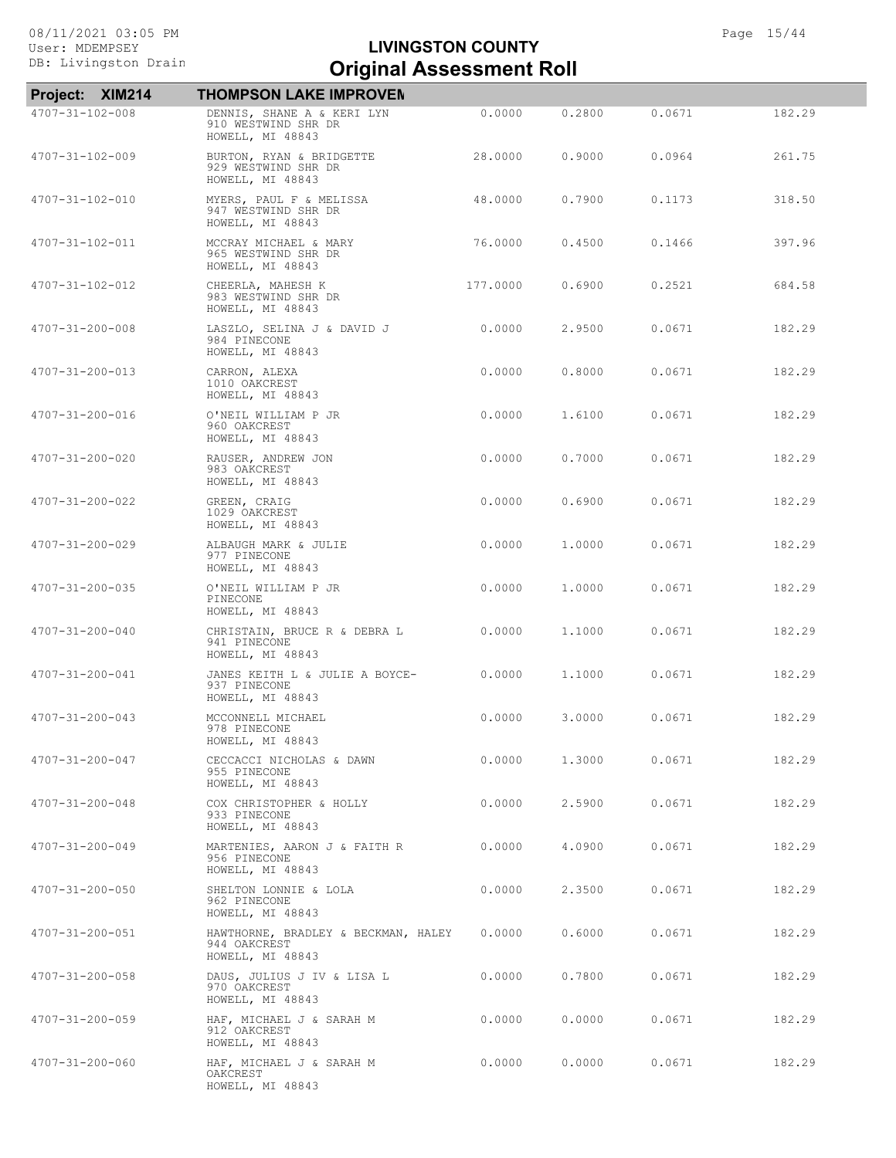| Project: XIM214         | <b>THOMPSON LAKE IMPROVEN</b>                                           |          |        |        |        |
|-------------------------|-------------------------------------------------------------------------|----------|--------|--------|--------|
| 4707-31-102-008         | DENNIS, SHANE A & KERI LYN<br>910 WESTWIND SHR DR<br>HOWELL, MI 48843   | 0.0000   | 0.2800 | 0.0671 | 182.29 |
| 4707-31-102-009         | BURTON, RYAN & BRIDGETTE<br>929 WESTWIND SHR DR<br>HOWELL, MI 48843     | 28,0000  | 0.9000 | 0.0964 | 261.75 |
| 4707-31-102-010         | MYERS, PAUL F & MELISSA<br>947 WESTWIND SHR DR<br>HOWELL, MI 48843      | 48.0000  | 0.7900 | 0.1173 | 318.50 |
| 4707-31-102-011         | MCCRAY MICHAEL & MARY<br>965 WESTWIND SHR DR<br>HOWELL, MI 48843        | 76.0000  | 0.4500 | 0.1466 | 397.96 |
| 4707-31-102-012         | CHEERLA, MAHESH K<br>983 WESTWIND SHR DR<br>HOWELL, MI 48843            | 177.0000 | 0.6900 | 0.2521 | 684.58 |
| 4707-31-200-008         | LASZLO, SELINA J & DAVID J<br>984 PINECONE<br>HOWELL, MI 48843          | 0.0000   | 2.9500 | 0.0671 | 182.29 |
| 4707-31-200-013         | CARRON, ALEXA<br>1010 OAKCREST<br>HOWELL, MI 48843                      | 0.0000   | 0.8000 | 0.0671 | 182.29 |
| 4707-31-200-016         | O'NEIL WILLIAM P JR<br>960 OAKCREST<br>HOWELL, MI 48843                 | 0.0000   | 1,6100 | 0.0671 | 182.29 |
| 4707-31-200-020         | RAUSER, ANDREW JON<br>983 OAKCREST<br>HOWELL, MI 48843                  | 0.0000   | 0.7000 | 0.0671 | 182.29 |
| 4707-31-200-022         | GREEN, CRAIG<br>1029 OAKCREST<br>HOWELL, MI 48843                       | 0.0000   | 0.6900 | 0.0671 | 182.29 |
| 4707-31-200-029         | ALBAUGH MARK & JULIE<br>977 PINECONE<br>HOWELL, MI 48843                | 0.0000   | 1,0000 | 0.0671 | 182.29 |
| 4707-31-200-035         | O'NEIL WILLIAM P JR<br>PINECONE<br>HOWELL, MI 48843                     | 0.0000   | 1,0000 | 0.0671 | 182.29 |
| $4707 - 31 - 200 - 040$ | CHRISTAIN, BRUCE R & DEBRA L<br>941 PINECONE<br>HOWELL, MI 48843        | 0.0000   | 1,1000 | 0.0671 | 182.29 |
| 4707-31-200-041         | JANES KEITH L & JULIE A BOYCE-<br>937 PINECONE<br>HOWELL, MI 48843      | 0.0000   | 1,1000 | 0.0671 | 182.29 |
| 4707-31-200-043         | MCCONNELL MICHAEL<br>978 PINECONE<br>HOWELL, MI 48843                   | 0.0000   | 3.0000 | 0.0671 | 182.29 |
| 4707-31-200-047         | CECCACCI NICHOLAS & DAWN<br>955 PINECONE<br>HOWELL, MI 48843            | 0.0000   | 1,3000 | 0.0671 | 182.29 |
| $4707 - 31 - 200 - 048$ | COX CHRISTOPHER & HOLLY<br>933 PINECONE<br>HOWELL, MI 48843             | 0.0000   | 2,5900 | 0.0671 | 182.29 |
| 4707-31-200-049         | MARTENIES, AARON J & FAITH R<br>956 PINECONE<br>HOWELL, MI 48843        | 0.0000   | 4,0900 | 0.0671 | 182.29 |
| 4707-31-200-050         | SHELTON LONNIE & LOLA<br>962 PINECONE<br>HOWELL, MI 48843               | 0.0000   | 2,3500 | 0.0671 | 182.29 |
| 4707-31-200-051         | HAWTHORNE, BRADLEY & BECKMAN, HALEY<br>944 OAKCREST<br>HOWELL, MI 48843 | 0.0000   | 0.6000 | 0.0671 | 182.29 |
| 4707-31-200-058         | DAUS, JULIUS J IV & LISA L<br>970 OAKCREST<br>HOWELL, MI 48843          | 0.0000   | 0.7800 | 0.0671 | 182.29 |
| $4707 - 31 - 200 - 059$ | HAF, MICHAEL J & SARAH M<br>912 OAKCREST<br>HOWELL, MI 48843            | 0.0000   | 0.0000 | 0.0671 | 182.29 |
| 4707-31-200-060         | HAF, MICHAEL J & SARAH M<br>OAKCREST<br>HOWELL, MI 48843                | 0.0000   | 0.0000 | 0.0671 | 182.29 |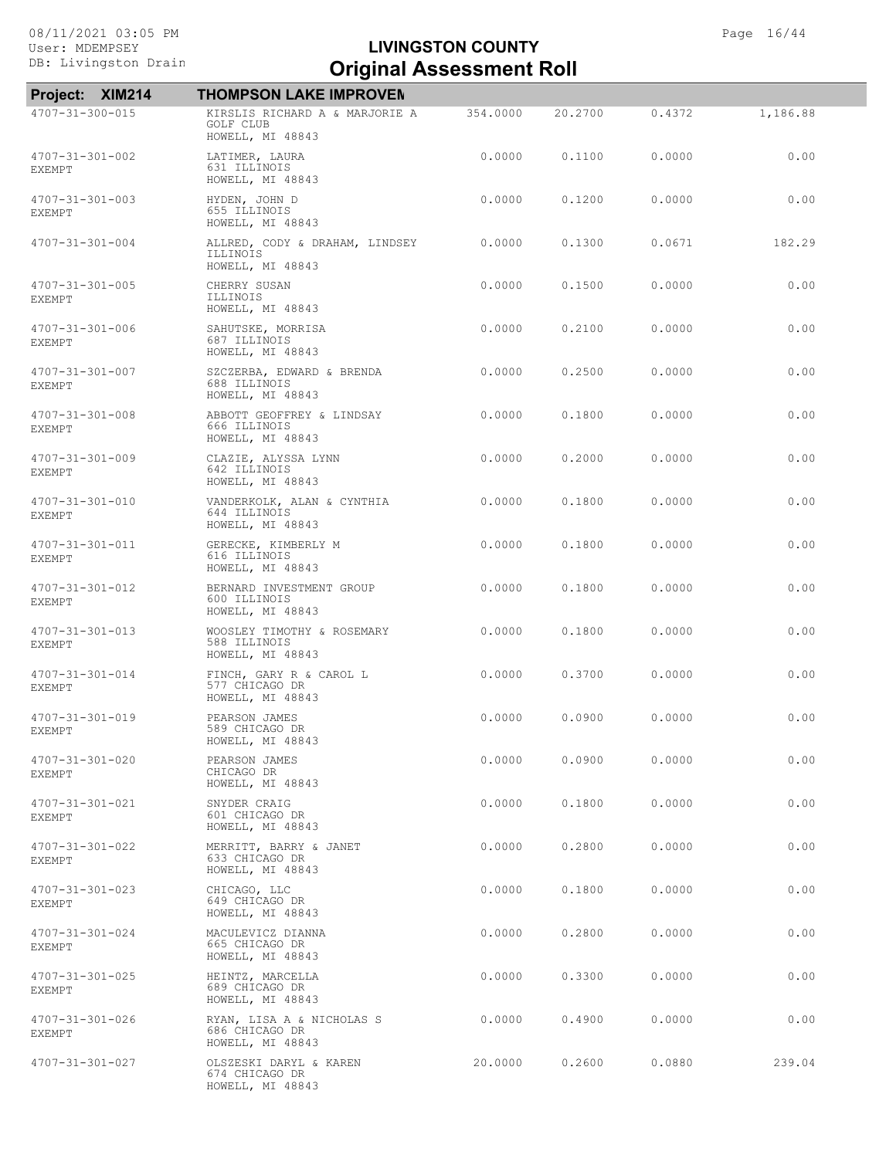| Project: XIM214                   | <b>THOMPSON LAKE IMPROVEN</b>                                   |          |         |        |          |
|-----------------------------------|-----------------------------------------------------------------|----------|---------|--------|----------|
| 4707-31-300-015                   | KIRSLIS RICHARD A & MARJORIE A<br>GOLF CLUB<br>HOWELL, MI 48843 | 354.0000 | 20,2700 | 0.4372 | 1,186.88 |
| 4707-31-301-002<br><b>EXEMPT</b>  | LATIMER, LAURA<br>631 ILLINOIS<br>HOWELL, MI 48843              | 0.0000   | 0.1100  | 0.0000 | 0.00     |
| 4707-31-301-003<br>EXEMPT         | HYDEN, JOHN D<br>655 ILLINOIS<br>HOWELL, MI 48843               | 0.0000   | 0.1200  | 0.0000 | 0.00     |
| 4707-31-301-004                   | ALLRED, CODY & DRAHAM, LINDSEY<br>ILLINOIS<br>HOWELL, MI 48843  | 0.0000   | 0.1300  | 0.0671 | 182.29   |
| 4707-31-301-005<br><b>EXEMPT</b>  | CHERRY SUSAN<br>ILLINOIS<br>HOWELL, MI 48843                    | 0.0000   | 0.1500  | 0.0000 | 0.00     |
| 4707-31-301-006<br><b>EXEMPT</b>  | SAHUTSKE, MORRISA<br>687 ILLINOIS<br>HOWELL, MI 48843           | 0.0000   | 0.2100  | 0.0000 | 0.00     |
| 4707-31-301-007<br><b>EXEMPT</b>  | SZCZERBA, EDWARD & BRENDA<br>688 ILLINOIS<br>HOWELL, MI 48843   | 0.0000   | 0.2500  | 0.0000 | 0.00     |
| 4707-31-301-008<br><b>EXEMPT</b>  | ABBOTT GEOFFREY & LINDSAY<br>666 ILLINOIS<br>HOWELL, MI 48843   | 0.0000   | 0.1800  | 0.0000 | 0.00     |
| 4707-31-301-009<br><b>EXEMPT</b>  | CLAZIE, ALYSSA LYNN<br>642 ILLINOIS<br>HOWELL, MI 48843         | 0.0000   | 0.2000  | 0.0000 | 0.00     |
| 4707-31-301-010<br><b>EXEMPT</b>  | VANDERKOLK, ALAN & CYNTHIA<br>644 ILLINOIS<br>HOWELL, MI 48843  | 0.0000   | 0.1800  | 0.0000 | 0.00     |
| 4707-31-301-011<br><b>EXEMPT</b>  | GERECKE, KIMBERLY M<br>616 ILLINOIS<br>HOWELL, MI 48843         | 0.0000   | 0.1800  | 0.0000 | 0.00     |
| 4707-31-301-012<br>EXEMPT         | BERNARD INVESTMENT GROUP<br>600 ILLINOIS<br>HOWELL, MI 48843    | 0.0000   | 0.1800  | 0.0000 | 0.00     |
| $4707 - 31 - 301 - 013$<br>EXEMPT | WOOSLEY TIMOTHY & ROSEMARY<br>588 ILLINOIS<br>HOWELL, MI 48843  | 0.0000   | 0.1800  | 0.0000 | 0.00     |
| 4707-31-301-014<br><b>EXEMPT</b>  | FINCH, GARY R & CAROL L<br>577 CHICAGO DR<br>HOWELL, MI 48843   | 0.0000   | 0.3700  | 0.0000 | 0.00     |
| 4707-31-301-019<br>EXEMPT         | PEARSON JAMES<br>589 CHICAGO DR<br>HOWELL, MI 48843             | 0.0000   | 0.0900  | 0.0000 | 0.00     |
| 4707-31-301-020<br><b>EXEMPT</b>  | PEARSON JAMES<br>CHICAGO DR<br>HOWELL, MI 48843                 | 0.0000   | 0.0900  | 0.0000 | 0.00     |
| 4707-31-301-021<br><b>EXEMPT</b>  | SNYDER CRAIG<br>601 CHICAGO DR<br>HOWELL, MI 48843              | 0.0000   | 0.1800  | 0.0000 | 0.00     |
| 4707-31-301-022<br>EXEMPT         | MERRITT, BARRY & JANET<br>633 CHICAGO DR<br>HOWELL, MI 48843    | 0.0000   | 0.2800  | 0.0000 | 0.00     |
| $4707 - 31 - 301 - 023$<br>EXEMPT | CHICAGO, LLC<br>649 CHICAGO DR<br>HOWELL, MI 48843              | 0.0000   | 0.1800  | 0.0000 | 0.00     |
| 4707-31-301-024<br>EXEMPT         | MACULEVICZ DIANNA<br>665 CHICAGO DR<br>HOWELL, MI 48843         | 0.0000   | 0.2800  | 0.0000 | 0.00     |
| 4707-31-301-025<br>EXEMPT         | HEINTZ, MARCELLA<br>689 CHICAGO DR<br>HOWELL, MI 48843          | 0.0000   | 0.3300  | 0.0000 | 0.00     |
| 4707-31-301-026<br>EXEMPT         | RYAN, LISA A & NICHOLAS S<br>686 CHICAGO DR<br>HOWELL, MI 48843 | 0.0000   | 0.4900  | 0.0000 | 0.00     |
| $4707 - 31 - 301 - 027$           | OLSZESKI DARYL & KAREN<br>674 CHICAGO DR<br>HOWELL, MI 48843    | 20.0000  | 0.2600  | 0.0880 | 239.04   |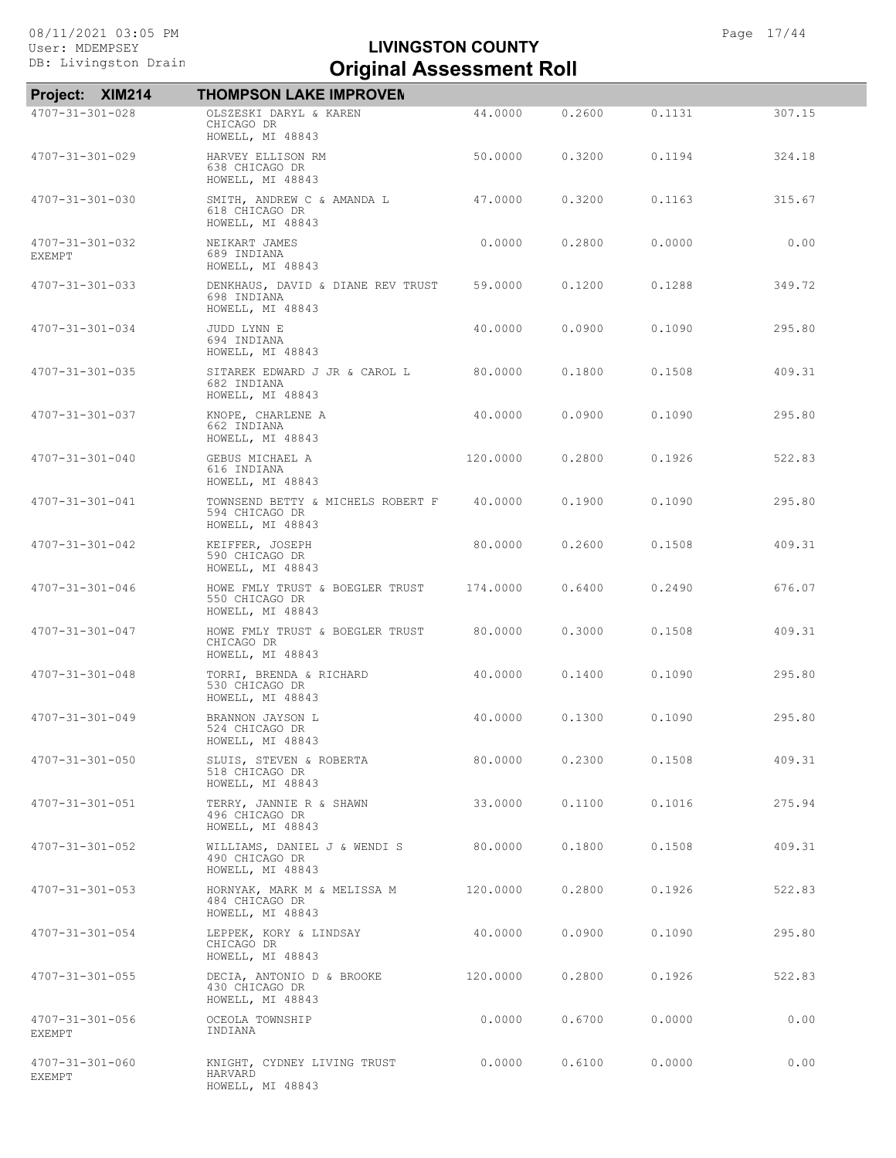| Project: XIM214                          | <b>THOMPSON LAKE IMPROVEN</b>                                           |          |        |        |        |
|------------------------------------------|-------------------------------------------------------------------------|----------|--------|--------|--------|
| 4707-31-301-028                          | OLSZESKI DARYL & KAREN<br>CHICAGO DR<br>HOWELL, MI 48843                | 44.0000  | 0.2600 | 0.1131 | 307.15 |
| 4707-31-301-029                          | HARVEY ELLISON RM<br>638 CHICAGO DR<br>HOWELL, MI 48843                 | 50,0000  | 0.3200 | 0.1194 | 324.18 |
| 4707-31-301-030                          | SMITH, ANDREW C & AMANDA L<br>618 CHICAGO DR<br>HOWELL, MI 48843        | 47.0000  | 0.3200 | 0.1163 | 315.67 |
| $4707 - 31 - 301 - 032$<br><b>EXEMPT</b> | NEIKART JAMES<br>689 INDIANA<br>HOWELL, MI 48843                        | 0.0000   | 0.2800 | 0.0000 | 0.00   |
| 4707-31-301-033                          | DENKHAUS, DAVID & DIANE REV TRUST<br>698 INDIANA<br>HOWELL, MI 48843    | 59.0000  | 0.1200 | 0.1288 | 349.72 |
| 4707-31-301-034                          | JUDD LYNN E<br>694 INDIANA<br>HOWELL, MI 48843                          | 40.0000  | 0.0900 | 0.1090 | 295.80 |
| 4707-31-301-035                          | SITAREK EDWARD J JR & CAROL L<br>682 INDIANA<br>HOWELL, MI 48843        | 80,0000  | 0.1800 | 0.1508 | 409.31 |
| $4707 - 31 - 301 - 037$                  | KNOPE, CHARLENE A<br>662 INDIANA<br>HOWELL, MI 48843                    | 40.0000  | 0.0900 | 0.1090 | 295.80 |
| 4707-31-301-040                          | GEBUS MICHAEL A<br>616 INDIANA<br>HOWELL, MI 48843                      | 120.0000 | 0.2800 | 0.1926 | 522.83 |
| 4707-31-301-041                          | TOWNSEND BETTY & MICHELS ROBERT F<br>594 CHICAGO DR<br>HOWELL, MI 48843 | 40.0000  | 0.1900 | 0.1090 | 295.80 |
| 4707-31-301-042                          | KEIFFER, JOSEPH<br>590 CHICAGO DR<br>HOWELL, MI 48843                   | 80.0000  | 0.2600 | 0.1508 | 409.31 |
| 4707-31-301-046                          | HOWE FMLY TRUST & BOEGLER TRUST<br>550 CHICAGO DR<br>HOWELL, MI 48843   | 174.0000 | 0.6400 | 0.2490 | 676.07 |
| 4707-31-301-047                          | HOWE FMLY TRUST & BOEGLER TRUST<br>CHICAGO DR<br>HOWELL, MI 48843       | 80.0000  | 0.3000 | 0.1508 | 409.31 |
| 4707-31-301-048                          | TORRI, BRENDA & RICHARD<br>530 CHICAGO DR<br>HOWELL, MI 48843           | 40.0000  | 0.1400 | 0.1090 | 295.80 |
| 4707-31-301-049                          | BRANNON JAYSON L<br>524 CHICAGO DR<br>HOWELL, MI 48843                  | 40.0000  | 0.1300 | 0.1090 | 295.80 |
| $4707 - 31 - 301 - 050$                  | SLUIS, STEVEN & ROBERTA<br>518 CHICAGO DR<br>HOWELL, MI 48843           | 80,0000  | 0.2300 | 0.1508 | 409.31 |
| 4707-31-301-051                          | TERRY, JANNIE R & SHAWN<br>496 CHICAGO DR<br>HOWELL, MI 48843           | 33,0000  | 0.1100 | 0.1016 | 275.94 |
| $4707 - 31 - 301 - 052$                  | WILLIAMS, DANIEL J & WENDI S<br>490 CHICAGO DR<br>HOWELL, MI 48843      | 80.0000  | 0.1800 | 0.1508 | 409.31 |
| $4707 - 31 - 301 - 053$                  | HORNYAK, MARK M & MELISSA M<br>484 CHICAGO DR<br>HOWELL, MI 48843       | 120.0000 | 0.2800 | 0.1926 | 522.83 |
| 4707-31-301-054                          | LEPPEK, KORY & LINDSAY<br>CHICAGO DR<br>HOWELL, MI 48843                | 40.0000  | 0.0900 | 0.1090 | 295.80 |
| $4707 - 31 - 301 - 055$                  | DECIA, ANTONIO D & BROOKE<br>430 CHICAGO DR<br>HOWELL, MI 48843         | 120.0000 | 0.2800 | 0.1926 | 522.83 |
| 4707-31-301-056<br>EXEMPT                | OCEOLA TOWNSHIP<br>INDIANA                                              | 0.0000   | 0.6700 | 0.0000 | 0.00   |
| 4707-31-301-060<br><b>EXEMPT</b>         | KNIGHT, CYDNEY LIVING TRUST<br>HARVARD<br>HOWELL, MI 48843              | 0.0000   | 0.6100 | 0.0000 | 0.00   |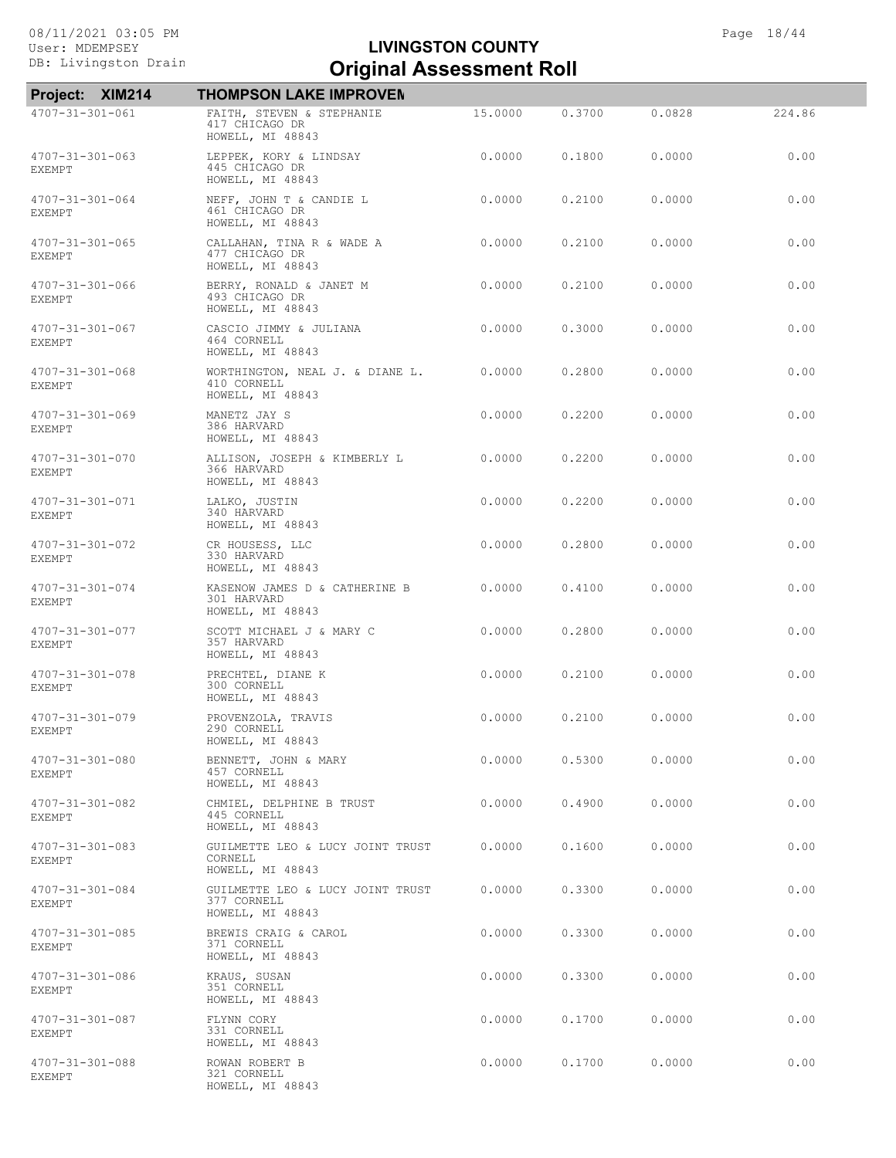# Exterior Drain **Criginal Assessment Roll LIVINGSTON COUNTY**

| Project: XIM214                          | <b>THOMPSON LAKE IMPROVEN</b>                                       |         |        |        |        |
|------------------------------------------|---------------------------------------------------------------------|---------|--------|--------|--------|
| $4707 - 31 - 301 - 061$                  | FAITH, STEVEN & STEPHANIE<br>417 CHICAGO DR<br>HOWELL, MI 48843     | 15,0000 | 0.3700 | 0.0828 | 224.86 |
| $4707 - 31 - 301 - 063$<br><b>EXEMPT</b> | LEPPEK, KORY & LINDSAY<br>445 CHICAGO DR<br>HOWELL, MI 48843        | 0.0000  | 0.1800 | 0.0000 | 0.00   |
| 4707-31-301-064<br>EXEMPT                | NEFF, JOHN T & CANDIE L<br>461 CHICAGO DR<br>HOWELL, MI 48843       | 0.0000  | 0.2100 | 0.0000 | 0.00   |
| 4707-31-301-065<br><b>EXEMPT</b>         | CALLAHAN, TINA R & WADE A<br>477 CHICAGO DR<br>HOWELL, MI 48843     | 0.0000  | 0.2100 | 0.0000 | 0.00   |
| 4707-31-301-066<br><b>EXEMPT</b>         | BERRY, RONALD & JANET M<br>493 CHICAGO DR<br>HOWELL, MI 48843       | 0.0000  | 0.2100 | 0.0000 | 0.00   |
| $4707 - 31 - 301 - 067$<br>EXEMPT        | CASCIO JIMMY & JULIANA<br>464 CORNELL<br>HOWELL, MI 48843           | 0.0000  | 0.3000 | 0.0000 | 0.00   |
| 4707-31-301-068<br>EXEMPT                | WORTHINGTON, NEAL J. & DIANE L.<br>410 CORNELL<br>HOWELL, MI 48843  | 0.0000  | 0.2800 | 0.0000 | 0.00   |
| $4707 - 31 - 301 - 069$<br><b>EXEMPT</b> | MANETZ JAY S<br>386 HARVARD<br>HOWELL, MI 48843                     | 0.0000  | 0.2200 | 0.0000 | 0.00   |
| $4707 - 31 - 301 - 070$<br><b>EXEMPT</b> | ALLISON, JOSEPH & KIMBERLY L<br>366 HARVARD<br>HOWELL, MI 48843     | 0.0000  | 0.2200 | 0.0000 | 0.00   |
| 4707-31-301-071<br><b>EXEMPT</b>         | LALKO, JUSTIN<br>340 HARVARD<br>HOWELL, MI 48843                    | 0.0000  | 0.2200 | 0.0000 | 0.00   |
| $4707 - 31 - 301 - 072$<br><b>EXEMPT</b> | CR HOUSESS, LLC<br>330 HARVARD<br>HOWELL, MI 48843                  | 0.0000  | 0.2800 | 0.0000 | 0.00   |
| $4707 - 31 - 301 - 074$<br>EXEMPT        | KASENOW JAMES D & CATHERINE B<br>301 HARVARD<br>HOWELL, MI 48843    | 0.0000  | 0.4100 | 0.0000 | 0.00   |
| 4707-31-301-077<br><b>EXEMPT</b>         | SCOTT MICHAEL J & MARY C<br>357 HARVARD<br>HOWELL, MI 48843         | 0.0000  | 0.2800 | 0.0000 | 0.00   |
| 4707-31-301-078<br><b>EXEMPT</b>         | PRECHTEL, DIANE K<br>300 CORNELL<br>HOWELL, MI 48843                | 0.0000  | 0.2100 | 0.0000 | 0.00   |
| 4707-31-301-079<br><b>EXEMPT</b>         | PROVENZOLA, TRAVIS<br>290 CORNELL<br>HOWELL, MI 48843               | 0.0000  | 0.2100 | 0.0000 | 0.00   |
| 4707-31-301-080<br>EXEMPT                | BENNETT, JOHN & MARY<br>457 CORNELL<br>HOWELL, MI 48843             | 0.0000  | 0.5300 | 0.0000 | 0.00   |
| 4707-31-301-082<br>EXEMPT                | CHMIEL, DELPHINE B TRUST<br>445 CORNELL<br>HOWELL, MI 48843         | 0.0000  | 0.4900 | 0.0000 | 0.00   |
| 4707-31-301-083<br><b>EXEMPT</b>         | GUILMETTE LEO & LUCY JOINT TRUST<br>CORNELL<br>HOWELL, MI 48843     | 0.0000  | 0.1600 | 0.0000 | 0.00   |
| $4707 - 31 - 301 - 084$<br>EXEMPT        | GUILMETTE LEO & LUCY JOINT TRUST<br>377 CORNELL<br>HOWELL, MI 48843 | 0.0000  | 0.3300 | 0.0000 | 0.00   |
| $4707 - 31 - 301 - 085$<br>EXEMPT        | BREWIS CRAIG & CAROL<br>371 CORNELL<br>HOWELL, MI 48843             | 0.0000  | 0.3300 | 0.0000 | 0.00   |
| 4707-31-301-086<br>EXEMPT                | KRAUS, SUSAN<br>351 CORNELL<br>HOWELL, MI 48843                     | 0.0000  | 0.3300 | 0.0000 | 0.00   |
| 4707-31-301-087<br><b>EXEMPT</b>         | FLYNN CORY<br>331 CORNELL<br>HOWELL, MI 48843                       | 0.0000  | 0.1700 | 0.0000 | 0.00   |
| 4707-31-301-088<br>EXEMPT                | ROWAN ROBERT B<br>321 CORNELL<br>HOWELL, MI 48843                   | 0.0000  | 0.1700 | 0.0000 | 0.00   |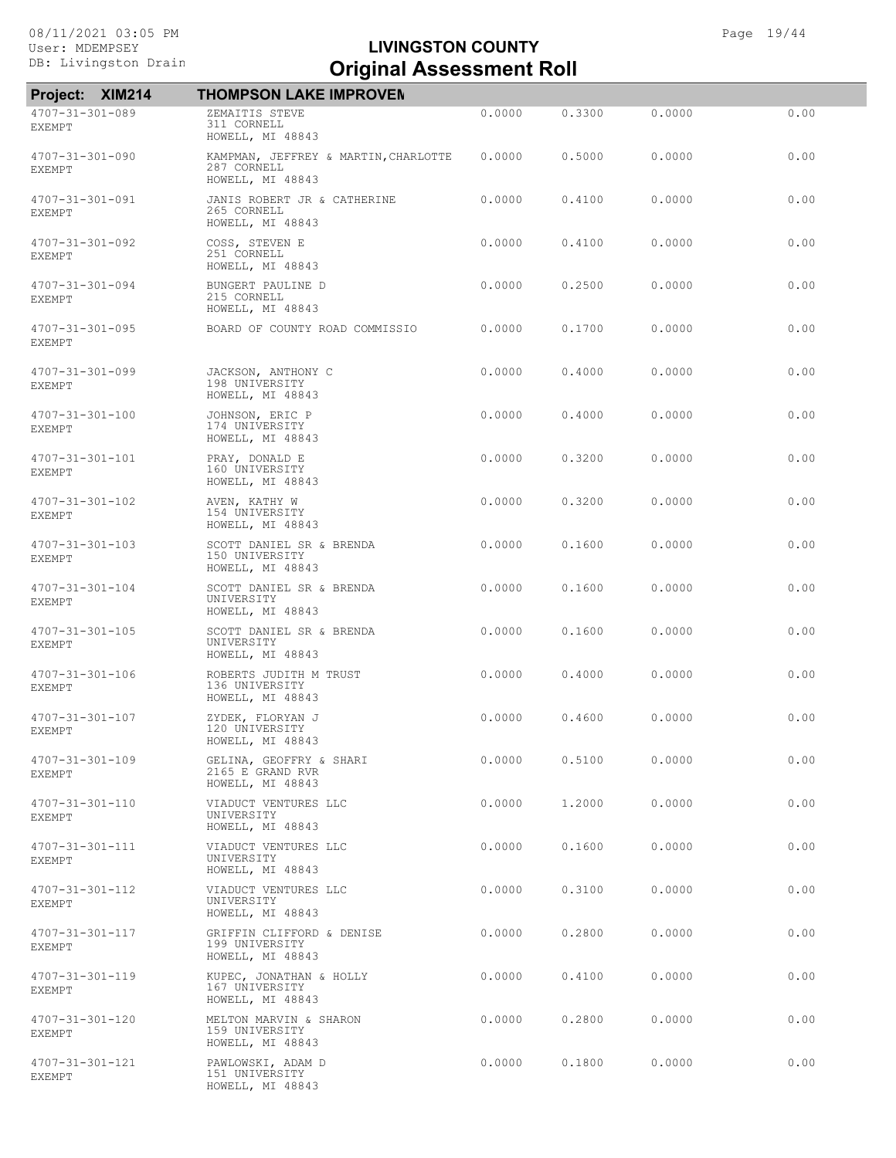| Project:                                 | <b>XIM214</b> | <b>THOMPSON LAKE IMPROVEN</b>                                           |        |        |        |      |
|------------------------------------------|---------------|-------------------------------------------------------------------------|--------|--------|--------|------|
| 4707-31-301-089<br><b>EXEMPT</b>         |               | ZEMAITIS STEVE<br>311 CORNELL<br>HOWELL, MI 48843                       | 0.0000 | 0.3300 | 0.0000 | 0.00 |
| 4707-31-301-090<br>EXEMPT                |               | KAMPMAN, JEFFREY & MARTIN, CHARLOTTE<br>287 CORNELL<br>HOWELL, MI 48843 | 0.0000 | 0.5000 | 0.0000 | 0.00 |
| 4707-31-301-091<br>EXEMPT                |               | JANIS ROBERT JR & CATHERINE<br>265 CORNELL<br>HOWELL, MI 48843          | 0.0000 | 0.4100 | 0.0000 | 0.00 |
| $4707 - 31 - 301 - 092$<br>EXEMPT        |               | COSS, STEVEN E<br>251 CORNELL<br>HOWELL, MI 48843                       | 0.0000 | 0.4100 | 0.0000 | 0.00 |
| $4707 - 31 - 301 - 094$<br><b>EXEMPT</b> |               | BUNGERT PAULINE D<br>215 CORNELL<br>HOWELL, MI 48843                    | 0.0000 | 0.2500 | 0.0000 | 0.00 |
| $4707 - 31 - 301 - 095$<br>EXEMPT        |               | BOARD OF COUNTY ROAD COMMISSIO                                          | 0.0000 | 0.1700 | 0.0000 | 0.00 |
| 4707-31-301-099<br><b>EXEMPT</b>         |               | JACKSON, ANTHONY C<br>198 UNIVERSITY<br>HOWELL, MI 48843                | 0.0000 | 0.4000 | 0.0000 | 0.00 |
| $4707 - 31 - 301 - 100$<br><b>EXEMPT</b> |               | JOHNSON, ERIC P<br>174 UNIVERSITY<br>HOWELL, MI 48843                   | 0.0000 | 0.4000 | 0.0000 | 0.00 |
| 4707-31-301-101<br>EXEMPT                |               | PRAY, DONALD E<br>160 UNIVERSITY<br>HOWELL, MI 48843                    | 0.0000 | 0.3200 | 0.0000 | 0.00 |
| 4707-31-301-102<br>EXEMPT                |               | AVEN, KATHY W<br>154 UNIVERSITY<br>HOWELL, MI 48843                     | 0.0000 | 0.3200 | 0.0000 | 0.00 |
| 4707-31-301-103<br><b>EXEMPT</b>         |               | SCOTT DANIEL SR & BRENDA<br>150 UNIVERSITY<br>HOWELL, MI 48843          | 0.0000 | 0.1600 | 0.0000 | 0.00 |
| $4707 - 31 - 301 - 104$<br><b>EXEMPT</b> |               | SCOTT DANIEL SR & BRENDA<br>UNIVERSITY<br>HOWELL, MI 48843              | 0.0000 | 0.1600 | 0.0000 | 0.00 |
| $4707 - 31 - 301 - 105$<br><b>EXEMPT</b> |               | SCOTT DANIEL SR & BRENDA<br>UNIVERSITY<br>HOWELL, MI 48843              | 0.0000 | 0.1600 | 0.0000 | 0.00 |
| 4707-31-301-106<br><b>EXEMPT</b>         |               | ROBERTS JUDITH M TRUST<br>136 UNIVERSITY<br>HOWELL, MI 48843            | 0.0000 | 0.4000 | 0.0000 | 0.00 |
| $4707 - 31 - 301 - 107$<br><b>EXEMPT</b> |               | ZYDEK, FLORYAN J<br>120 UNIVERSITY<br>HOWELL, MI 48843                  | 0.0000 | 0.4600 | 0.0000 | 0.00 |
| 4707-31-301-109<br>EXEMPT                |               | GELINA, GEOFFRY & SHARI<br>2165 E GRAND RVR<br>HOWELL, MI 48843         | 0.0000 | 0.5100 | 0.0000 | 0.00 |
| 4707-31-301-110<br>EXEMPT                |               | VIADUCT VENTURES LLC<br>UNIVERSITY<br>HOWELL, MI 48843                  | 0.0000 | 1,2000 | 0.0000 | 0.00 |
| 4707-31-301-111<br>EXEMPT                |               | VIADUCT VENTURES LLC<br>UNIVERSITY<br>HOWELL, MI 48843                  | 0.0000 | 0.1600 | 0.0000 | 0.00 |
| $4707 - 31 - 301 - 112$<br><b>EXEMPT</b> |               | VIADUCT VENTURES LLC<br>UNIVERSITY<br>HOWELL, MI 48843                  | 0.0000 | 0.3100 | 0.0000 | 0.00 |
| 4707-31-301-117<br>EXEMPT                |               | GRIFFIN CLIFFORD & DENISE<br>199 UNIVERSITY<br>HOWELL, MI 48843         | 0.0000 | 0.2800 | 0.0000 | 0.00 |
| 4707-31-301-119<br>EXEMPT                |               | KUPEC, JONATHAN & HOLLY<br>167 UNIVERSITY<br>HOWELL, MI 48843           | 0.0000 | 0.4100 | 0.0000 | 0.00 |
| 4707-31-301-120<br><b>EXEMPT</b>         |               | MELTON MARVIN & SHARON<br>159 UNIVERSITY<br>HOWELL, MI 48843            | 0.0000 | 0.2800 | 0.0000 | 0.00 |
| 4707-31-301-121<br>EXEMPT                |               | PAWLOWSKI, ADAM D<br>151 UNIVERSITY<br>HOWELL, MI 48843                 | 0.0000 | 0.1800 | 0.0000 | 0.00 |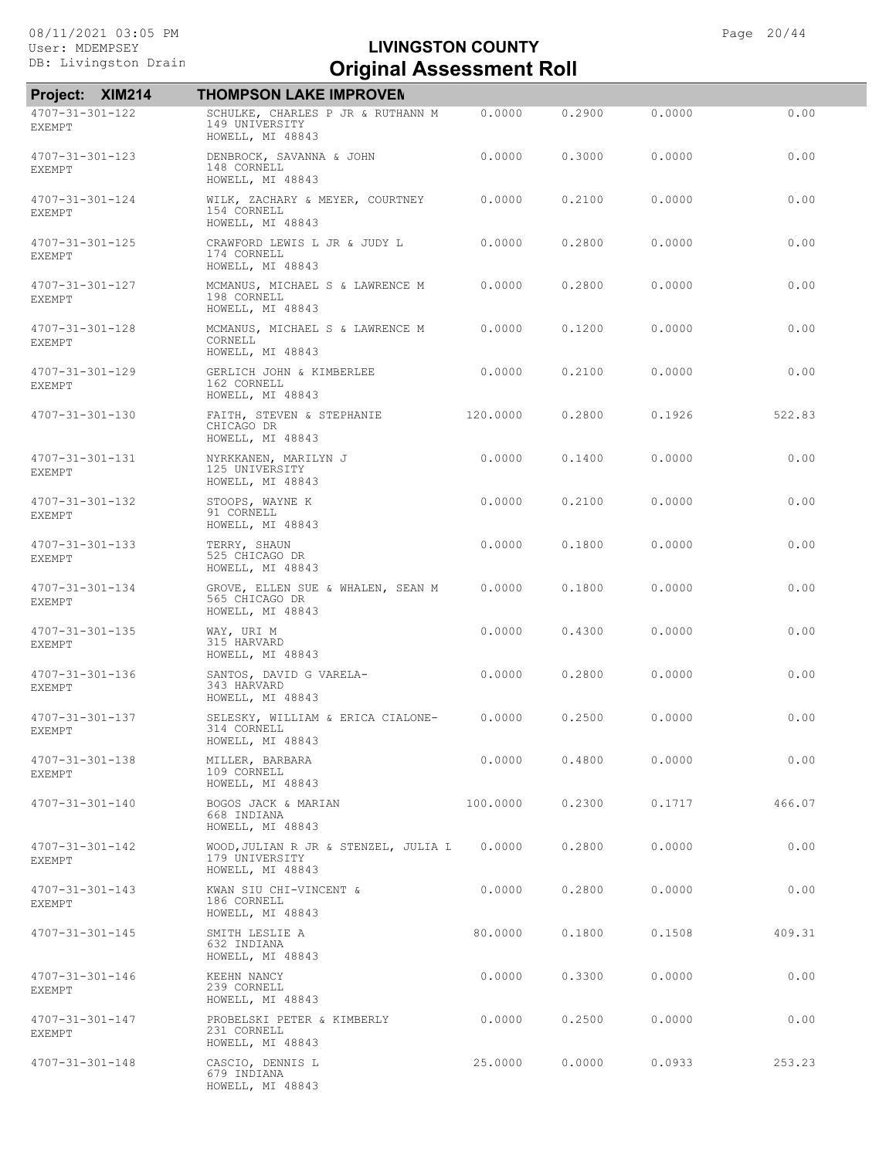| <b>XIM214</b><br><b>Project:</b>         | <b>THOMPSON LAKE IMPROVEN</b>                                              |          |        |        |        |
|------------------------------------------|----------------------------------------------------------------------------|----------|--------|--------|--------|
| 4707-31-301-122<br><b>EXEMPT</b>         | SCHULKE, CHARLES P JR & RUTHANN M<br>149 UNIVERSITY<br>HOWELL, MI 48843    | 0.0000   | 0.2900 | 0.0000 | 0.00   |
| $4707 - 31 - 301 - 123$<br><b>EXEMPT</b> | DENBROCK, SAVANNA & JOHN<br>148 CORNELL<br>HOWELL, MI 48843                | 0.0000   | 0.3000 | 0.0000 | 0.00   |
| 4707-31-301-124<br><b>EXEMPT</b>         | WILK, ZACHARY & MEYER, COURTNEY<br>154 CORNELL<br>HOWELL, MI 48843         | 0.0000   | 0.2100 | 0.0000 | 0.00   |
| $4707 - 31 - 301 - 125$<br><b>EXEMPT</b> | CRAWFORD LEWIS L JR & JUDY L<br>174 CORNELL<br>HOWELL, MI 48843            | 0.0000   | 0.2800 | 0.0000 | 0.00   |
| 4707-31-301-127<br><b>EXEMPT</b>         | MCMANUS, MICHAEL S & LAWRENCE M<br>198 CORNELL<br>HOWELL, MI 48843         | 0.0000   | 0.2800 | 0.0000 | 0.00   |
| 4707-31-301-128<br>EXEMPT                | MCMANUS, MICHAEL S & LAWRENCE M<br>CORNELL<br>HOWELL, MI 48843             | 0.0000   | 0.1200 | 0.0000 | 0.00   |
| 4707-31-301-129<br><b>EXEMPT</b>         | GERLICH JOHN & KIMBERLEE<br>162 CORNELL<br>HOWELL, MI 48843                | 0.0000   | 0.2100 | 0.0000 | 0.00   |
| 4707-31-301-130                          | FAITH, STEVEN & STEPHANIE<br>CHICAGO DR<br>HOWELL, MI 48843                | 120.0000 | 0.2800 | 0.1926 | 522.83 |
| 4707-31-301-131<br>EXEMPT                | NYRKKANEN, MARILYN J<br>125 UNIVERSITY<br>HOWELL, MI 48843                 | 0.0000   | 0.1400 | 0.0000 | 0.00   |
| 4707-31-301-132<br><b>EXEMPT</b>         | STOOPS, WAYNE K<br>91 CORNELL<br>HOWELL, MI 48843                          | 0.0000   | 0.2100 | 0.0000 | 0.00   |
| 4707-31-301-133<br><b>EXEMPT</b>         | TERRY, SHAUN<br>525 CHICAGO DR<br>HOWELL, MI 48843                         | 0.0000   | 0.1800 | 0.0000 | 0.00   |
| $4707 - 31 - 301 - 134$<br><b>EXEMPT</b> | GROVE, ELLEN SUE & WHALEN, SEAN M<br>565 CHICAGO DR<br>HOWELL, MI 48843    | 0.0000   | 0.1800 | 0.0000 | 0.00   |
| 4707-31-301-135<br><b>EXEMPT</b>         | WAY, URI M<br>315 HARVARD<br>HOWELL, MI 48843                              | 0.0000   | 0.4300 | 0.0000 | 0.00   |
| 4707-31-301-136<br>EXEMPT                | SANTOS, DAVID G VARELA-<br>343 HARVARD<br>HOWELL, MI 48843                 | 0.0000   | 0.2800 | 0.0000 | 0.00   |
| 4707-31-301-137<br><b>EXEMPT</b>         | SELESKY, WILLIAM & ERICA CIALONE-<br>314 CORNELL<br>HOWELL, MI 48843       | 0.0000   | 0.2500 | 0.0000 | 0.00   |
| 4707-31-301-138<br>EXEMPT                | MILLER, BARBARA<br>109 CORNELL<br>HOWELL, MI 48843                         | 0.0000   | 0.4800 | 0.0000 | 0.00   |
| 4707-31-301-140                          | BOGOS JACK & MARIAN<br>668 INDIANA<br>HOWELL, MI 48843                     | 100,0000 | 0.2300 | 0.1717 | 466.07 |
| $4707 - 31 - 301 - 142$<br>EXEMPT        | WOOD, JULIAN R JR & STENZEL, JULIA L<br>179 UNIVERSITY<br>HOWELL, MI 48843 | 0.0000   | 0.2800 | 0.0000 | 0.00   |
| $4707 - 31 - 301 - 143$<br>EXEMPT        | KWAN SIU CHI-VINCENT &<br>186 CORNELL<br>HOWELL, MI 48843                  | 0.0000   | 0.2800 | 0.0000 | 0.00   |
| $4707 - 31 - 301 - 145$                  | SMITH LESLIE A<br>632 INDIANA<br>HOWELL, MI 48843                          | 80,0000  | 0.1800 | 0.1508 | 409.31 |
| 4707-31-301-146<br>EXEMPT                | KEEHN NANCY<br>239 CORNELL<br>HOWELL, MI 48843                             | 0.0000   | 0.3300 | 0.0000 | 0.00   |
| 4707-31-301-147<br>EXEMPT                | PROBELSKI PETER & KIMBERLY<br>231 CORNELL<br>HOWELL, MI 48843              | 0.0000   | 0.2500 | 0.0000 | 0.00   |
| $4707 - 31 - 301 - 148$                  | CASCIO, DENNIS L<br>679 INDIANA<br>HOWELL, MI 48843                        | 25,0000  | 0.0000 | 0.0933 | 253.23 |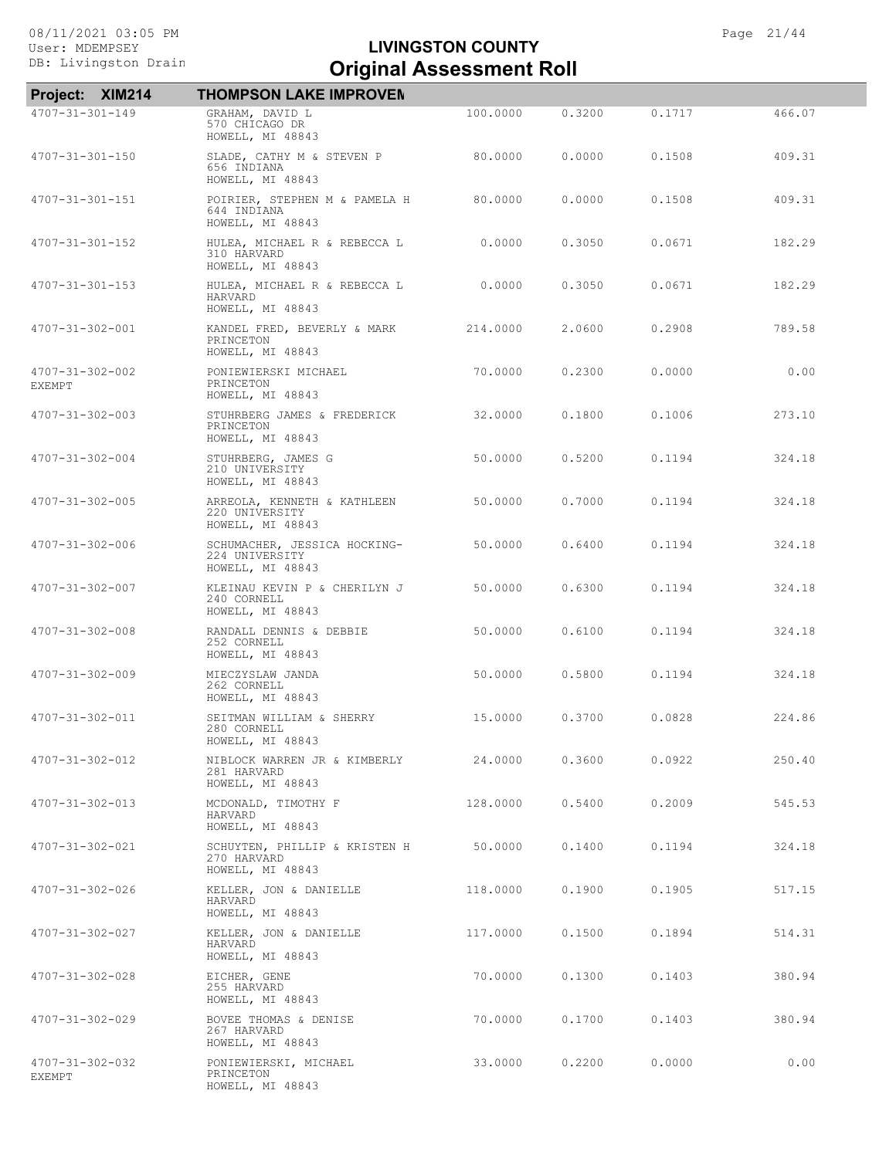| Project: XIM214                  | <b>THOMPSON LAKE IMPROVEN</b>                                      |          |        |        |        |
|----------------------------------|--------------------------------------------------------------------|----------|--------|--------|--------|
| 4707-31-301-149                  | GRAHAM, DAVID L<br>570 CHICAGO DR<br>HOWELL, MI 48843              | 100.0000 | 0.3200 | 0.1717 | 466.07 |
| 4707-31-301-150                  | SLADE, CATHY M & STEVEN P<br>656 INDIANA<br>HOWELL, MI 48843       | 80,0000  | 0.0000 | 0.1508 | 409.31 |
| 4707-31-301-151                  | POIRIER, STEPHEN M & PAMELA H<br>644 INDIANA<br>HOWELL, MI 48843   | 80.0000  | 0.0000 | 0.1508 | 409.31 |
| 4707-31-301-152                  | HULEA, MICHAEL R & REBECCA L<br>310 HARVARD<br>HOWELL, MI 48843    | 0.0000   | 0.3050 | 0.0671 | 182.29 |
| $4707 - 31 - 301 - 153$          | HULEA, MICHAEL R & REBECCA L<br>HARVARD<br>HOWELL, MI 48843        | 0.0000   | 0.3050 | 0.0671 | 182.29 |
| 4707-31-302-001                  | KANDEL FRED, BEVERLY & MARK<br>PRINCETON<br>HOWELL, MI 48843       | 214,0000 | 2.0600 | 0.2908 | 789.58 |
| 4707-31-302-002<br><b>EXEMPT</b> | PONIEWIERSKI MICHAEL<br>PRINCETON<br>HOWELL, MI 48843              | 70,0000  | 0.2300 | 0.0000 | 0.00   |
| 4707-31-302-003                  | STUHRBERG JAMES & FREDERICK<br>PRINCETON<br>HOWELL, MI 48843       | 32,0000  | 0.1800 | 0.1006 | 273.10 |
| $4707 - 31 - 302 - 004$          | STUHRBERG, JAMES G<br>210 UNIVERSITY<br>HOWELL, MI 48843           | 50.0000  | 0.5200 | 0.1194 | 324.18 |
| $4707 - 31 - 302 - 005$          | ARREOLA, KENNETH & KATHLEEN<br>220 UNIVERSITY<br>HOWELL, MI 48843  | 50.0000  | 0.7000 | 0.1194 | 324.18 |
| 4707-31-302-006                  | SCHUMACHER, JESSICA HOCKING-<br>224 UNIVERSITY<br>HOWELL, MI 48843 | 50.0000  | 0.6400 | 0.1194 | 324.18 |
| 4707-31-302-007                  | KLEINAU KEVIN P & CHERILYN J<br>240 CORNELL<br>HOWELL, MI 48843    | 50.0000  | 0.6300 | 0.1194 | 324.18 |
| 4707-31-302-008                  | RANDALL DENNIS & DEBBIE<br>252 CORNELL<br>HOWELL, MI 48843         | 50,0000  | 0.6100 | 0.1194 | 324.18 |
| 4707-31-302-009                  | MIECZYSLAW JANDA<br>262 CORNELL<br>HOWELL, MI 48843                | 50,0000  | 0.5800 | 0.1194 | 324.18 |
| 4707-31-302-011                  | SEITMAN WILLIAM & SHERRY<br>280 CORNELL<br>HOWELL, MI 48843        | 15,0000  | 0.3700 | 0.0828 | 224.86 |
| 4707-31-302-012                  | NIBLOCK WARREN JR & KIMBERLY<br>281 HARVARD<br>HOWELL, MI 48843    | 24.0000  | 0.3600 | 0.0922 | 250.40 |
| 4707-31-302-013                  | MCDONALD, TIMOTHY F<br>HARVARD<br>HOWELL, MI 48843                 | 128.0000 | 0.5400 | 0.2009 | 545.53 |
| 4707-31-302-021                  | SCHUYTEN, PHILLIP & KRISTEN H<br>270 HARVARD<br>HOWELL, MI 48843   | 50.0000  | 0.1400 | 0.1194 | 324.18 |
| 4707-31-302-026                  | KELLER, JON & DANIELLE<br>HARVARD<br>HOWELL, MI 48843              | 118.0000 | 0.1900 | 0.1905 | 517.15 |
| 4707-31-302-027                  | KELLER, JON & DANIELLE<br>HARVARD<br>HOWELL, MI 48843              | 117,0000 | 0.1500 | 0.1894 | 514.31 |
| $4707 - 31 - 302 - 028$          | EICHER, GENE<br>255 HARVARD<br>HOWELL, MI 48843                    | 70.0000  | 0.1300 | 0.1403 | 380.94 |
| 4707-31-302-029                  | BOVEE THOMAS & DENISE<br>267 HARVARD<br>HOWELL, MI 48843           | 70.0000  | 0.1700 | 0.1403 | 380.94 |
| 4707-31-302-032<br>EXEMPT        | PONIEWIERSKI, MICHAEL<br>PRINCETON<br>HOWELL, MI 48843             | 33.0000  | 0.2200 | 0.0000 | 0.00   |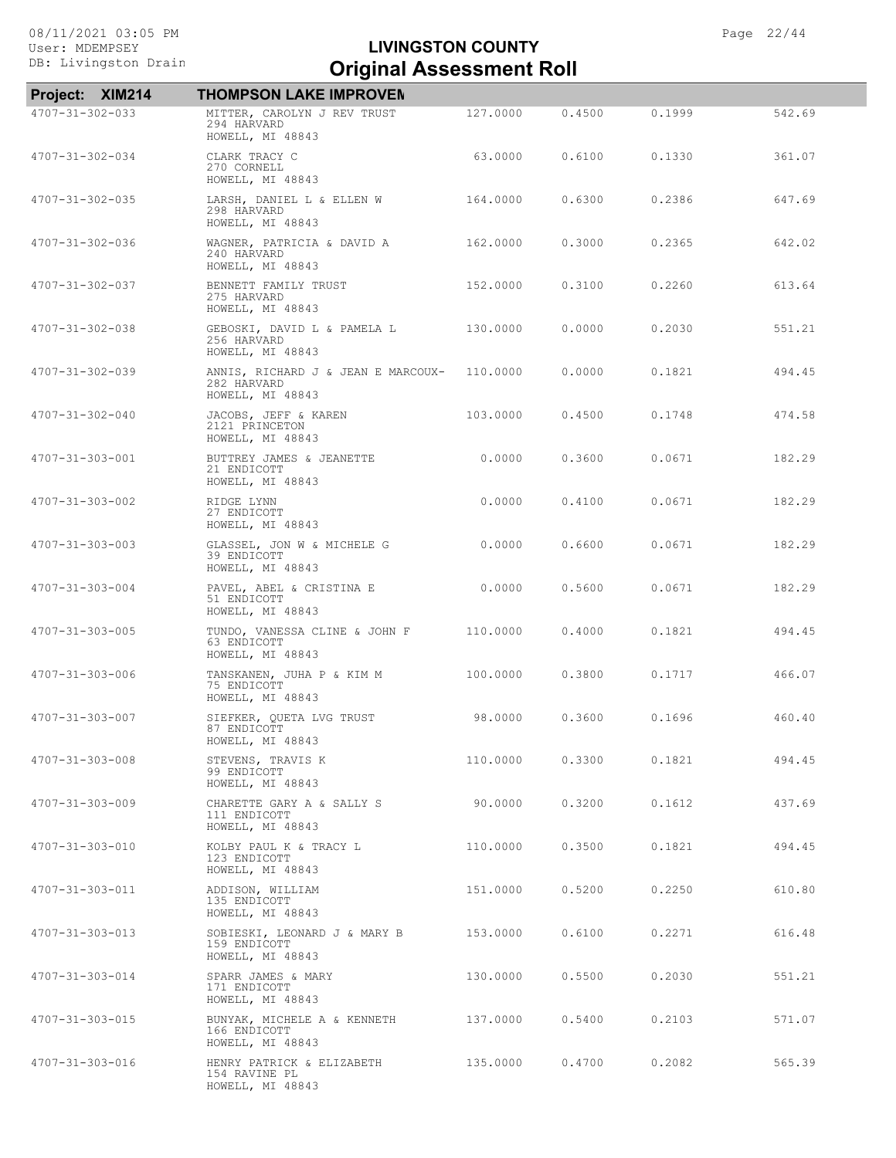| Project: XIM214         | <b>THOMPSON LAKE IMPROVEN</b>                                         |          |        |        |        |
|-------------------------|-----------------------------------------------------------------------|----------|--------|--------|--------|
| 4707-31-302-033         | MITTER, CAROLYN J REV TRUST<br>294 HARVARD<br>HOWELL, MI 48843        | 127.0000 | 0.4500 | 0.1999 | 542.69 |
| $4707 - 31 - 302 - 034$ | CLARK TRACY C<br>270 CORNELL<br>HOWELL, MI 48843                      | 63,0000  | 0.6100 | 0.1330 | 361.07 |
| $4707 - 31 - 302 - 035$ | LARSH, DANIEL L & ELLEN W<br>298 HARVARD<br>HOWELL, MI 48843          | 164.0000 | 0.6300 | 0.2386 | 647.69 |
| $4707 - 31 - 302 - 036$ | WAGNER, PATRICIA & DAVID A<br>240 HARVARD<br>HOWELL, MI 48843         | 162,0000 | 0.3000 | 0.2365 | 642.02 |
| 4707-31-302-037         | BENNETT FAMILY TRUST<br>275 HARVARD<br>HOWELL, MI 48843               | 152,0000 | 0.3100 | 0.2260 | 613.64 |
| 4707-31-302-038         | GEBOSKI, DAVID L & PAMELA L<br>256 HARVARD<br>HOWELL, MI 48843        | 130.0000 | 0.0000 | 0.2030 | 551.21 |
| 4707-31-302-039         | ANNIS, RICHARD J & JEAN E MARCOUX-<br>282 HARVARD<br>HOWELL, MI 48843 | 110,0000 | 0.0000 | 0.1821 | 494.45 |
| 4707-31-302-040         | JACOBS, JEFF & KAREN<br>2121 PRINCETON<br>HOWELL, MI 48843            | 103.0000 | 0.4500 | 0.1748 | 474.58 |
| 4707-31-303-001         | BUTTREY JAMES & JEANETTE<br>21 ENDICOTT<br>HOWELL, MI 48843           | 0.0000   | 0.3600 | 0.0671 | 182.29 |
| 4707-31-303-002         | RIDGE LYNN<br>27 ENDICOTT<br>HOWELL, MI 48843                         | 0.0000   | 0.4100 | 0.0671 | 182.29 |
| 4707-31-303-003         | GLASSEL, JON W & MICHELE G<br>39 ENDICOTT<br>HOWELL, MI 48843         | 0.0000   | 0.6600 | 0.0671 | 182.29 |
| 4707-31-303-004         | PAVEL, ABEL & CRISTINA E<br>51 ENDICOTT<br>HOWELL, MI 48843           | 0.0000   | 0.5600 | 0.0671 | 182.29 |
| 4707-31-303-005         | TUNDO, VANESSA CLINE & JOHN F<br>63 ENDICOTT<br>HOWELL, MI 48843      | 110.0000 | 0.4000 | 0.1821 | 494.45 |
| 4707-31-303-006         | TANSKANEN, JUHA P & KIM M<br>75 ENDICOTT<br>HOWELL, MI 48843          | 100.0000 | 0.3800 | 0.1717 | 466.07 |
| 4707-31-303-007         | SIEFKER, QUETA LVG TRUST<br>87 ENDICOTT<br>HOWELL, MI 48843           | 98.0000  | 0.3600 | 0.1696 | 460.40 |
| 4707-31-303-008         | STEVENS, TRAVIS K<br>99 ENDICOTT<br>HOWELL, MI 48843                  | 110.0000 | 0.3300 | 0.1821 | 494.45 |
| 4707-31-303-009         | CHARETTE GARY A & SALLY S<br>111 ENDICOTT<br>HOWELL, MI 48843         | 90.0000  | 0.3200 | 0.1612 | 437.69 |
| 4707-31-303-010         | KOLBY PAUL K & TRACY L<br>123 ENDICOTT<br>HOWELL, MI 48843            | 110.0000 | 0.3500 | 0.1821 | 494.45 |
| 4707-31-303-011         | ADDISON, WILLIAM<br>135 ENDICOTT<br>HOWELL, MI 48843                  | 151.0000 | 0.5200 | 0.2250 | 610.80 |
| 4707-31-303-013         | SOBIESKI, LEONARD J & MARY B<br>159 ENDICOTT<br>HOWELL, MI 48843      | 153.0000 | 0.6100 | 0.2271 | 616.48 |
| 4707-31-303-014         | SPARR JAMES & MARY<br>171 ENDICOTT<br>HOWELL, MI 48843                | 130.0000 | 0.5500 | 0.2030 | 551.21 |
| 4707-31-303-015         | BUNYAK, MICHELE A & KENNETH<br>166 ENDICOTT<br>HOWELL, MI 48843       | 137.0000 | 0.5400 | 0.2103 | 571.07 |
| 4707-31-303-016         | HENRY PATRICK & ELIZABETH<br>154 RAVINE PL<br>HOWELL, MI 48843        | 135.0000 | 0.4700 | 0.2082 | 565.39 |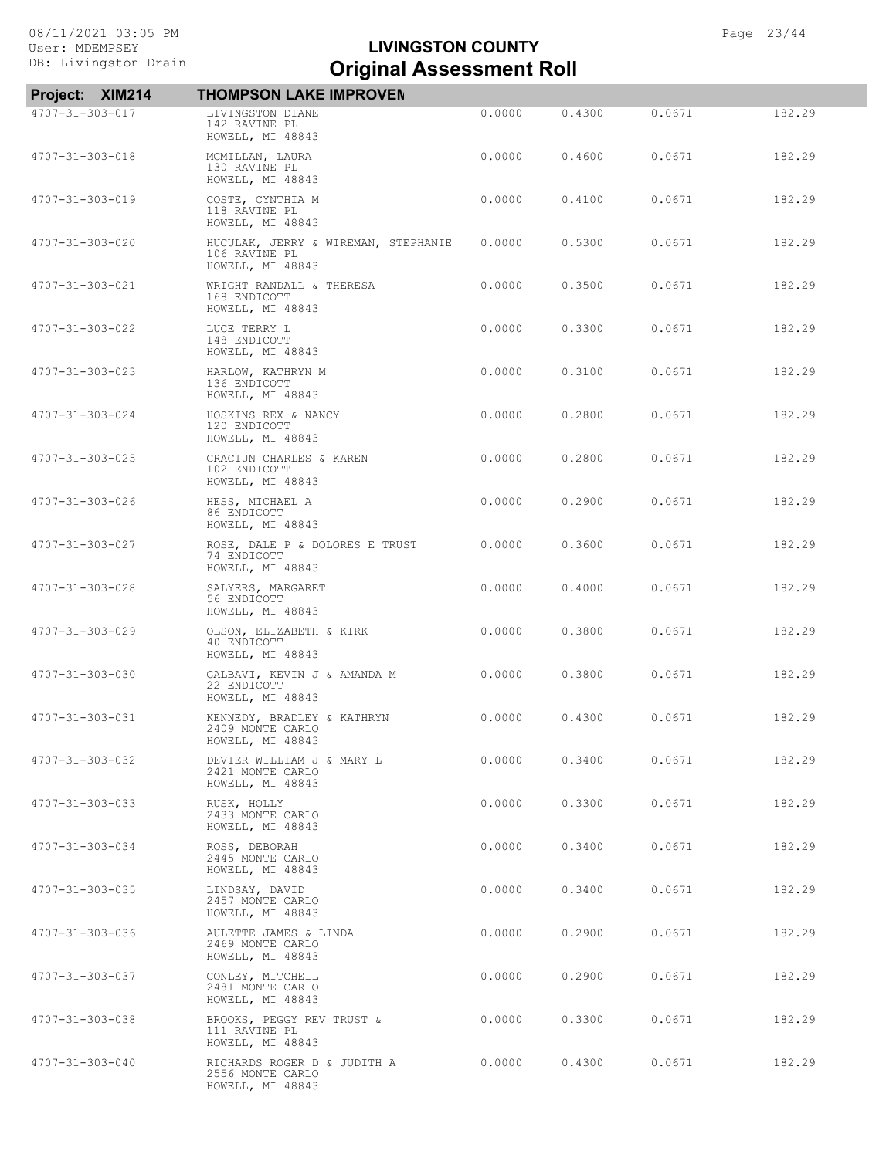| Project: XIM214         | <b>THOMPSON LAKE IMPROVEN</b>                                            |        |        |        |        |
|-------------------------|--------------------------------------------------------------------------|--------|--------|--------|--------|
| 4707-31-303-017         | LIVINGSTON DIANE<br>142 RAVINE PL<br>HOWELL, MI 48843                    | 0.0000 | 0.4300 | 0.0671 | 182.29 |
| 4707-31-303-018         | MCMILLAN, LAURA<br>130 RAVINE PL<br>HOWELL, MI 48843                     | 0.0000 | 0.4600 | 0.0671 | 182.29 |
| 4707-31-303-019         | COSTE, CYNTHIA M<br>118 RAVINE PL<br>HOWELL, MI 48843                    | 0.0000 | 0.4100 | 0.0671 | 182.29 |
| 4707-31-303-020         | HUCULAK, JERRY & WIREMAN, STEPHANIE<br>106 RAVINE PL<br>HOWELL, MI 48843 | 0.0000 | 0.5300 | 0.0671 | 182.29 |
| 4707-31-303-021         | WRIGHT RANDALL & THERESA<br>168 ENDICOTT<br>HOWELL, MI 48843             | 0.0000 | 0.3500 | 0.0671 | 182.29 |
| 4707-31-303-022         | LUCE TERRY L<br>148 ENDICOTT<br>HOWELL, MI 48843                         | 0.0000 | 0.3300 | 0.0671 | 182.29 |
| 4707-31-303-023         | HARLOW, KATHRYN M<br>136 ENDICOTT<br>HOWELL, MI 48843                    | 0.0000 | 0.3100 | 0.0671 | 182.29 |
| 4707-31-303-024         | HOSKINS REX & NANCY<br>120 ENDICOTT<br>HOWELL, MI 48843                  | 0.0000 | 0.2800 | 0.0671 | 182.29 |
| 4707-31-303-025         | CRACIUN CHARLES & KAREN<br>102 ENDICOTT<br>HOWELL, MI 48843              | 0.0000 | 0.2800 | 0.0671 | 182.29 |
| 4707-31-303-026         | HESS, MICHAEL A<br>86 ENDICOTT<br>HOWELL, MI 48843                       | 0.0000 | 0.2900 | 0.0671 | 182.29 |
| 4707-31-303-027         | ROSE, DALE P & DOLORES E TRUST<br>74 ENDICOTT<br>HOWELL, MI 48843        | 0.0000 | 0.3600 | 0.0671 | 182.29 |
| 4707-31-303-028         | SALYERS, MARGARET<br>56 ENDICOTT<br>HOWELL, MI 48843                     | 0.0000 | 0.4000 | 0.0671 | 182.29 |
| 4707-31-303-029         | OLSON, ELIZABETH & KIRK<br>40 ENDICOTT<br>HOWELL, MI 48843               | 0.0000 | 0.3800 | 0.0671 | 182.29 |
| 4707-31-303-030         | GALBAVI, KEVIN J & AMANDA M<br>22 ENDICOTT<br>HOWELL, MI 48843           | 0.0000 | 0.3800 | 0.0671 | 182.29 |
| $4707 - 31 - 303 - 031$ | KENNEDY, BRADLEY & KATHRYN<br>2409 MONTE CARLO<br>HOWELL, MI 48843       | 0.0000 | 0.4300 | 0.0671 | 182.29 |
| 4707-31-303-032         | DEVIER WILLIAM J & MARY L<br>2421 MONTE CARLO<br>HOWELL, MI 48843        | 0.0000 | 0.3400 | 0.0671 | 182.29 |
| 4707-31-303-033         | RUSK, HOLLY<br>2433 MONTE CARLO<br>HOWELL, MI 48843                      | 0.0000 | 0.3300 | 0.0671 | 182.29 |
| 4707-31-303-034         | ROSS, DEBORAH<br>2445 MONTE CARLO<br>HOWELL, MI 48843                    | 0.0000 | 0.3400 | 0.0671 | 182.29 |
| 4707-31-303-035         | LINDSAY, DAVID<br>2457 MONTE CARLO<br>HOWELL, MI 48843                   | 0.0000 | 0.3400 | 0.0671 | 182.29 |
| 4707-31-303-036         | AULETTE JAMES & LINDA<br>2469 MONTE CARLO<br>HOWELL, MI 48843            | 0.0000 | 0.2900 | 0.0671 | 182.29 |
| 4707-31-303-037         | CONLEY, MITCHELL<br>2481 MONTE CARLO<br>HOWELL, MI 48843                 | 0.0000 | 0.2900 | 0.0671 | 182.29 |
| 4707-31-303-038         | BROOKS, PEGGY REV TRUST &<br>111 RAVINE PL<br>HOWELL, MI 48843           | 0.0000 | 0.3300 | 0.0671 | 182.29 |
| 4707-31-303-040         | RICHARDS ROGER D & JUDITH A<br>2556 MONTE CARLO<br>HOWELL, MI 48843      | 0.0000 | 0.4300 | 0.0671 | 182.29 |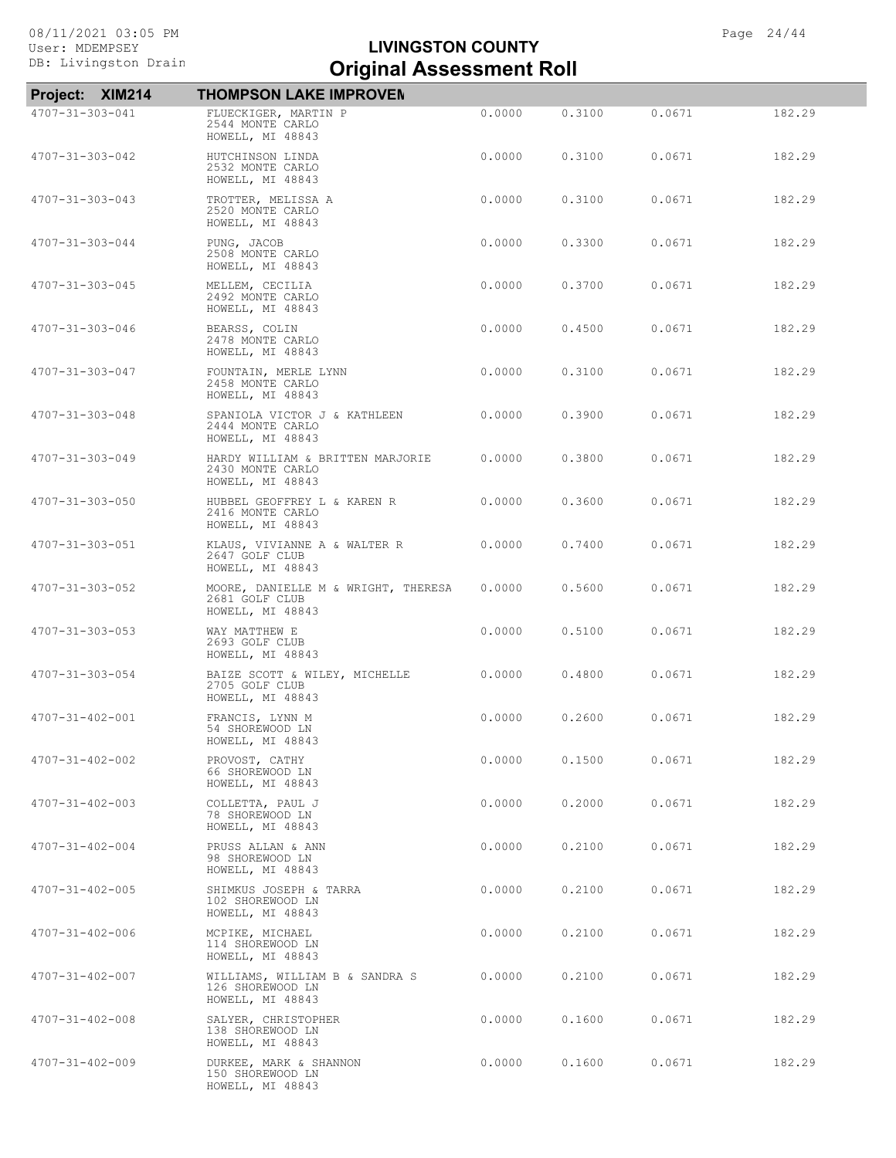| Project: XIM214         | <b>THOMPSON LAKE IMPROVEN</b>                                             |        |        |        |        |
|-------------------------|---------------------------------------------------------------------------|--------|--------|--------|--------|
| 4707-31-303-041         | FLUECKIGER, MARTIN P<br>2544 MONTE CARLO<br>HOWELL, MI 48843              | 0.0000 | 0.3100 | 0.0671 | 182.29 |
| 4707-31-303-042         | HUTCHINSON LINDA<br>2532 MONTE CARLO<br>HOWELL, MI 48843                  | 0.0000 | 0.3100 | 0.0671 | 182.29 |
| 4707-31-303-043         | TROTTER, MELISSA A<br>2520 MONTE CARLO<br>HOWELL, MI 48843                | 0.0000 | 0.3100 | 0.0671 | 182.29 |
| 4707-31-303-044         | PUNG, JACOB<br>2508 MONTE CARLO<br>HOWELL, MI 48843                       | 0.0000 | 0.3300 | 0.0671 | 182.29 |
| 4707-31-303-045         | MELLEM, CECILIA<br>2492 MONTE CARLO<br>HOWELL, MI 48843                   | 0.0000 | 0.3700 | 0.0671 | 182.29 |
| 4707-31-303-046         | BEARSS, COLIN<br>2478 MONTE CARLO<br>HOWELL, MI 48843                     | 0.0000 | 0.4500 | 0.0671 | 182.29 |
| 4707-31-303-047         | FOUNTAIN, MERLE LYNN<br>2458 MONTE CARLO<br>HOWELL, MI 48843              | 0.0000 | 0.3100 | 0.0671 | 182.29 |
| 4707-31-303-048         | SPANIOLA VICTOR J & KATHLEEN<br>2444 MONTE CARLO<br>HOWELL, MI 48843      | 0.0000 | 0.3900 | 0.0671 | 182.29 |
| 4707-31-303-049         | HARDY WILLIAM & BRITTEN MARJORIE<br>2430 MONTE CARLO<br>HOWELL, MI 48843  | 0.0000 | 0.3800 | 0.0671 | 182.29 |
| 4707-31-303-050         | HUBBEL GEOFFREY L & KAREN R<br>2416 MONTE CARLO<br>HOWELL, MI 48843       | 0.0000 | 0.3600 | 0.0671 | 182.29 |
| 4707-31-303-051         | KLAUS, VIVIANNE A & WALTER R<br>2647 GOLF CLUB<br>HOWELL, MI 48843        | 0.0000 | 0.7400 | 0.0671 | 182.29 |
| 4707-31-303-052         | MOORE, DANIELLE M & WRIGHT, THERESA<br>2681 GOLF CLUB<br>HOWELL, MI 48843 | 0.0000 | 0.5600 | 0.0671 | 182.29 |
| 4707-31-303-053         | WAY MATTHEW E<br>2693 GOLF CLUB<br>HOWELL, MI 48843                       | 0.0000 | 0.5100 | 0.0671 | 182.29 |
| 4707-31-303-054         | BAIZE SCOTT & WILEY, MICHELLE<br>2705 GOLF CLUB<br>HOWELL, MI 48843       | 0.0000 | 0.4800 | 0.0671 | 182.29 |
| 4707-31-402-001         | FRANCIS, LYNN M<br>54 SHOREWOOD LN<br>HOWELL, MI 48843                    | 0.0000 | 0.2600 | 0.0671 | 182.29 |
| $4707 - 31 - 402 - 002$ | PROVOST, CATHY<br>66 SHOREWOOD LN<br>HOWELL, MI 48843                     | 0.0000 | 0.1500 | 0.0671 | 182.29 |
| $4707 - 31 - 402 - 003$ | COLLETTA, PAUL J<br>78 SHOREWOOD LN<br>HOWELL, MI 48843                   | 0.0000 | 0.2000 | 0.0671 | 182.29 |
| $4707 - 31 - 402 - 004$ | PRUSS ALLAN & ANN<br>98 SHOREWOOD LN<br>HOWELL, MI 48843                  | 0.0000 | 0.2100 | 0.0671 | 182.29 |
| $4707 - 31 - 402 - 005$ | SHIMKUS JOSEPH & TARRA<br>102 SHOREWOOD LN<br>HOWELL, MI 48843            | 0.0000 | 0.2100 | 0.0671 | 182.29 |
| 4707-31-402-006         | MCPIKE, MICHAEL<br>114 SHOREWOOD LN<br>HOWELL, MI 48843                   | 0.0000 | 0.2100 | 0.0671 | 182.29 |
| 4707-31-402-007         | WILLIAMS, WILLIAM B & SANDRA S<br>126 SHOREWOOD LN<br>HOWELL, MI 48843    | 0.0000 | 0.2100 | 0.0671 | 182.29 |
| $4707 - 31 - 402 - 008$ | SALYER, CHRISTOPHER<br>138 SHOREWOOD LN<br>HOWELL, MI 48843               | 0.0000 | 0.1600 | 0.0671 | 182.29 |
| 4707-31-402-009         | DURKEE, MARK & SHANNON<br>150 SHOREWOOD LN<br>HOWELL, MI 48843            | 0.0000 | 0.1600 | 0.0671 | 182.29 |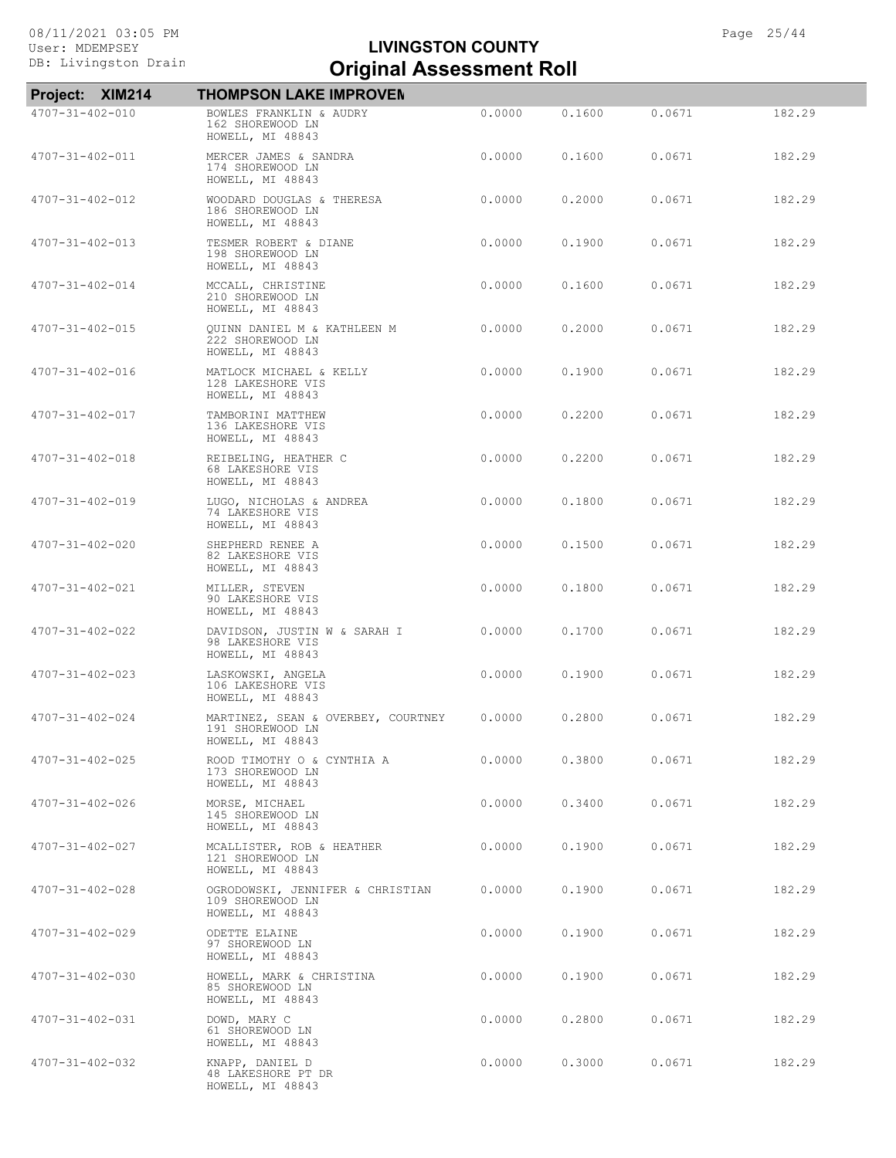| Project: XIM214         | <b>THOMPSON LAKE IMPROVEN</b>                                              |        |        |        |        |
|-------------------------|----------------------------------------------------------------------------|--------|--------|--------|--------|
| 4707-31-402-010         | BOWLES FRANKLIN & AUDRY<br>162 SHOREWOOD LN<br>HOWELL, MI 48843            | 0.0000 | 0.1600 | 0.0671 | 182.29 |
| 4707-31-402-011         | MERCER JAMES & SANDRA<br>174 SHOREWOOD LN<br>HOWELL, MI 48843              | 0.0000 | 0.1600 | 0.0671 | 182.29 |
| 4707-31-402-012         | WOODARD DOUGLAS & THERESA<br>186 SHOREWOOD LN<br>HOWELL, MI 48843          | 0.0000 | 0.2000 | 0.0671 | 182.29 |
| $4707 - 31 - 402 - 013$ | TESMER ROBERT & DIANE<br>198 SHOREWOOD LN<br>HOWELL, MI 48843              | 0.0000 | 0.1900 | 0.0671 | 182.29 |
| $4707 - 31 - 402 - 014$ | MCCALL, CHRISTINE<br>210 SHOREWOOD LN<br>HOWELL, MI 48843                  | 0.0000 | 0.1600 | 0.0671 | 182.29 |
| $4707 - 31 - 402 - 015$ | QUINN DANIEL M & KATHLEEN M<br>222 SHOREWOOD LN<br>HOWELL, MI 48843        | 0.0000 | 0.2000 | 0.0671 | 182.29 |
| 4707-31-402-016         | MATLOCK MICHAEL & KELLY<br>128 LAKESHORE VIS<br>HOWELL, MI 48843           | 0.0000 | 0.1900 | 0.0671 | 182.29 |
| 4707-31-402-017         | TAMBORINI MATTHEW<br>136 LAKESHORE VIS<br>HOWELL, MI 48843                 | 0.0000 | 0.2200 | 0.0671 | 182.29 |
| $4707 - 31 - 402 - 018$ | REIBELING, HEATHER C<br>68 LAKESHORE VIS<br>HOWELL, MI 48843               | 0.0000 | 0.2200 | 0.0671 | 182.29 |
| 4707-31-402-019         | LUGO, NICHOLAS & ANDREA<br>74 LAKESHORE VIS<br>HOWELL, MI 48843            | 0.0000 | 0.1800 | 0.0671 | 182.29 |
| $4707 - 31 - 402 - 020$ | SHEPHERD RENEE A<br>82 LAKESHORE VIS<br>HOWELL, MI 48843                   | 0.0000 | 0.1500 | 0.0671 | 182.29 |
| 4707-31-402-021         | MILLER, STEVEN<br>90 LAKESHORE VIS<br>HOWELL, MI 48843                     | 0.0000 | 0.1800 | 0.0671 | 182.29 |
| 4707-31-402-022         | DAVIDSON, JUSTIN W & SARAH I<br>98 LAKESHORE VIS<br>HOWELL, MI 48843       | 0.0000 | 0.1700 | 0.0671 | 182.29 |
| $4707 - 31 - 402 - 023$ | LASKOWSKI, ANGELA<br>106 LAKESHORE VIS<br>HOWELL, MI 48843                 | 0.0000 | 0.1900 | 0.0671 | 182.29 |
| $4707 - 31 - 402 - 024$ | MARTINEZ, SEAN & OVERBEY, COURTNEY<br>191 SHOREWOOD LN<br>HOWELL, MI 48843 | 0.0000 | 0.2800 | 0.0671 | 182.29 |
| $4707 - 31 - 402 - 025$ | ROOD TIMOTHY O & CYNTHIA A<br>173 SHOREWOOD LN<br>HOWELL, MI 48843         | 0.0000 | 0.3800 | 0.0671 | 182.29 |
| 4707-31-402-026         | MORSE, MICHAEL<br>145 SHOREWOOD LN<br>HOWELL, MI 48843                     | 0.0000 | 0.3400 | 0.0671 | 182.29 |
| 4707-31-402-027         | MCALLISTER, ROB & HEATHER<br>121 SHOREWOOD LN<br>HOWELL, MI 48843          | 0.0000 | 0.1900 | 0.0671 | 182.29 |
| 4707-31-402-028         | OGRODOWSKI, JENNIFER & CHRISTIAN<br>109 SHOREWOOD LN<br>HOWELL, MI 48843   | 0.0000 | 0.1900 | 0.0671 | 182.29 |
| 4707-31-402-029         | ODETTE ELAINE<br>97 SHOREWOOD LN<br>HOWELL, MI 48843                       | 0.0000 | 0,1900 | 0.0671 | 182.29 |
| $4707 - 31 - 402 - 030$ | HOWELL, MARK & CHRISTINA<br>85 SHOREWOOD LN<br>HOWELL, MI 48843            | 0.0000 | 0.1900 | 0.0671 | 182.29 |
| 4707-31-402-031         | DOWD, MARY C<br>61 SHOREWOOD LN<br>HOWELL, MI 48843                        | 0.0000 | 0.2800 | 0.0671 | 182.29 |
| 4707-31-402-032         | KNAPP, DANIEL D<br>48 LAKESHORE PT DR<br>HOWELL, MI 48843                  | 0.0000 | 0.3000 | 0.0671 | 182.29 |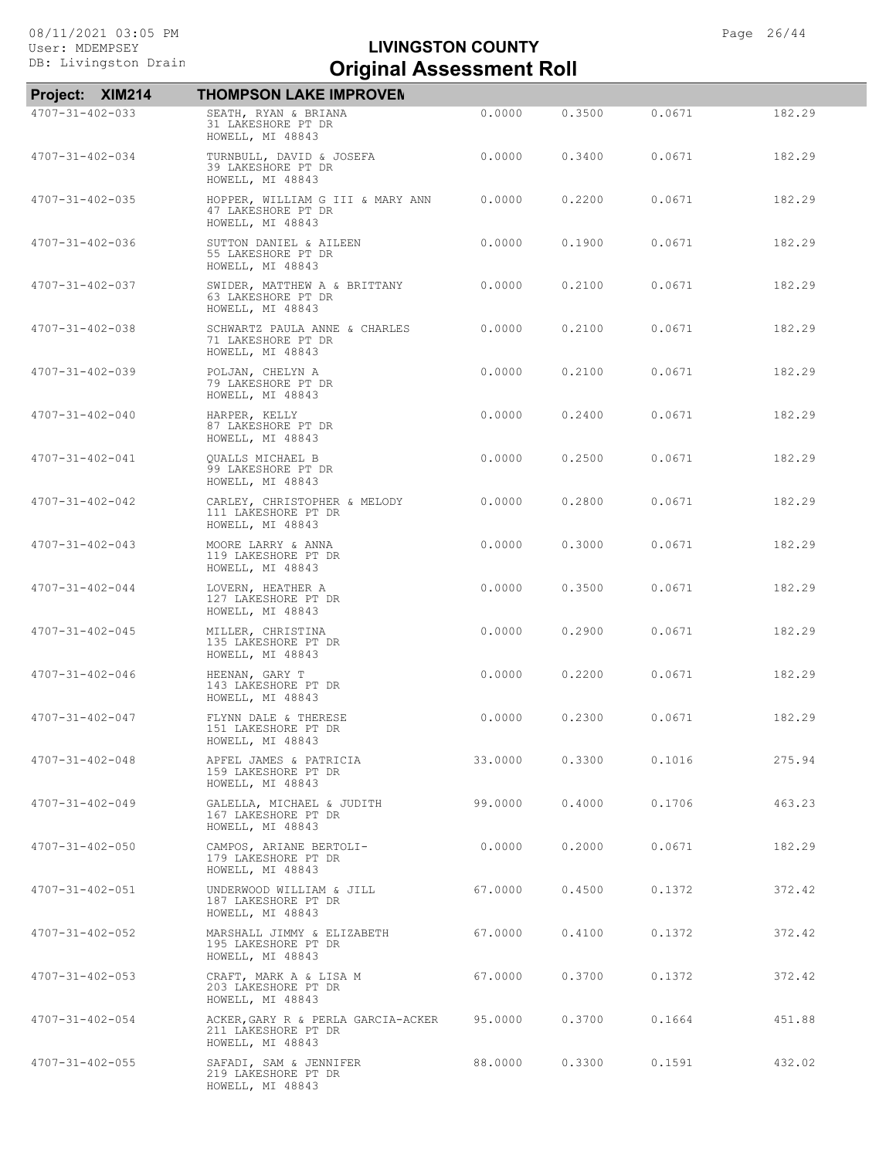| Project: XIM214         | <b>THOMPSON LAKE IMPROVEN</b>                                                 |         |        |        |        |
|-------------------------|-------------------------------------------------------------------------------|---------|--------|--------|--------|
| 4707-31-402-033         | SEATH, RYAN & BRIANA<br>31 LAKESHORE PT DR<br>HOWELL, MI 48843                | 0.0000  | 0.3500 | 0.0671 | 182.29 |
| $4707 - 31 - 402 - 034$ | TURNBULL, DAVID & JOSEFA<br>39 LAKESHORE PT DR<br>HOWELL, MI 48843            | 0.0000  | 0.3400 | 0.0671 | 182.29 |
| 4707-31-402-035         | HOPPER, WILLIAM G III & MARY ANN<br>47 LAKESHORE PT DR<br>HOWELL, MI 48843    | 0.0000  | 0.2200 | 0.0671 | 182.29 |
| 4707-31-402-036         | SUTTON DANIEL & AILEEN<br>55 LAKESHORE PT DR<br>HOWELL, MI 48843              | 0.0000  | 0.1900 | 0.0671 | 182.29 |
| 4707-31-402-037         | SWIDER, MATTHEW A & BRITTANY<br>63 LAKESHORE PT DR<br>HOWELL, MI 48843        | 0.0000  | 0.2100 | 0.0671 | 182.29 |
| 4707-31-402-038         | SCHWARTZ PAULA ANNE & CHARLES<br>71 LAKESHORE PT DR<br>HOWELL, MI 48843       | 0.0000  | 0.2100 | 0.0671 | 182.29 |
| $4707 - 31 - 402 - 039$ | POLJAN, CHELYN A<br>79 LAKESHORE PT DR<br>HOWELL, MI 48843                    | 0.0000  | 0.2100 | 0.0671 | 182.29 |
| $4707 - 31 - 402 - 040$ | HARPER, KELLY<br>87 LAKESHORE PT DR<br>HOWELL, MI 48843                       | 0.0000  | 0.2400 | 0.0671 | 182.29 |
| 4707-31-402-041         | <b>OUALLS MICHAEL B</b><br>99 LAKESHORE PT DR<br>HOWELL, MI 48843             | 0.0000  | 0.2500 | 0.0671 | 182.29 |
| 4707-31-402-042         | CARLEY, CHRISTOPHER & MELODY<br>111 LAKESHORE PT DR<br>HOWELL, MI 48843       | 0.0000  | 0.2800 | 0.0671 | 182.29 |
| $4707 - 31 - 402 - 043$ | MOORE LARRY & ANNA<br>119 LAKESHORE PT DR<br>HOWELL, MI 48843                 | 0.0000  | 0.3000 | 0.0671 | 182.29 |
| $4707 - 31 - 402 - 044$ | LOVERN, HEATHER A<br>127 LAKESHORE PT DR<br>HOWELL, MI 48843                  | 0.0000  | 0.3500 | 0.0671 | 182.29 |
| $4707 - 31 - 402 - 045$ | MILLER, CHRISTINA<br>135 LAKESHORE PT DR<br>HOWELL, MI 48843                  | 0.0000  | 0.2900 | 0.0671 | 182.29 |
| $4707 - 31 - 402 - 046$ | HEENAN, GARY T<br>143 LAKESHORE PT DR<br>HOWELL, MI 48843                     | 0.0000  | 0.2200 | 0.0671 | 182.29 |
| 4707-31-402-047         | FLYNN DALE & THERESE<br>151 LAKESHORE PT DR<br>HOWELL, MI 48843               | 0.0000  | 0.2300 | 0.0671 | 182.29 |
| $4707 - 31 - 402 - 048$ | APFEL JAMES & PATRICIA<br>159 LAKESHORE PT DR<br>HOWELL, MI 48843             | 33.0000 | 0.3300 | 0.1016 | 275.94 |
| $4707 - 31 - 402 - 049$ | GALELLA, MICHAEL & JUDITH<br>167 LAKESHORE PT DR<br>HOWELL, MI 48843          | 99.0000 | 0.4000 | 0.1706 | 463.23 |
| $4707 - 31 - 402 - 050$ | CAMPOS, ARIANE BERTOLI-<br>179 LAKESHORE PT DR<br>HOWELL, MI 48843            | 0.0000  | 0.2000 | 0.0671 | 182.29 |
| $4707 - 31 - 402 - 051$ | UNDERWOOD WILLIAM & JILL<br>187 LAKESHORE PT DR<br>HOWELL, MI 48843           | 67.0000 | 0.4500 | 0.1372 | 372.42 |
| 4707-31-402-052         | MARSHALL JIMMY & ELIZABETH<br>195 LAKESHORE PT DR<br>HOWELL, MI 48843         | 67.0000 | 0.4100 | 0.1372 | 372.42 |
| 4707-31-402-053         | CRAFT, MARK A & LISA M<br>203 LAKESHORE PT DR<br>HOWELL, MI 48843             | 67.0000 | 0.3700 | 0.1372 | 372.42 |
| $4707 - 31 - 402 - 054$ | ACKER, GARY R & PERLA GARCIA-ACKER<br>211 LAKESHORE PT DR<br>HOWELL, MI 48843 | 95.0000 | 0.3700 | 0.1664 | 451.88 |
| $4707 - 31 - 402 - 055$ | SAFADI, SAM & JENNIFER<br>219 LAKESHORE PT DR<br>HOWELL, MI 48843             | 88.0000 | 0.3300 | 0.1591 | 432.02 |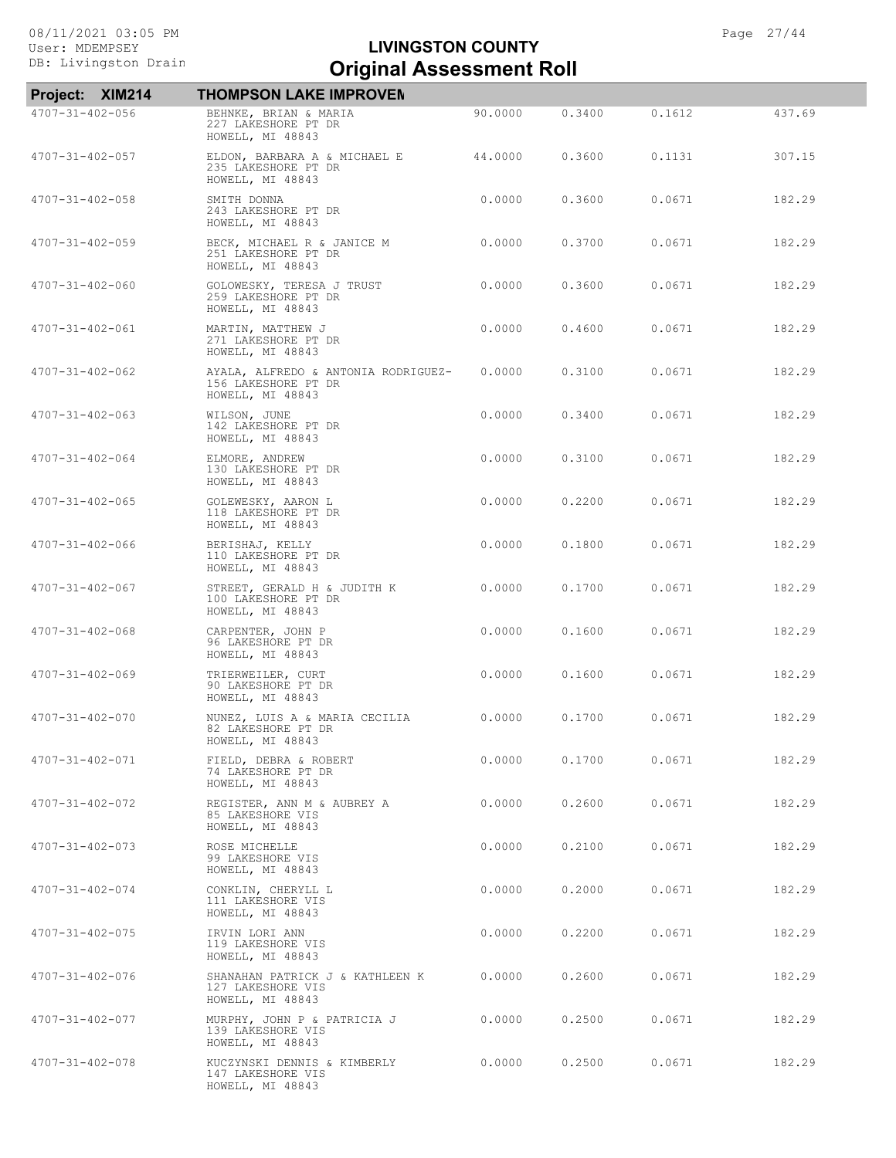|                         | Project: XIM214 | <b>THOMPSON LAKE IMPROVEN</b>                                                  |         |        |        |        |
|-------------------------|-----------------|--------------------------------------------------------------------------------|---------|--------|--------|--------|
| $4707 - 31 - 402 - 056$ |                 | BEHNKE, BRIAN & MARIA<br>227 LAKESHORE PT DR<br>HOWELL, MI 48843               | 90,0000 | 0.3400 | 0.1612 | 437.69 |
| $4707 - 31 - 402 - 057$ |                 | ELDON, BARBARA A & MICHAEL E<br>235 LAKESHORE PT DR<br>HOWELL, MI 48843        | 44.0000 | 0.3600 | 0.1131 | 307.15 |
| $4707 - 31 - 402 - 058$ |                 | SMITH DONNA<br>243 LAKESHORE PT DR<br>HOWELL, MI 48843                         | 0.0000  | 0.3600 | 0.0671 | 182.29 |
| 4707-31-402-059         |                 | BECK, MICHAEL R & JANICE M<br>251 LAKESHORE PT DR<br>HOWELL, MI 48843          | 0.0000  | 0.3700 | 0.0671 | 182.29 |
| $4707 - 31 - 402 - 060$ |                 | GOLOWESKY, TERESA J TRUST<br>259 LAKESHORE PT DR<br>HOWELL, MI 48843           | 0.0000  | 0.3600 | 0.0671 | 182.29 |
| $4707 - 31 - 402 - 061$ |                 | MARTIN, MATTHEW J<br>271 LAKESHORE PT DR<br>HOWELL, MI 48843                   | 0.0000  | 0.4600 | 0.0671 | 182.29 |
| $4707 - 31 - 402 - 062$ |                 | AYALA, ALFREDO & ANTONIA RODRIGUEZ-<br>156 LAKESHORE PT DR<br>HOWELL, MI 48843 | 0.0000  | 0.3100 | 0.0671 | 182.29 |
| 4707-31-402-063         |                 | WILSON, JUNE<br>142 LAKESHORE PT DR<br>HOWELL, MI 48843                        | 0.0000  | 0.3400 | 0.0671 | 182.29 |
| 4707-31-402-064         |                 | ELMORE, ANDREW<br>130 LAKESHORE PT DR<br>HOWELL, MI 48843                      | 0.0000  | 0.3100 | 0.0671 | 182.29 |
| $4707 - 31 - 402 - 065$ |                 | GOLEWESKY, AARON L<br>118 LAKESHORE PT DR<br>HOWELL, MI 48843                  | 0.0000  | 0.2200 | 0.0671 | 182.29 |
| 4707-31-402-066         |                 | BERISHAJ, KELLY<br>110 LAKESHORE PT DR<br>HOWELL, MI 48843                     | 0.0000  | 0.1800 | 0.0671 | 182.29 |
| $4707 - 31 - 402 - 067$ |                 | STREET, GERALD H & JUDITH K<br>100 LAKESHORE PT DR<br>HOWELL, MI 48843         | 0.0000  | 0.1700 | 0.0671 | 182.29 |
| $4707 - 31 - 402 - 068$ |                 | CARPENTER, JOHN P<br>96 LAKESHORE PT DR<br>HOWELL, MI 48843                    | 0.0000  | 0.1600 | 0.0671 | 182.29 |
| $4707 - 31 - 402 - 069$ |                 | TRIERWEILER, CURT<br>90 LAKESHORE PT DR<br>HOWELL, MI 48843                    | 0.0000  | 0.1600 | 0.0671 | 182.29 |
| $4707 - 31 - 402 - 070$ |                 | NUNEZ, LUIS A & MARIA CECILIA<br>82 LAKESHORE PT DR<br>HOWELL, MI 48843        | 0.0000  | 0.1700 | 0.0671 | 182.29 |
| 4707-31-402-071         |                 | FIELD, DEBRA & ROBERT<br>74 LAKESHORE PT DR<br>HOWELL, MI 48843                | 0.0000  | 0.1700 | 0.0671 | 182.29 |
| 4707-31-402-072         |                 | REGISTER, ANN M & AUBREY A<br>85 LAKESHORE VIS<br>HOWELL, MI 48843             | 0.0000  | 0.2600 | 0.0671 | 182.29 |
| $4707 - 31 - 402 - 073$ |                 | ROSE MICHELLE<br>99 LAKESHORE VIS<br>HOWELL, MI 48843                          | 0.0000  | 0.2100 | 0.0671 | 182.29 |
| $4707 - 31 - 402 - 074$ |                 | CONKLIN, CHERYLL L<br>111 LAKESHORE VIS<br>HOWELL, MI 48843                    | 0.0000  | 0.2000 | 0.0671 | 182.29 |
| 4707-31-402-075         |                 | IRVIN LORI ANN<br>119 LAKESHORE VIS<br>HOWELL, MI 48843                        | 0.0000  | 0.2200 | 0.0671 | 182.29 |
| 4707-31-402-076         |                 | SHANAHAN PATRICK J & KATHLEEN K<br>127 LAKESHORE VIS<br>HOWELL, MI 48843       | 0.0000  | 0.2600 | 0.0671 | 182.29 |
| 4707-31-402-077         |                 | MURPHY, JOHN P & PATRICIA J<br>139 LAKESHORE VIS<br>HOWELL, MI 48843           | 0.0000  | 0.2500 | 0.0671 | 182.29 |
| 4707-31-402-078         |                 | KUCZYNSKI DENNIS & KIMBERLY<br>147 LAKESHORE VIS<br>HOWELL, MI 48843           | 0.0000  | 0.2500 | 0.0671 | 182.29 |
|                         |                 |                                                                                |         |        |        |        |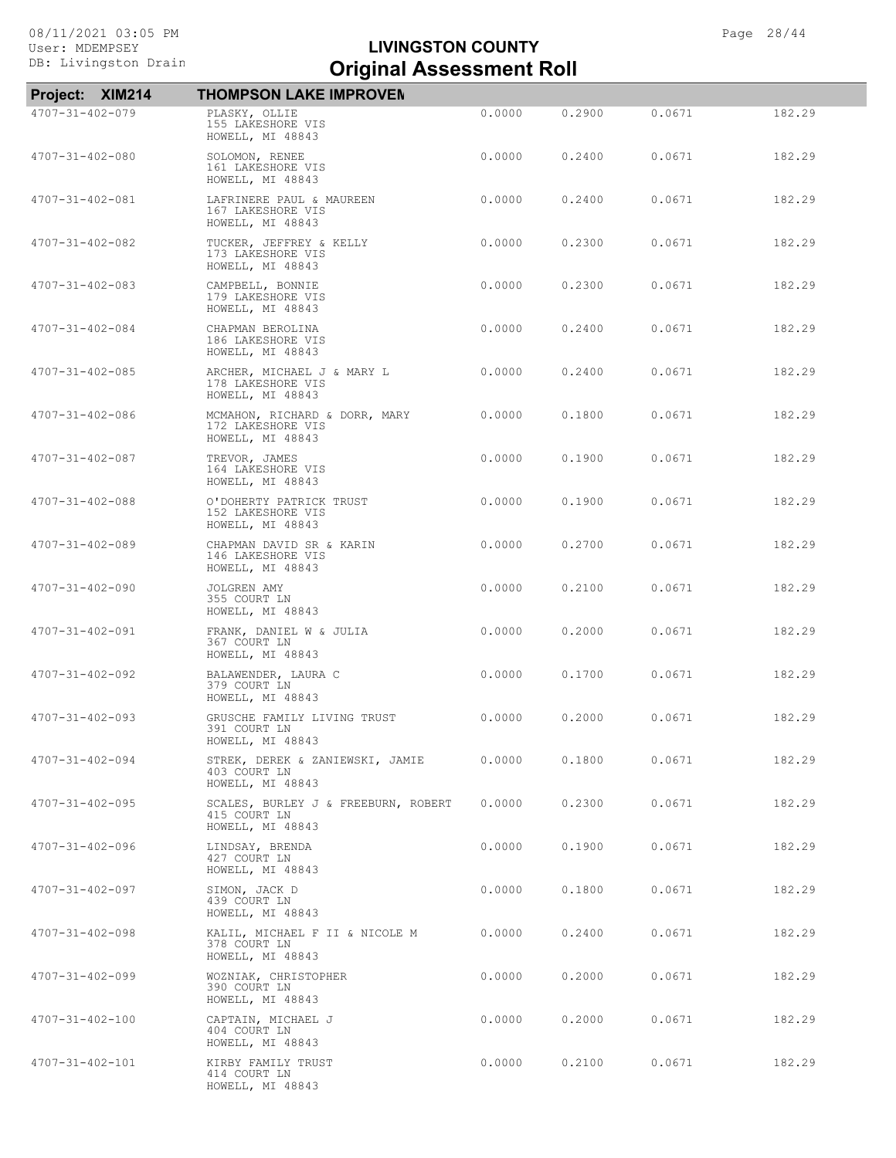| Project: XIM214         | <b>THOMPSON LAKE IMPROVEN</b>                                           |        |        |        |        |
|-------------------------|-------------------------------------------------------------------------|--------|--------|--------|--------|
| 4707-31-402-079         | PLASKY, OLLIE<br>155 LAKESHORE VIS<br>HOWELL, MI 48843                  | 0.0000 | 0.2900 | 0.0671 | 182.29 |
| 4707-31-402-080         | SOLOMON, RENEE<br>161 LAKESHORE VIS<br>HOWELL, MI 48843                 | 0.0000 | 0.2400 | 0.0671 | 182.29 |
| 4707-31-402-081         | LAFRINERE PAUL & MAUREEN<br>167 LAKESHORE VIS<br>HOWELL, MI 48843       | 0.0000 | 0.2400 | 0.0671 | 182.29 |
| 4707-31-402-082         | TUCKER, JEFFREY & KELLY<br>173 LAKESHORE VIS<br>HOWELL, MI 48843        | 0.0000 | 0.2300 | 0.0671 | 182.29 |
| $4707 - 31 - 402 - 083$ | CAMPBELL, BONNIE<br>179 LAKESHORE VIS<br>HOWELL, MI 48843               | 0.0000 | 0.2300 | 0.0671 | 182.29 |
| 4707-31-402-084         | CHAPMAN BEROLINA<br>186 LAKESHORE VIS<br>HOWELL, MI 48843               | 0.0000 | 0.2400 | 0.0671 | 182.29 |
| 4707-31-402-085         | ARCHER, MICHAEL J & MARY L<br>178 LAKESHORE VIS<br>HOWELL, MI 48843     | 0.0000 | 0.2400 | 0.0671 | 182.29 |
| 4707-31-402-086         | MCMAHON, RICHARD & DORR, MARY<br>172 LAKESHORE VIS<br>HOWELL, MI 48843  | 0.0000 | 0.1800 | 0.0671 | 182.29 |
| $4707 - 31 - 402 - 087$ | TREVOR, JAMES<br>164 LAKESHORE VIS<br>HOWELL, MI 48843                  | 0.0000 | 0.1900 | 0.0671 | 182.29 |
| $4707 - 31 - 402 - 088$ | O'DOHERTY PATRICK TRUST<br>152 LAKESHORE VIS<br>HOWELL, MI 48843        | 0.0000 | 0.1900 | 0.0671 | 182.29 |
| 4707-31-402-089         | CHAPMAN DAVID SR & KARIN<br>146 LAKESHORE VIS<br>HOWELL, MI 48843       | 0.0000 | 0.2700 | 0.0671 | 182.29 |
| $4707 - 31 - 402 - 090$ | JOLGREN AMY<br>355 COURT LN<br>HOWELL, MI 48843                         | 0.0000 | 0.2100 | 0.0671 | 182.29 |
| 4707-31-402-091         | FRANK, DANIEL W & JULIA<br>367 COURT LN<br>HOWELL, MI 48843             | 0.0000 | 0.2000 | 0.0671 | 182.29 |
| 4707-31-402-092         | BALAWENDER, LAURA C<br>379 COURT LN<br>HOWELL, MI 48843                 | 0.0000 | 0.1700 | 0.0671 | 182.29 |
| $4707 - 31 - 402 - 093$ | GRUSCHE FAMILY LIVING TRUST<br>391 COURT LN<br>HOWELL, MI 48843         | 0.0000 | 0.2000 | 0.0671 | 182.29 |
| $4707 - 31 - 402 - 094$ | STREK, DEREK & ZANIEWSKI, JAMIE<br>403 COURT LN<br>HOWELL, MI 48843     | 0.0000 | 0.1800 | 0.0671 | 182.29 |
| $4707 - 31 - 402 - 095$ | SCALES, BURLEY J & FREEBURN, ROBERT<br>415 COURT LN<br>HOWELL, MI 48843 | 0.0000 | 0.2300 | 0.0671 | 182.29 |
| $4707 - 31 - 402 - 096$ | LINDSAY, BRENDA<br>427 COURT LN<br>HOWELL, MI 48843                     | 0.0000 | 0.1900 | 0.0671 | 182.29 |
| $4707 - 31 - 402 - 097$ | SIMON, JACK D<br>439 COURT LN<br>HOWELL, MI 48843                       | 0.0000 | 0.1800 | 0.0671 | 182.29 |
| $4707 - 31 - 402 - 098$ | KALIL, MICHAEL F II & NICOLE M<br>378 COURT LN<br>HOWELL, MI 48843      | 0.0000 | 0.2400 | 0.0671 | 182.29 |
| $4707 - 31 - 402 - 099$ | WOZNIAK, CHRISTOPHER<br>390 COURT LN<br>HOWELL, MI 48843                | 0.0000 | 0.2000 | 0.0671 | 182.29 |
| $4707 - 31 - 402 - 100$ | CAPTAIN, MICHAEL J<br>404 COURT LN<br>HOWELL, MI 48843                  | 0.0000 | 0.2000 | 0.0671 | 182.29 |
| $4707 - 31 - 402 - 101$ | KIRBY FAMILY TRUST<br>414 COURT LN<br>HOWELL, MI 48843                  | 0.0000 | 0.2100 | 0.0671 | 182.29 |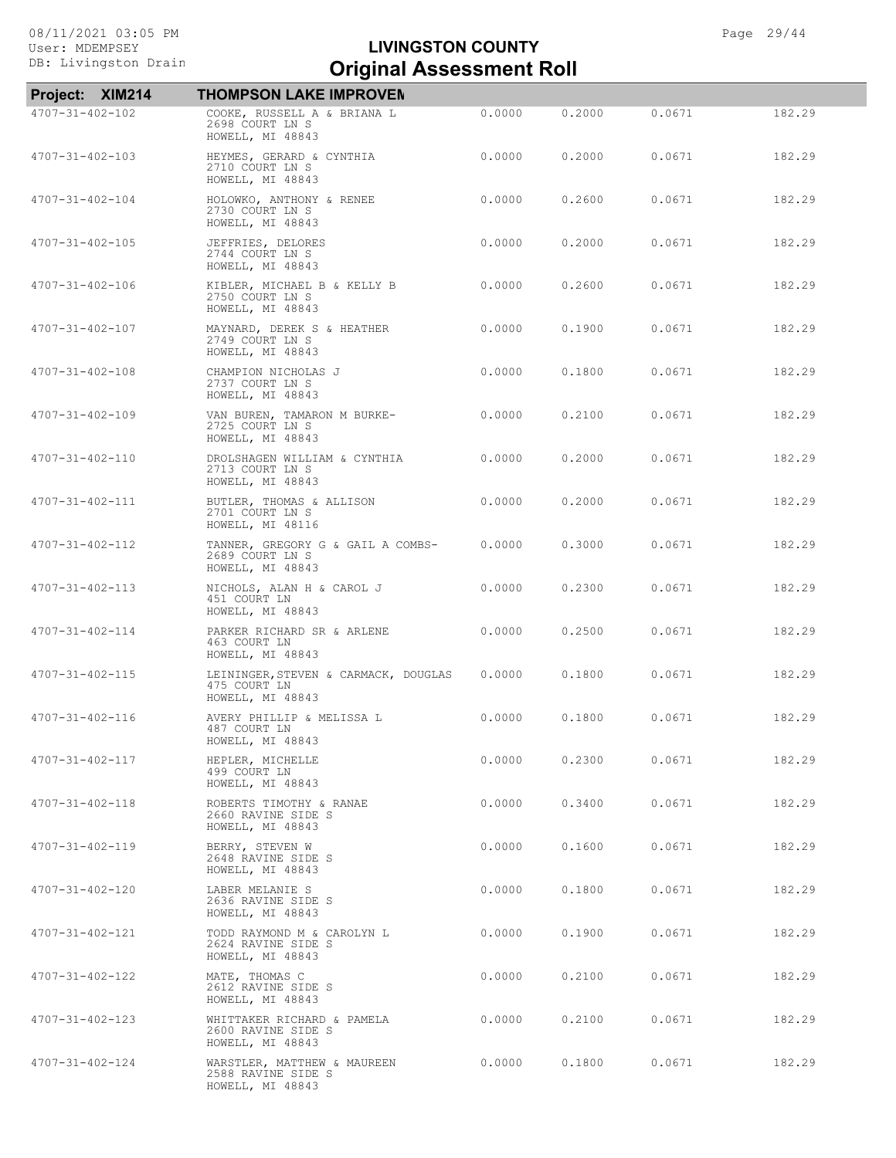| Project: XIM214         | <b>THOMPSON LAKE IMPROVEN</b>                                            |        |        |        |        |
|-------------------------|--------------------------------------------------------------------------|--------|--------|--------|--------|
| $4707 - 31 - 402 - 102$ | COOKE, RUSSELL A & BRIANA L<br>2698 COURT LN S<br>HOWELL, MI 48843       | 0.0000 | 0.2000 | 0.0671 | 182.29 |
| $4707 - 31 - 402 - 103$ | HEYMES, GERARD & CYNTHIA<br>2710 COURT LN S<br>HOWELL, MI 48843          | 0.0000 | 0.2000 | 0.0671 | 182.29 |
| 4707-31-402-104         | HOLOWKO, ANTHONY & RENEE<br>2730 COURT LN S<br>HOWELL, MI 48843          | 0.0000 | 0.2600 | 0.0671 | 182.29 |
| $4707 - 31 - 402 - 105$ | JEFFRIES, DELORES<br>2744 COURT LN S<br>HOWELL, MI 48843                 | 0.0000 | 0.2000 | 0.0671 | 182.29 |
| 4707-31-402-106         | KIBLER, MICHAEL B & KELLY B<br>2750 COURT LN S<br>HOWELL, MI 48843       | 0.0000 | 0.2600 | 0.0671 | 182.29 |
| $4707 - 31 - 402 - 107$ | MAYNARD, DEREK S & HEATHER<br>2749 COURT LN S<br>HOWELL, MI 48843        | 0.0000 | 0.1900 | 0.0671 | 182.29 |
| $4707 - 31 - 402 - 108$ | CHAMPION NICHOLAS J<br>2737 COURT LN S<br>HOWELL, MI 48843               | 0.0000 | 0.1800 | 0.0671 | 182.29 |
| $4707 - 31 - 402 - 109$ | VAN BUREN, TAMARON M BURKE-<br>2725 COURT LN S<br>HOWELL, MI 48843       | 0.0000 | 0.2100 | 0.0671 | 182.29 |
| $4707 - 31 - 402 - 110$ | DROLSHAGEN WILLIAM & CYNTHIA<br>2713 COURT LN S<br>HOWELL, MI 48843      | 0.0000 | 0.2000 | 0.0671 | 182.29 |
| 4707-31-402-111         | BUTLER, THOMAS & ALLISON<br>2701 COURT LN S<br>HOWELL, MI 48116          | 0.0000 | 0.2000 | 0.0671 | 182.29 |
| 4707-31-402-112         | TANNER, GREGORY G & GAIL A COMBS-<br>2689 COURT LN S<br>HOWELL, MI 48843 | 0.0000 | 0.3000 | 0.0671 | 182.29 |
| $4707 - 31 - 402 - 113$ | NICHOLS, ALAN H & CAROL J<br>451 COURT LN<br>HOWELL, MI 48843            | 0.0000 | 0.2300 | 0.0671 | 182.29 |
| 4707-31-402-114         | PARKER RICHARD SR & ARLENE<br>463 COURT LN<br>HOWELL, MI 48843           | 0.0000 | 0.2500 | 0.0671 | 182.29 |
| $4707 - 31 - 402 - 115$ | LEININGER, STEVEN & CARMACK, DOUGLAS<br>475 COURT LN<br>HOWELL, MI 48843 | 0.0000 | 0.1800 | 0.0671 | 182.29 |
| $4707 - 31 - 402 - 116$ | AVERY PHILLIP & MELISSA L<br>487 COURT LN<br>HOWELL, MI 48843            | 0.0000 | 0.1800 | 0.0671 | 182.29 |
| 4707-31-402-117         | HEPLER, MICHELLE<br>499 COURT LN<br>HOWELL, MI 48843                     | 0.0000 | 0.2300 | 0.0671 | 182.29 |
| $4707 - 31 - 402 - 118$ | ROBERTS TIMOTHY & RANAE<br>2660 RAVINE SIDE S<br>HOWELL, MI 48843        | 0.0000 | 0.3400 | 0.0671 | 182.29 |
| 4707-31-402-119         | BERRY, STEVEN W<br>2648 RAVINE SIDE S<br>HOWELL, MI 48843                | 0.0000 | 0.1600 | 0.0671 | 182.29 |
| $4707 - 31 - 402 - 120$ | LABER MELANIE S<br>2636 RAVINE SIDE S<br>HOWELL, MI 48843                | 0.0000 | 0.1800 | 0.0671 | 182.29 |
| 4707-31-402-121         | TODD RAYMOND M & CAROLYN L<br>2624 RAVINE SIDE S<br>HOWELL, MI 48843     | 0.0000 | 0.1900 | 0.0671 | 182.29 |
| 4707-31-402-122         | MATE, THOMAS C<br>2612 RAVINE SIDE S<br>HOWELL, MI 48843                 | 0.0000 | 0.2100 | 0.0671 | 182.29 |
| $4707 - 31 - 402 - 123$ | WHITTAKER RICHARD & PAMELA<br>2600 RAVINE SIDE S<br>HOWELL, MI 48843     | 0.0000 | 0.2100 | 0.0671 | 182.29 |
| $4707 - 31 - 402 - 124$ | WARSTLER, MATTHEW & MAUREEN<br>2588 RAVINE SIDE S<br>HOWELL, MI 48843    | 0.0000 | 0.1800 | 0.0671 | 182.29 |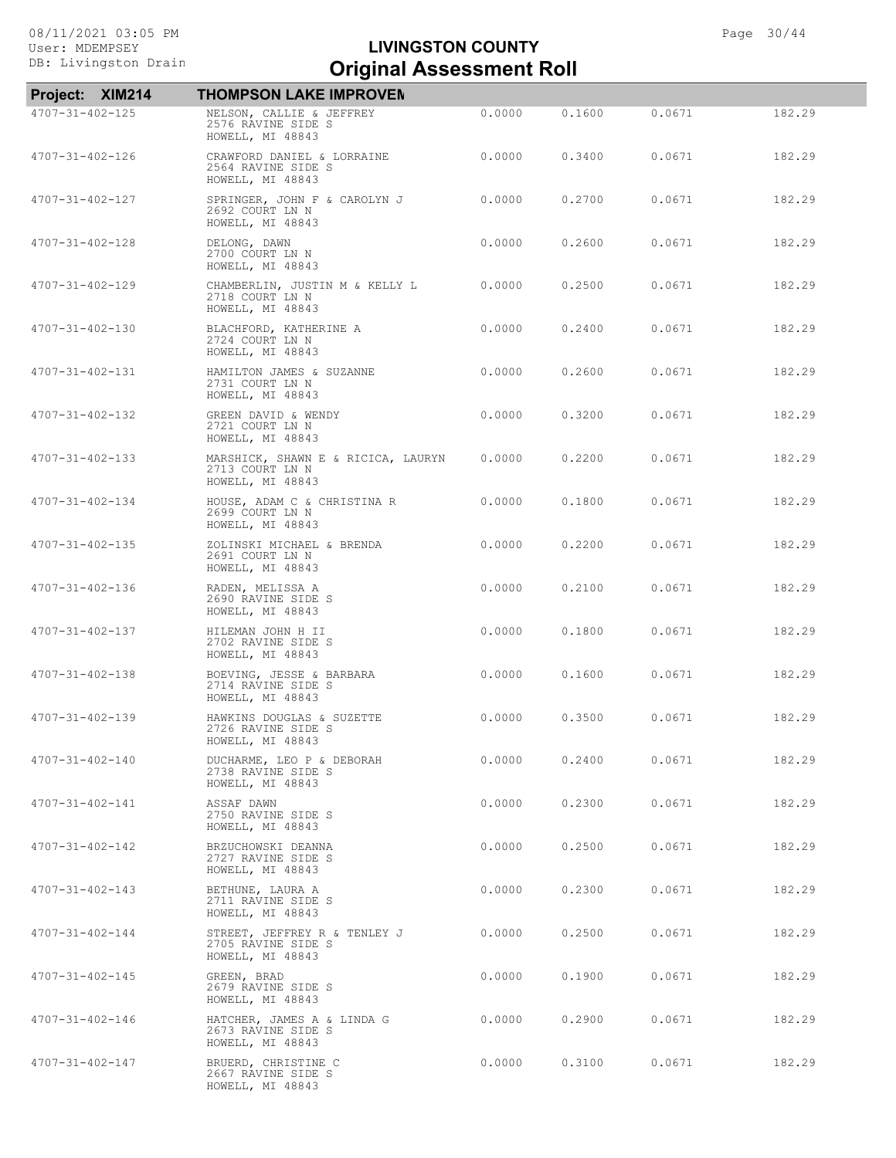| Project: XIM214         | <b>THOMPSON LAKE IMPROVEN</b>                                             |        |        |        |        |
|-------------------------|---------------------------------------------------------------------------|--------|--------|--------|--------|
| $4707 - 31 - 402 - 125$ | NELSON, CALLIE & JEFFREY<br>2576 RAVINE SIDE S<br>HOWELL, MI 48843        | 0.0000 | 0.1600 | 0.0671 | 182.29 |
| $4707 - 31 - 402 - 126$ | CRAWFORD DANIEL & LORRAINE<br>2564 RAVINE SIDE S<br>HOWELL, MI 48843      | 0.0000 | 0.3400 | 0.0671 | 182.29 |
| 4707-31-402-127         | SPRINGER, JOHN F & CAROLYN J<br>2692 COURT LN N<br>HOWELL, MI 48843       | 0.0000 | 0.2700 | 0.0671 | 182.29 |
| $4707 - 31 - 402 - 128$ | DELONG, DAWN<br>2700 COURT LN N<br>HOWELL, MI 48843                       | 0.0000 | 0.2600 | 0.0671 | 182.29 |
| 4707-31-402-129         | CHAMBERLIN, JUSTIN M & KELLY L<br>2718 COURT LN N<br>HOWELL, MI 48843     | 0.0000 | 0.2500 | 0.0671 | 182.29 |
| 4707-31-402-130         | BLACHFORD, KATHERINE A<br>2724 COURT LN N<br>HOWELL, MI 48843             | 0.0000 | 0.2400 | 0.0671 | 182.29 |
| 4707-31-402-131         | HAMILTON JAMES & SUZANNE<br>2731 COURT LN N<br>HOWELL, MI 48843           | 0.0000 | 0.2600 | 0.0671 | 182.29 |
| $4707 - 31 - 402 - 132$ | GREEN DAVID & WENDY<br>2721 COURT LN N<br>HOWELL, MI 48843                | 0.0000 | 0.3200 | 0.0671 | 182.29 |
| $4707 - 31 - 402 - 133$ | MARSHICK, SHAWN E & RICICA, LAURYN<br>2713 COURT LN N<br>HOWELL, MI 48843 | 0.0000 | 0.2200 | 0.0671 | 182.29 |
| 4707-31-402-134         | HOUSE, ADAM C & CHRISTINA R<br>2699 COURT LN N<br>HOWELL, MI 48843        | 0.0000 | 0.1800 | 0.0671 | 182.29 |
| $4707 - 31 - 402 - 135$ | ZOLINSKI MICHAEL & BRENDA<br>2691 COURT LN N<br>HOWELL, MI 48843          | 0.0000 | 0.2200 | 0.0671 | 182.29 |
| 4707-31-402-136         | RADEN, MELISSA A<br>2690 RAVINE SIDE S<br>HOWELL, MI 48843                | 0.0000 | 0.2100 | 0.0671 | 182.29 |
| 4707-31-402-137         | HILEMAN JOHN H II<br>2702 RAVINE SIDE S<br>HOWELL, MI 48843               | 0.0000 | 0.1800 | 0.0671 | 182.29 |
| $4707 - 31 - 402 - 138$ | BOEVING, JESSE & BARBARA<br>2714 RAVINE SIDE S<br>HOWELL, MI 48843        | 0.0000 | 0.1600 | 0.0671 | 182.29 |
| 4707-31-402-139         | HAWKINS DOUGLAS & SUZETTE<br>2726 RAVINE SIDE S<br>HOWELL, MI 48843       | 0.0000 | 0.3500 | 0.0671 | 182.29 |
| 4707-31-402-140         | DUCHARME, LEO P & DEBORAH<br>2738 RAVINE SIDE S<br>HOWELL, MI 48843       | 0.0000 | 0.2400 | 0.0671 | 182.29 |
| 4707-31-402-141         | ASSAF DAWN<br>2750 RAVINE SIDE S<br>HOWELL, MI 48843                      | 0.0000 | 0.2300 | 0.0671 | 182.29 |
| 4707-31-402-142         | BRZUCHOWSKI DEANNA<br>2727 RAVINE SIDE S<br>HOWELL, MI 48843              | 0.0000 | 0.2500 | 0.0671 | 182.29 |
| $4707 - 31 - 402 - 143$ | BETHUNE, LAURA A<br>2711 RAVINE SIDE S<br>HOWELL, MI 48843                | 0.0000 | 0.2300 | 0.0671 | 182.29 |
| $4707 - 31 - 402 - 144$ | STREET, JEFFREY R & TENLEY J<br>2705 RAVINE SIDE S<br>HOWELL, MI 48843    | 0.0000 | 0.2500 | 0.0671 | 182.29 |
| $4707 - 31 - 402 - 145$ | GREEN, BRAD<br>2679 RAVINE SIDE S<br>HOWELL, MI 48843                     | 0.0000 | 0.1900 | 0.0671 | 182.29 |
| 4707-31-402-146         | HATCHER, JAMES A & LINDA G<br>2673 RAVINE SIDE S<br>HOWELL, MI 48843      | 0.0000 | 0.2900 | 0.0671 | 182.29 |
| 4707-31-402-147         | BRUERD, CHRISTINE C<br>2667 RAVINE SIDE S<br>HOWELL, MI 48843             | 0.0000 | 0.3100 | 0.0671 | 182.29 |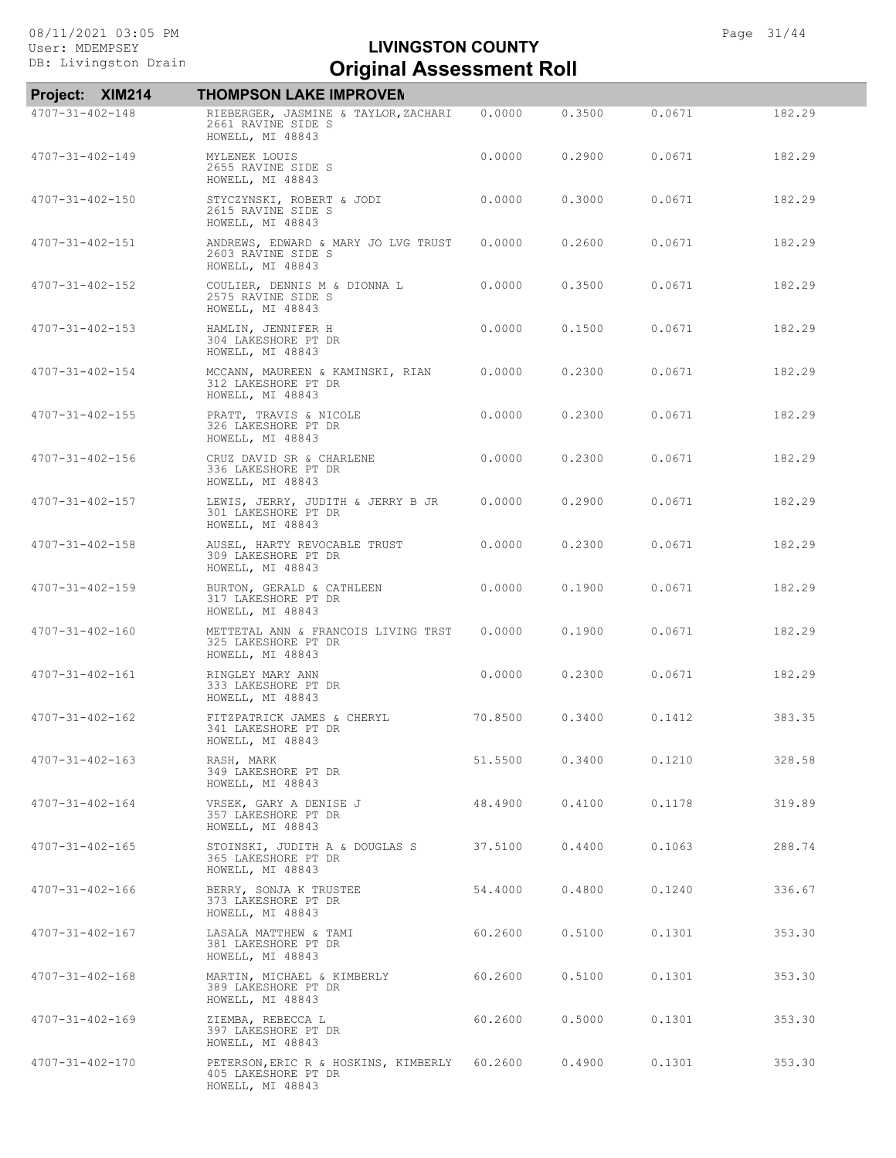| Project: XIM214         | <b>THOMPSON LAKE IMPROVEN</b>                                                           |         |        |        |        |
|-------------------------|-----------------------------------------------------------------------------------------|---------|--------|--------|--------|
| 4707-31-402-148         | RIEBERGER, JASMINE & TAYLOR, ZACHARI<br>2661 RAVINE SIDE S<br>HOWELL, MI 48843          | 0.0000  | 0.3500 | 0.0671 | 182.29 |
| $4707 - 31 - 402 - 149$ | MYLENEK LOUIS<br>2655 RAVINE SIDE S<br>HOWELL, MI 48843                                 | 0.0000  | 0.2900 | 0.0671 | 182.29 |
| 4707-31-402-150         | STYCZYNSKI, ROBERT & JODI<br>2615 RAVINE SIDE S<br>HOWELL, MI 48843                     | 0.0000  | 0.3000 | 0.0671 | 182.29 |
| $4707 - 31 - 402 - 151$ | ANDREWS, EDWARD & MARY JO LVG TRUST<br>2603 RAVINE SIDE S<br>HOWELL, MI 48843           | 0.0000  | 0.2600 | 0.0671 | 182.29 |
| $4707 - 31 - 402 - 152$ | COULIER, DENNIS M & DIONNA L<br>2575 RAVINE SIDE S<br>HOWELL, MI 48843                  | 0.0000  | 0.3500 | 0.0671 | 182.29 |
| $4707 - 31 - 402 - 153$ | HAMLIN, JENNIFER H<br>304 LAKESHORE PT DR<br>HOWELL, MI 48843                           | 0.0000  | 0.1500 | 0.0671 | 182.29 |
| $4707 - 31 - 402 - 154$ | MCCANN, MAUREEN & KAMINSKI, RIAN<br>312 LAKESHORE PT DR<br>HOWELL, MI 48843             | 0.0000  | 0.2300 | 0.0671 | 182.29 |
| $4707 - 31 - 402 - 155$ | PRATT, TRAVIS & NICOLE<br>326 LAKESHORE PT DR<br>HOWELL, MI 48843                       | 0.0000  | 0.2300 | 0.0671 | 182.29 |
| 4707-31-402-156         | CRUZ DAVID SR & CHARLENE<br>336 LAKESHORE PT DR<br>HOWELL, MI 48843                     | 0.0000  | 0.2300 | 0.0671 | 182.29 |
| $4707 - 31 - 402 - 157$ | LEWIS, JERRY, JUDITH & JERRY B JR<br>301 LAKESHORE PT DR<br>HOWELL, MI 48843            | 0.0000  | 0.2900 | 0.0671 | 182.29 |
| $4707 - 31 - 402 - 158$ | AUSEL, HARTY REVOCABLE TRUST<br>309 LAKESHORE PT DR<br>HOWELL, MI 48843                 | 0.0000  | 0.2300 | 0.0671 | 182.29 |
| $4707 - 31 - 402 - 159$ | BURTON, GERALD & CATHLEEN<br>317 LAKESHORE PT DR<br>HOWELL, MI 48843                    | 0.0000  | 0.1900 | 0.0671 | 182.29 |
| $4707 - 31 - 402 - 160$ | METTETAL ANN & FRANCOIS LIVING TRST<br>325 LAKESHORE PT DR<br>HOWELL, MI 48843          | 0.0000  | 0.1900 | 0.0671 | 182.29 |
| 4707-31-402-161         | RINGLEY MARY ANN<br>333 LAKESHORE PT DR<br>HOWELL, MI 48843                             | 0.0000  | 0.2300 | 0.0671 | 182.29 |
| $4707 - 31 - 402 - 162$ | FITZPATRICK JAMES & CHERYL<br>341 LAKESHORE PT DR<br>HOWELL, MI 48843                   | 70.8500 | 0.3400 | 0.1412 | 383.35 |
| $4707 - 31 - 402 - 163$ | RASH, MARK<br>349 LAKESHORE PT DR<br>HOWELL, MI 48843                                   | 51.5500 | 0.3400 | 0.1210 | 328.58 |
| $4707 - 31 - 402 - 164$ | VRSEK, GARY A DENISE J<br>357 LAKESHORE PT DR<br>HOWELL, MI 48843                       | 48.4900 | 0.4100 | 0.1178 | 319.89 |
| $4707 - 31 - 402 - 165$ | STOINSKI, JUDITH A & DOUGLAS S<br>365 LAKESHORE PT DR<br>HOWELL, MI 48843               | 37.5100 | 0.4400 | 0.1063 | 288.74 |
| 4707-31-402-166         | BERRY, SONJA K TRUSTEE<br>373 LAKESHORE PT DR<br>HOWELL, MI 48843                       | 54.4000 | 0.4800 | 0.1240 | 336.67 |
| 4707-31-402-167         | LASALA MATTHEW & TAMI<br>381 LAKESHORE PT DR<br>HOWELL, MI 48843                        | 60.2600 | 0.5100 | 0.1301 | 353.30 |
| $4707 - 31 - 402 - 168$ | MARTIN, MICHAEL & KIMBERLY<br>389 LAKESHORE PT DR<br>HOWELL, MI 48843                   | 60.2600 | 0.5100 | 0.1301 | 353.30 |
| $4707 - 31 - 402 - 169$ | ZIEMBA, REBECCA L<br>397 LAKESHORE PT DR<br>HOWELL, MI 48843                            | 60.2600 | 0.5000 | 0.1301 | 353.30 |
| 4707-31-402-170         | PETERSON, ERIC R & HOSKINS, KIMBERLY 60.2600<br>405 LAKESHORE PT DR<br>HOWELL, MI 48843 |         | 0.4900 | 0.1301 | 353.30 |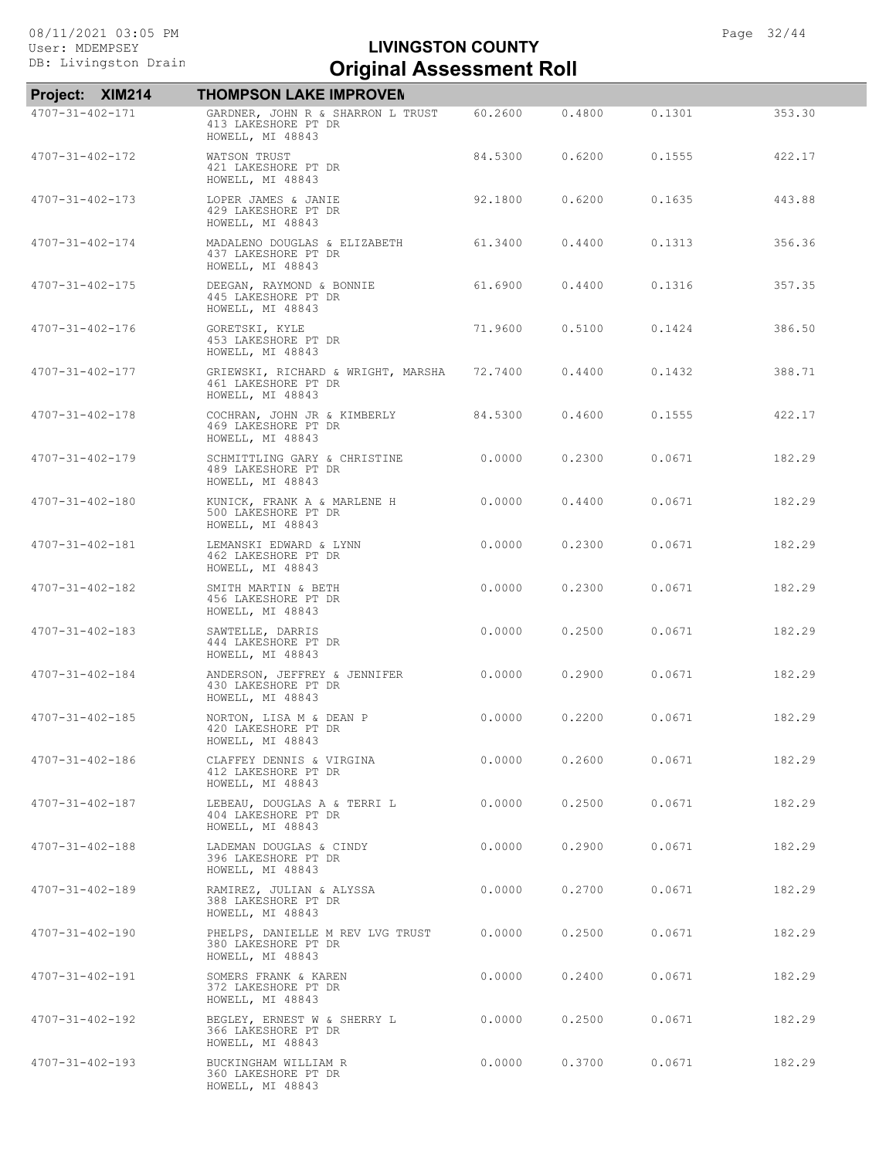# Exterior Drain **Criginal Assessment Roll LIVINGSTON COUNTY**

| Project: XIM214         | <b>THOMPSON LAKE IMPROVEN</b>                                                 |         |        |        |        |
|-------------------------|-------------------------------------------------------------------------------|---------|--------|--------|--------|
| $4707 - 31 - 402 - 171$ | GARDNER, JOHN R & SHARRON L TRUST<br>413 LAKESHORE PT DR<br>HOWELL, MI 48843  | 60.2600 | 0.4800 | 0.1301 | 353.30 |
| $4707 - 31 - 402 - 172$ | WATSON TRUST<br>421 LAKESHORE PT DR<br>HOWELL, MI 48843                       | 84.5300 | 0.6200 | 0.1555 | 422.17 |
| $4707 - 31 - 402 - 173$ | LOPER JAMES & JANIE<br>429 LAKESHORE PT DR<br>HOWELL, MI 48843                | 92.1800 | 0.6200 | 0.1635 | 443.88 |
| 4707-31-402-174         | MADALENO DOUGLAS & ELIZABETH<br>437 LAKESHORE PT DR<br>HOWELL, MI 48843       | 61.3400 | 0.4400 | 0.1313 | 356.36 |
| $4707 - 31 - 402 - 175$ | DEEGAN, RAYMOND & BONNIE<br>445 LAKESHORE PT DR<br>HOWELL, MI 48843           | 61.6900 | 0.4400 | 0.1316 | 357.35 |
| 4707-31-402-176         | GORETSKI, KYLE<br>453 LAKESHORE PT DR<br>HOWELL, MI 48843                     | 71,9600 | 0.5100 | 0.1424 | 386.50 |
| 4707-31-402-177         | GRIEWSKI, RICHARD & WRIGHT, MARSHA<br>461 LAKESHORE PT DR<br>HOWELL, MI 48843 | 72,7400 | 0.4400 | 0.1432 | 388.71 |
| $4707 - 31 - 402 - 178$ | COCHRAN, JOHN JR & KIMBERLY<br>469 LAKESHORE PT DR<br>HOWELL, MI 48843        | 84.5300 | 0.4600 | 0.1555 | 422.17 |
| 4707-31-402-179         | SCHMITTLING GARY & CHRISTINE<br>489 LAKESHORE PT DR<br>HOWELL, MI 48843       | 0.0000  | 0.2300 | 0.0671 | 182.29 |
| $4707 - 31 - 402 - 180$ | KUNICK, FRANK A & MARLENE H<br>500 LAKESHORE PT DR<br>HOWELL, MI 48843        | 0.0000  | 0.4400 | 0.0671 | 182.29 |
| 4707-31-402-181         | LEMANSKI EDWARD & LYNN<br>462 LAKESHORE PT DR<br>HOWELL, MI 48843             | 0.0000  | 0.2300 | 0.0671 | 182.29 |
| 4707-31-402-182         | SMITH MARTIN & BETH<br>456 LAKESHORE PT DR<br>HOWELL, MI 48843                | 0.0000  | 0.2300 | 0.0671 | 182.29 |
| 4707-31-402-183         | SAWTELLE, DARRIS<br>444 LAKESHORE PT DR<br>HOWELL, MI 48843                   | 0.0000  | 0.2500 | 0.0671 | 182.29 |
| 4707-31-402-184         | ANDERSON, JEFFREY & JENNIFER<br>430 LAKESHORE PT DR<br>HOWELL, MI 48843       | 0.0000  | 0.2900 | 0.0671 | 182.29 |
| $4707 - 31 - 402 - 185$ | NORTON, LISA M & DEAN P<br>420 LAKESHORE PT DR<br>HOWELL, MI 48843            | 0.0000  | 0.2200 | 0.0671 | 182.29 |
| 4707-31-402-186         | CLAFFEY DENNIS & VIRGINA<br>412 LAKESHORE PT DR<br>HOWELL, MI 48843           | 0.0000  | 0.2600 | 0.0671 | 182.29 |
| 4707-31-402-187         | LEBEAU, DOUGLAS A & TERRI L<br>404 LAKESHORE PT DR<br>HOWELL, MI 48843        | 0.0000  | 0.2500 | 0.0671 | 182.29 |
| 4707-31-402-188         | LADEMAN DOUGLAS & CINDY<br>396 LAKESHORE PT DR<br>HOWELL, MI 48843            | 0.0000  | 0.2900 | 0.0671 | 182.29 |
| 4707-31-402-189         | RAMIREZ, JULIAN & ALYSSA<br>388 LAKESHORE PT DR<br>HOWELL, MI 48843           | 0.0000  | 0.2700 | 0.0671 | 182.29 |
| $4707 - 31 - 402 - 190$ | PHELPS, DANIELLE M REV LVG TRUST<br>380 LAKESHORE PT DR<br>HOWELL, MI 48843   | 0.0000  | 0.2500 | 0.0671 | 182.29 |
| 4707-31-402-191         | SOMERS FRANK & KAREN<br>372 LAKESHORE PT DR<br>HOWELL, MI 48843               | 0.0000  | 0.2400 | 0.0671 | 182.29 |
| 4707-31-402-192         | BEGLEY, ERNEST W & SHERRY L<br>366 LAKESHORE PT DR<br>HOWELL, MI 48843        | 0.0000  | 0.2500 | 0.0671 | 182.29 |
| 4707-31-402-193         | BUCKINGHAM WILLIAM R<br>360 LAKESHORE PT DR<br>HOWELL, MI 48843               | 0.0000  | 0.3700 | 0.0671 | 182.29 |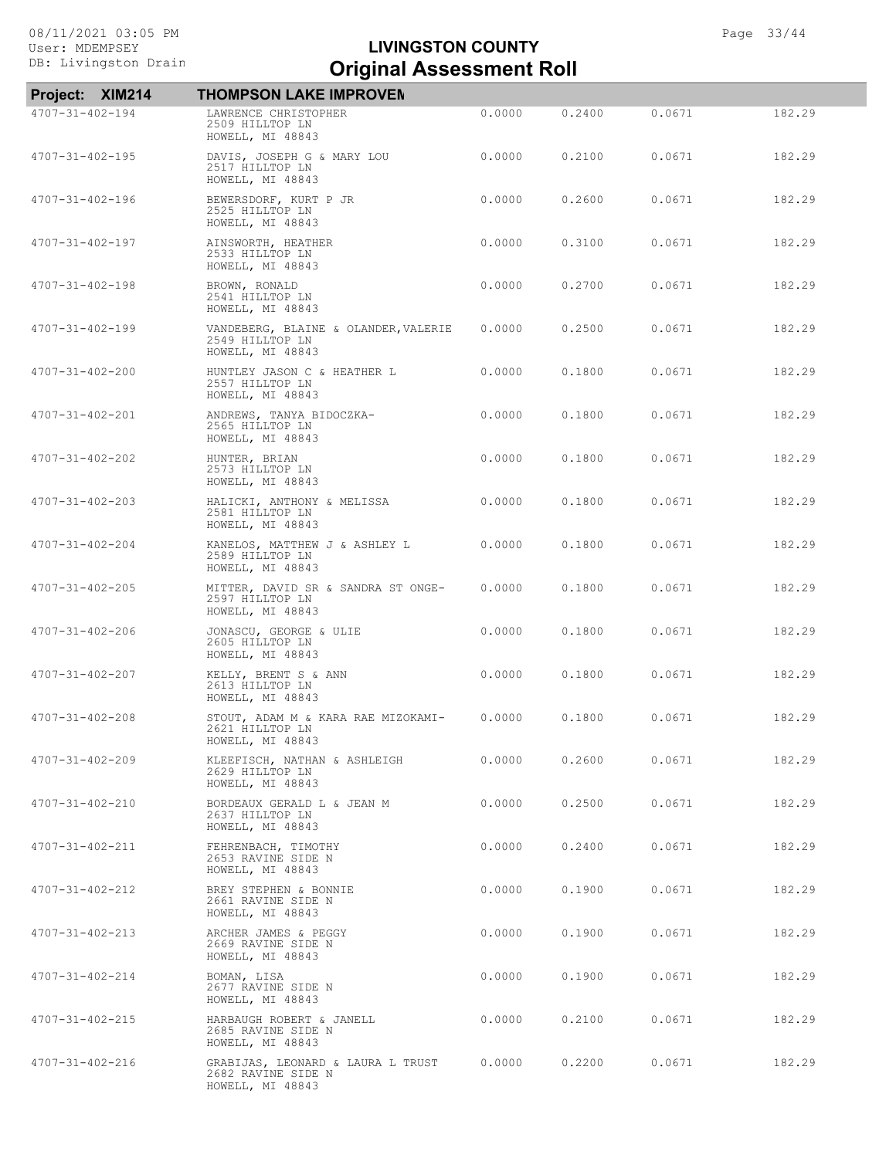| Project: XIM214         | <b>THOMPSON LAKE IMPROVEN</b>                                               |        |        |        |        |
|-------------------------|-----------------------------------------------------------------------------|--------|--------|--------|--------|
| 4707-31-402-194         | LAWRENCE CHRISTOPHER<br>2509 HILLTOP LN<br>HOWELL, MI 48843                 | 0.0000 | 0.2400 | 0.0671 | 182.29 |
| $4707 - 31 - 402 - 195$ | DAVIS, JOSEPH G & MARY LOU<br>2517 HILLTOP LN<br>HOWELL, MI 48843           | 0.0000 | 0.2100 | 0.0671 | 182.29 |
| $4707 - 31 - 402 - 196$ | BEWERSDORF, KURT P JR<br>2525 HILLTOP LN<br>HOWELL, MI 48843                | 0.0000 | 0.2600 | 0.0671 | 182.29 |
| $4707 - 31 - 402 - 197$ | AINSWORTH, HEATHER<br>2533 HILLTOP LN<br>HOWELL, MI 48843                   | 0.0000 | 0.3100 | 0.0671 | 182.29 |
| $4707 - 31 - 402 - 198$ | BROWN, RONALD<br>2541 HILLTOP LN<br>HOWELL, MI 48843                        | 0.0000 | 0.2700 | 0.0671 | 182.29 |
| $4707 - 31 - 402 - 199$ | VANDEBERG, BLAINE & OLANDER, VALERIE<br>2549 HILLTOP LN<br>HOWELL, MI 48843 | 0.0000 | 0.2500 | 0.0671 | 182.29 |
| $4707 - 31 - 402 - 200$ | HUNTLEY JASON C & HEATHER L<br>2557 HILLTOP LN<br>HOWELL, MI 48843          | 0.0000 | 0.1800 | 0.0671 | 182.29 |
| 4707-31-402-201         | ANDREWS, TANYA BIDOCZKA-<br>2565 HILLTOP LN<br>HOWELL, MI 48843             | 0.0000 | 0.1800 | 0.0671 | 182.29 |
| $4707 - 31 - 402 - 202$ | HUNTER, BRIAN<br>2573 HILLTOP LN<br>HOWELL, MI 48843                        | 0.0000 | 0.1800 | 0.0671 | 182.29 |
| $4707 - 31 - 402 - 203$ | HALICKI, ANTHONY & MELISSA<br>2581 HILLTOP LN<br>HOWELL, MI 48843           | 0.0000 | 0.1800 | 0.0671 | 182.29 |
| $4707 - 31 - 402 - 204$ | KANELOS, MATTHEW J & ASHLEY L<br>2589 HILLTOP LN<br>HOWELL, MI 48843        | 0.0000 | 0.1800 | 0.0671 | 182.29 |
| $4707 - 31 - 402 - 205$ | MITTER, DAVID SR & SANDRA ST ONGE-<br>2597 HILLTOP LN<br>HOWELL, MI 48843   | 0.0000 | 0.1800 | 0.0671 | 182.29 |
| $4707 - 31 - 402 - 206$ | JONASCU, GEORGE & ULIE<br>2605 HILLTOP LN<br>HOWELL, MI 48843               | 0.0000 | 0.1800 | 0.0671 | 182.29 |
| $4707 - 31 - 402 - 207$ | KELLY, BRENT S & ANN<br>2613 HILLTOP LN<br>HOWELL, MI 48843                 | 0.0000 | 0.1800 | 0.0671 | 182.29 |
| $4707 - 31 - 402 - 208$ | STOUT, ADAM M & KARA RAE MIZOKAMI-<br>2621 HILLTOP LN<br>HOWELL, MI 48843   | 0.0000 | 0.1800 | 0.0671 | 182.29 |
| $4707 - 31 - 402 - 209$ | KLEEFISCH, NATHAN & ASHLEIGH<br>2629 HILLTOP LN<br>HOWELL, MI 48843         | 0.0000 | 0.2600 | 0.0671 | 182.29 |
| $4707 - 31 - 402 - 210$ | BORDEAUX GERALD L & JEAN M<br>2637 HILLTOP LN<br>HOWELL, MI 48843           | 0.0000 | 0.2500 | 0.0671 | 182.29 |
| 4707-31-402-211         | FEHRENBACH, TIMOTHY<br>2653 RAVINE SIDE N<br>HOWELL, MI 48843               | 0.0000 | 0.2400 | 0.0671 | 182.29 |
| 4707-31-402-212         | BREY STEPHEN & BONNIE<br>2661 RAVINE SIDE N<br>HOWELL, MI 48843             | 0.0000 | 0.1900 | 0.0671 | 182.29 |
| 4707-31-402-213         | ARCHER JAMES & PEGGY<br>2669 RAVINE SIDE N<br>HOWELL, MI 48843              | 0.0000 | 0.1900 | 0.0671 | 182.29 |
| $4707 - 31 - 402 - 214$ | BOMAN, LISA<br>2677 RAVINE SIDE N<br>HOWELL, MI 48843                       | 0.0000 | 0.1900 | 0.0671 | 182.29 |
| 4707-31-402-215         | HARBAUGH ROBERT & JANELL<br>2685 RAVINE SIDE N<br>HOWELL, MI 48843          | 0.0000 | 0.2100 | 0.0671 | 182.29 |
| 4707-31-402-216         | GRABIJAS, LEONARD & LAURA L TRUST<br>2682 RAVINE SIDE N<br>HOWELL, MI 48843 | 0.0000 | 0.2200 | 0.0671 | 182.29 |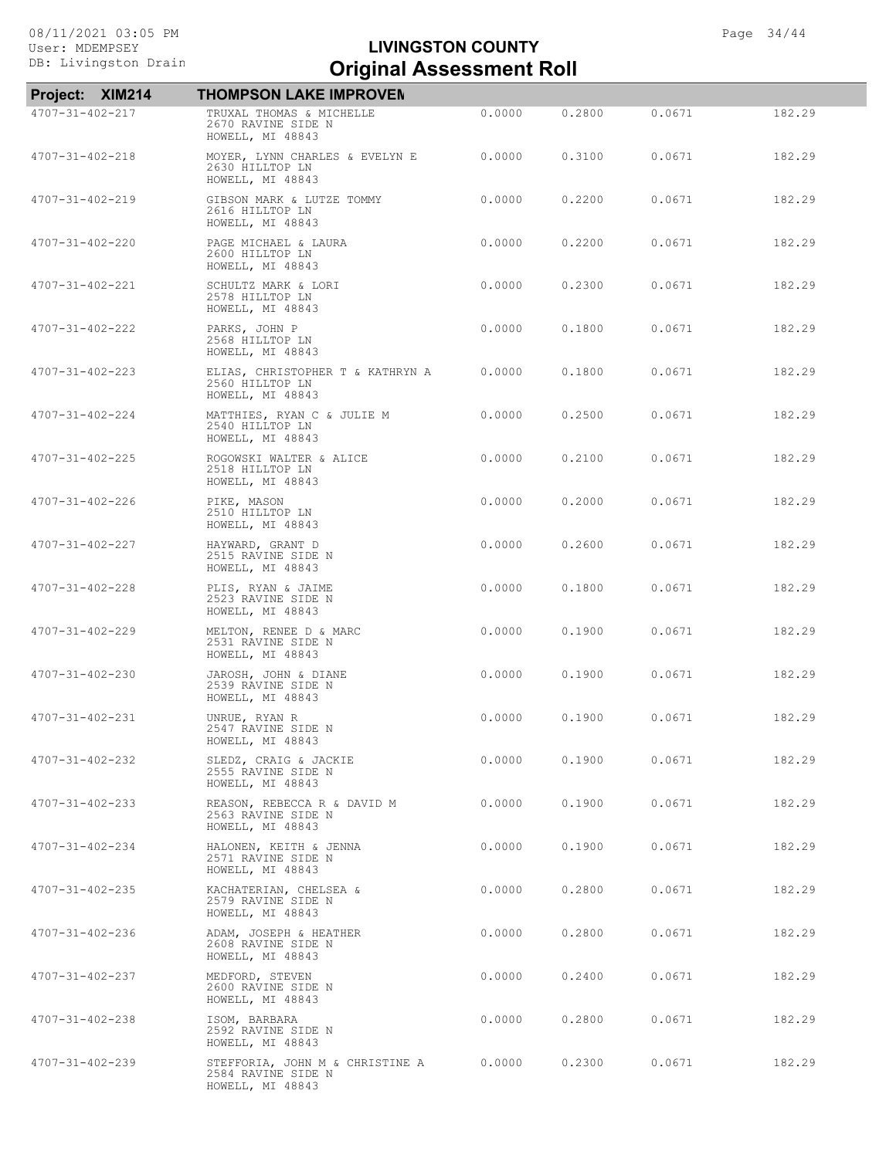| Project: XIM214         | <b>THOMPSON LAKE IMPROVEN</b>                                             |        |        |        |        |
|-------------------------|---------------------------------------------------------------------------|--------|--------|--------|--------|
| 4707-31-402-217         | TRUXAL THOMAS & MICHELLE<br>2670 RAVINE SIDE N<br>HOWELL, MI 48843        | 0.0000 | 0.2800 | 0.0671 | 182.29 |
| $4707 - 31 - 402 - 218$ | MOYER, LYNN CHARLES & EVELYN E<br>2630 HILLTOP LN<br>HOWELL, MI 48843     | 0.0000 | 0.3100 | 0.0671 | 182.29 |
| 4707-31-402-219         | GIBSON MARK & LUTZE TOMMY<br>2616 HILLTOP LN<br>HOWELL, MI 48843          | 0.0000 | 0.2200 | 0.0671 | 182.29 |
| $4707 - 31 - 402 - 220$ | PAGE MICHAEL & LAURA<br>2600 HILLTOP LN<br>HOWELL, MI 48843               | 0.0000 | 0.2200 | 0.0671 | 182.29 |
| 4707-31-402-221         | SCHULTZ MARK & LORI<br>2578 HILLTOP LN<br>HOWELL, MI 48843                | 0.0000 | 0.2300 | 0.0671 | 182.29 |
| 4707-31-402-222         | PARKS, JOHN P<br>2568 HILLTOP LN<br>HOWELL, MI 48843                      | 0.0000 | 0.1800 | 0.0671 | 182.29 |
| $4707 - 31 - 402 - 223$ | ELIAS, CHRISTOPHER T & KATHRYN A<br>2560 HILLTOP LN<br>HOWELL, MI 48843   | 0.0000 | 0.1800 | 0.0671 | 182.29 |
| $4707 - 31 - 402 - 224$ | MATTHIES, RYAN C & JULIE M<br>2540 HILLTOP LN<br>HOWELL, MI 48843         | 0.0000 | 0.2500 | 0.0671 | 182.29 |
| $4707 - 31 - 402 - 225$ | ROGOWSKI WALTER & ALICE<br>2518 HILLTOP LN<br>HOWELL, MI 48843            | 0.0000 | 0.2100 | 0.0671 | 182.29 |
| 4707-31-402-226         | PIKE, MASON<br>2510 HILLTOP LN<br>HOWELL, MI 48843                        | 0.0000 | 0.2000 | 0.0671 | 182.29 |
| 4707-31-402-227         | HAYWARD, GRANT D<br>2515 RAVINE SIDE N<br>HOWELL, MI 48843                | 0.0000 | 0.2600 | 0.0671 | 182.29 |
| 4707-31-402-228         | PLIS, RYAN & JAIME<br>2523 RAVINE SIDE N<br>HOWELL, MI 48843              | 0.0000 | 0.1800 | 0.0671 | 182.29 |
| 4707-31-402-229         | MELTON, RENEE D & MARC<br>2531 RAVINE SIDE N<br>HOWELL, MI 48843          | 0.0000 | 0.1900 | 0.0671 | 182.29 |
| $4707 - 31 - 402 - 230$ | JAROSH, JOHN & DIANE<br>2539 RAVINE SIDE N<br>HOWELL, MI 48843            | 0.0000 | 0.1900 | 0.0671 | 182.29 |
| $4707 - 31 - 402 - 231$ | UNRUE, RYAN R<br>2547 RAVINE SIDE N<br>HOWELL, MI 48843                   | 0.0000 | 0.1900 | 0.0671 | 182.29 |
| $4707 - 31 - 402 - 232$ | SLEDZ, CRAIG & JACKIE<br>2555 RAVINE SIDE N<br>HOWELL, MI 48843           | 0.0000 | 0.1900 | 0.0671 | 182.29 |
| $4707 - 31 - 402 - 233$ | REASON, REBECCA R & DAVID M<br>2563 RAVINE SIDE N<br>HOWELL, MI 48843     | 0.0000 | 0.1900 | 0.0671 | 182.29 |
| 4707-31-402-234         | HALONEN, KEITH & JENNA<br>2571 RAVINE SIDE N<br>HOWELL, MI 48843          | 0.0000 | 0.1900 | 0.0671 | 182.29 |
| $4707 - 31 - 402 - 235$ | KACHATERIAN, CHELSEA &<br>2579 RAVINE SIDE N<br>HOWELL, MI 48843          | 0.0000 | 0.2800 | 0.0671 | 182.29 |
| 4707-31-402-236         | ADAM, JOSEPH & HEATHER<br>2608 RAVINE SIDE N<br>HOWELL, MI 48843          | 0.0000 | 0.2800 | 0.0671 | 182.29 |
| $4707 - 31 - 402 - 237$ | MEDFORD, STEVEN<br>2600 RAVINE SIDE N<br>HOWELL, MI 48843                 | 0.0000 | 0.2400 | 0.0671 | 182.29 |
| $4707 - 31 - 402 - 238$ | ISOM, BARBARA<br>2592 RAVINE SIDE N<br>HOWELL, MI 48843                   | 0.0000 | 0.2800 | 0.0671 | 182.29 |
| $4707 - 31 - 402 - 239$ | STEFFORIA, JOHN M & CHRISTINE A<br>2584 RAVINE SIDE N<br>HOWELL, MI 48843 | 0.0000 | 0.2300 | 0.0671 | 182.29 |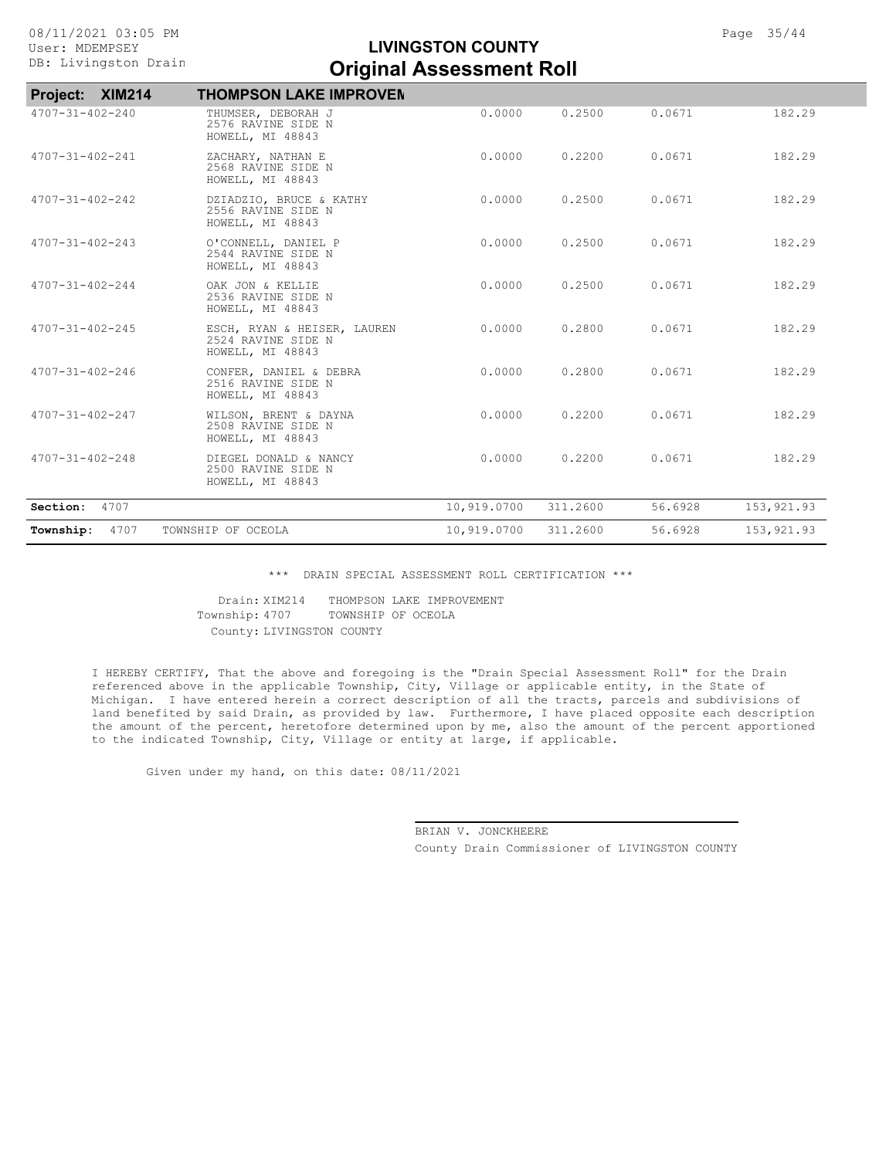| Project: XIM214         | <b>THOMPSON LAKE IMPROVEN</b>                                         |             |          |         |             |
|-------------------------|-----------------------------------------------------------------------|-------------|----------|---------|-------------|
| $4707 - 31 - 402 - 240$ | THUMSER, DEBORAH J<br>2576 RAVINE SIDE N<br>HOWELL, MI 48843          | 0.0000      | 0.2500   | 0.0671  | 182.29      |
| $4707 - 31 - 402 - 241$ | ZACHARY, NATHAN E<br>2568 RAVINE SIDE N<br>HOWELL, MI 48843           | 0.0000      | 0.2200   | 0.0671  | 182.29      |
| $4707 - 31 - 402 - 242$ | DZIADZIO, BRUCE & KATHY<br>2556 RAVINE SIDE N<br>HOWELL, MI 48843     | 0.0000      | 0.2500   | 0.0671  | 182.29      |
| $4707 - 31 - 402 - 243$ | O'CONNELL, DANIEL P<br>2544 RAVINE SIDE N<br>HOWELL, MI 48843         | 0.0000      | 0.2500   | 0.0671  | 182.29      |
| $4707 - 31 - 402 - 244$ | OAK JON & KELLIE<br>2536 RAVINE SIDE N<br>HOWELL, MI 48843            | 0.0000      | 0.2500   | 0.0671  | 182.29      |
| $4707 - 31 - 402 - 245$ | ESCH, RYAN & HEISER, LAUREN<br>2524 RAVINE SIDE N<br>HOWELL, MI 48843 | 0.0000      | 0.2800   | 0.0671  | 182.29      |
| $4707 - 31 - 402 - 246$ | CONFER, DANIEL & DEBRA<br>2516 RAVINE SIDE N<br>HOWELL, MI 48843      | 0.0000      | 0.2800   | 0.0671  | 182.29      |
| $4707 - 31 - 402 - 247$ | WILSON, BRENT & DAYNA<br>2508 RAVINE SIDE N<br>HOWELL, MI 48843       | 0.0000      | 0.2200   | 0.0671  | 182.29      |
| $4707 - 31 - 402 - 248$ | DIEGEL DONALD & NANCY<br>2500 RAVINE SIDE N<br>HOWELL, MI 48843       | 0.0000      | 0.2200   | 0.0671  | 182.29      |
| 4707<br>Section:        |                                                                       | 10,919.0700 | 311.2600 | 56.6928 | 153,921.93  |
| 4707<br>Township:       | TOWNSHIP OF OCEOLA                                                    | 10,919.0700 | 311.2600 | 56.6928 | 153, 921.93 |
|                         |                                                                       |             |          |         |             |

\*\*\* DRAIN SPECIAL ASSESSMENT ROLL CERTIFICATION \*\*\*

County: LIVINGSTON COUNTY Township: 4707 TOWNSHIP OF OCEOLA Drain: XIM214 THOMPSON LAKE IMPROVEMENT

I HEREBY CERTIFY, That the above and foregoing is the "Drain Special Assessment Roll" for the Drain referenced above in the applicable Township, City, Village or applicable entity, in the State of Michigan. I have entered herein a correct description of all the tracts, parcels and subdivisions of land benefited by said Drain, as provided by law. Furthermore, I have placed opposite each description the amount of the percent, heretofore determined upon by me, also the amount of the percent apportioned to the indicated Township, City, Village or entity at large, if applicable.

Given under my hand, on this date: 08/11/2021

County Drain Commissioner of LIVINGSTON COUNTY BRIAN V. JONCKHEERE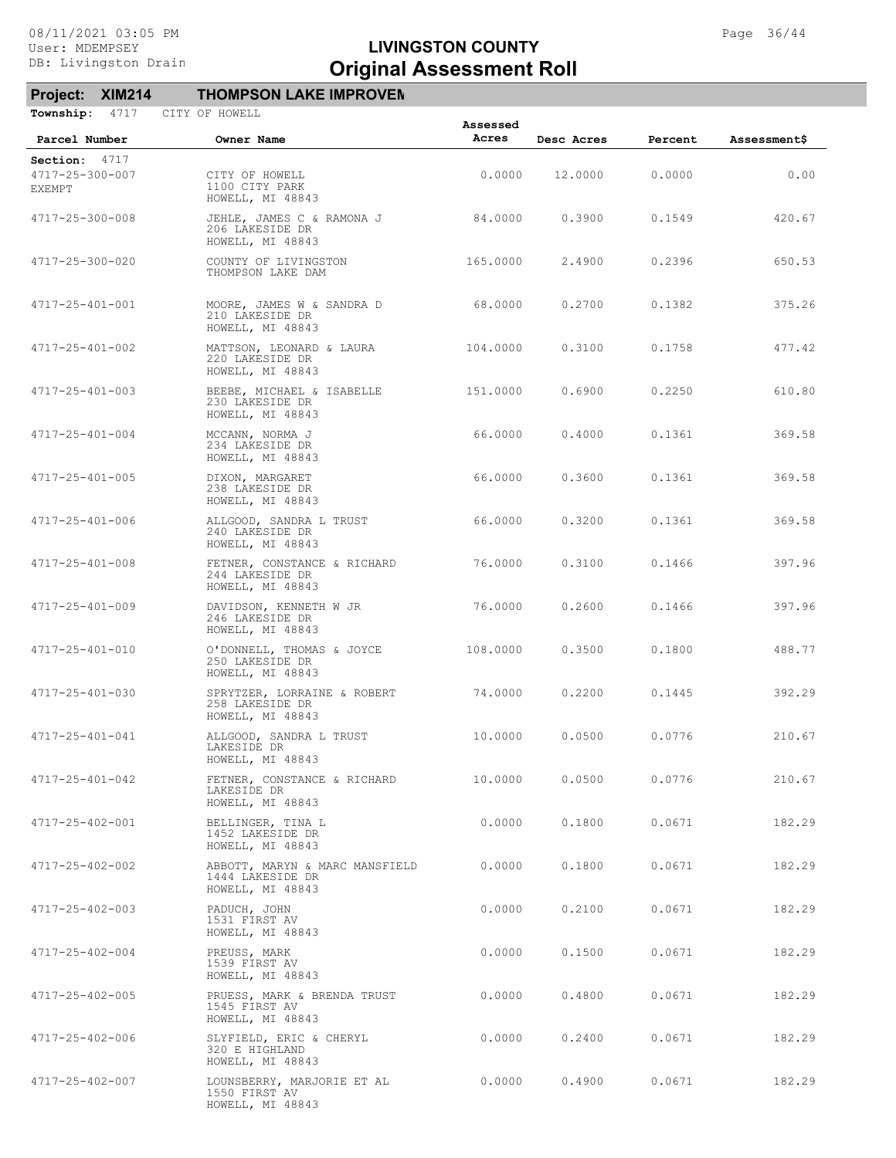# **Project: XIM214 THOMPSON LAKE IMPROVEN**

| Township:<br>4717                | CITY OF HOWELL                                                         | Assessed |            |         |                     |
|----------------------------------|------------------------------------------------------------------------|----------|------------|---------|---------------------|
| Parcel Number                    | Owner Name                                                             | Acres    | Desc Acres | Percent | <b>Assessment\$</b> |
| Section: 4717                    |                                                                        |          |            |         |                     |
| 4717-25-300-007<br><b>EXEMPT</b> | CITY OF HOWELL<br>1100 CITY PARK<br>HOWELL, MI 48843                   | 0.0000   | 12.0000    | 0.0000  | 0.00                |
| 4717-25-300-008                  | JEHLE, JAMES C & RAMONA J<br>206 LAKESIDE DR<br>HOWELL, MI 48843       | 84.0000  | 0.3900     | 0.1549  | 420.67              |
| 4717-25-300-020                  | COUNTY OF LIVINGSTON<br>THOMPSON LAKE DAM                              | 165.0000 | 2.4900     | 0.2396  | 650.53              |
| 4717-25-401-001                  | MOORE, JAMES W & SANDRA D<br>210 LAKESIDE DR<br>HOWELL, MI 48843       | 68.0000  | 0.2700     | 0.1382  | 375.26              |
| 4717-25-401-002                  | MATTSON, LEONARD & LAURA<br>220 LAKESIDE DR<br>HOWELL, MI 48843        | 104.0000 | 0.3100     | 0.1758  | 477.42              |
| 4717-25-401-003                  | BEEBE, MICHAEL & ISABELLE<br>230 LAKESIDE DR<br>HOWELL, MI 48843       | 151,0000 | 0.6900     | 0.2250  | 610.80              |
| 4717-25-401-004                  | MCCANN, NORMA J<br>234 LAKESIDE DR<br>HOWELL, MI 48843                 | 66.0000  | 0.4000     | 0.1361  | 369.58              |
| 4717-25-401-005                  | DIXON, MARGARET<br>238 LAKESIDE DR<br>HOWELL, MI 48843                 | 66.0000  | 0.3600     | 0.1361  | 369.58              |
| 4717-25-401-006                  | ALLGOOD, SANDRA L TRUST<br>240 LAKESIDE DR<br>HOWELL, MI 48843         | 66.0000  | 0.3200     | 0.1361  | 369.58              |
| 4717-25-401-008                  | FETNER, CONSTANCE & RICHARD<br>244 LAKESIDE DR<br>HOWELL, MI 48843     | 76.0000  | 0.3100     | 0.1466  | 397.96              |
| 4717-25-401-009                  | DAVIDSON, KENNETH W JR<br>246 LAKESIDE DR<br>HOWELL, MI 48843          | 76.0000  | 0.2600     | 0.1466  | 397.96              |
| 4717-25-401-010                  | O'DONNELL, THOMAS & JOYCE<br>250 LAKESIDE DR<br>HOWELL, MI 48843       | 108.0000 | 0.3500     | 0.1800  | 488.77              |
| 4717-25-401-030                  | SPRYTZER, LORRAINE & ROBERT<br>258 LAKESIDE DR<br>HOWELL, MI 48843     | 74.0000  | 0.2200     | 0.1445  | 392.29              |
| 4717-25-401-041                  | ALLGOOD, SANDRA L TRUST<br>LAKESIDE DR<br>HOWELL, MI 48843             | 10.0000  | 0.0500     | 0.0776  | 210.67              |
| 4717-25-401-042                  | FETNER, CONSTANCE & RICHARD<br>LAKESIDE DR<br>HOWELL, MI 48843         | 10.0000  | 0.0500     | 0.0776  | 210.67              |
| 4717-25-402-001                  | BELLINGER, TINA L<br>1452 LAKESIDE DR<br>HOWELL, MI 48843              | 0.0000   | 0.1800     | 0.0671  | 182.29              |
| 4717-25-402-002                  | ABBOTT, MARYN & MARC MANSFIELD<br>1444 LAKESIDE DR<br>HOWELL, MI 48843 | 0.0000   | 0.1800     | 0.0671  | 182.29              |
| 4717-25-402-003                  | PADUCH, JOHN<br>1531 FIRST AV<br>HOWELL, MI 48843                      | 0.0000   | 0.2100     | 0.0671  | 182.29              |
| 4717-25-402-004                  | PREUSS, MARK<br>1539 FIRST AV<br>HOWELL, MI 48843                      | 0.0000   | 0.1500     | 0.0671  | 182.29              |
| 4717-25-402-005                  | PRUESS, MARK & BRENDA TRUST<br>1545 FIRST AV<br>HOWELL, MI 48843       | 0.0000   | 0.4800     | 0.0671  | 182.29              |
| 4717-25-402-006                  | SLYFIELD, ERIC & CHERYL<br>320 E HIGHLAND<br>HOWELL, MI 48843          | 0.0000   | 0.2400     | 0.0671  | 182.29              |
| 4717-25-402-007                  | LOUNSBERRY, MARJORIE ET AL<br>1550 FIRST AV<br>HOWELL, MI 48843        | 0.0000   | 0.4900     | 0.0671  | 182.29              |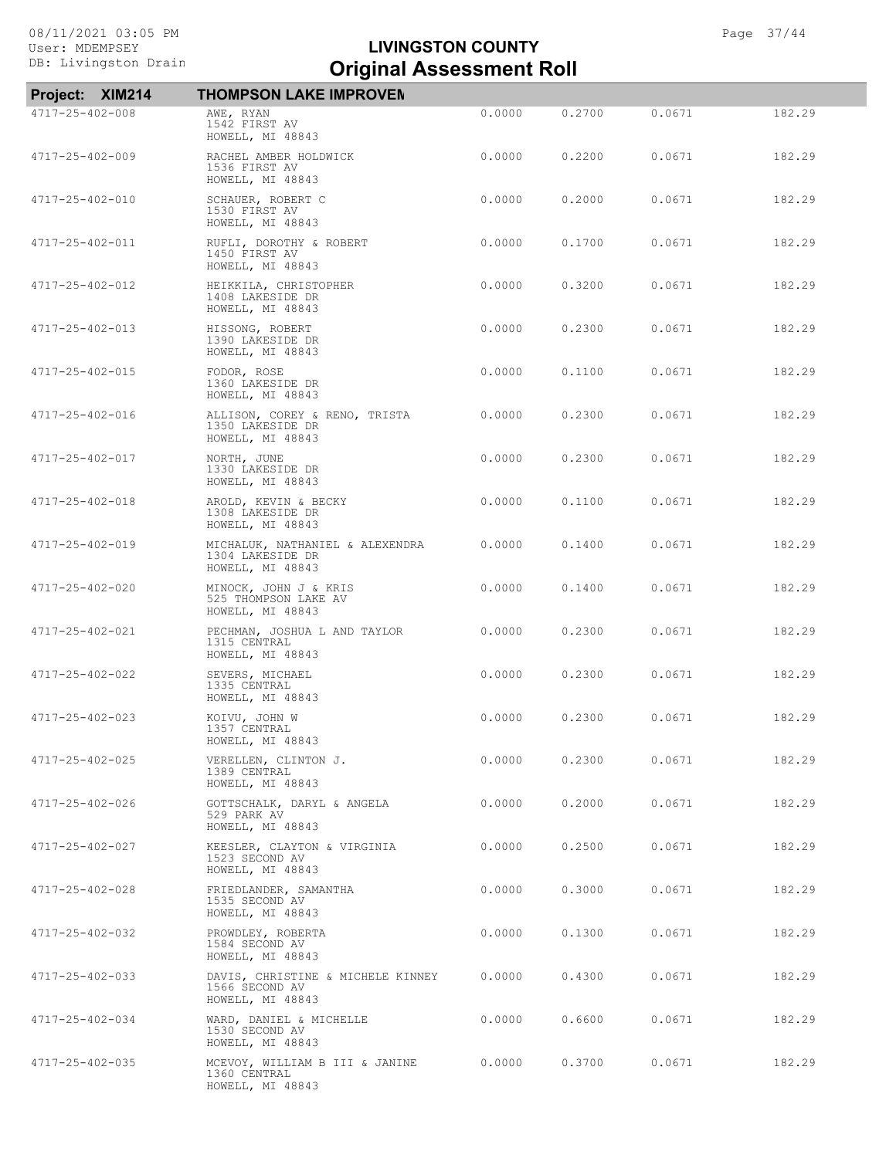| Project: XIM214 | <b>THOMPSON LAKE IMPROVEN</b>                                           |        |        |        |        |
|-----------------|-------------------------------------------------------------------------|--------|--------|--------|--------|
| 4717-25-402-008 | AWE, RYAN<br>1542 FIRST AV<br>HOWELL, MI 48843                          | 0.0000 | 0.2700 | 0.0671 | 182.29 |
| 4717-25-402-009 | RACHEL AMBER HOLDWICK<br>1536 FIRST AV<br>HOWELL, MI 48843              | 0.0000 | 0.2200 | 0.0671 | 182.29 |
| 4717-25-402-010 | SCHAUER, ROBERT C<br>1530 FIRST AV<br>HOWELL, MI 48843                  | 0.0000 | 0.2000 | 0.0671 | 182.29 |
| 4717-25-402-011 | RUFLI, DOROTHY & ROBERT<br>1450 FIRST AV<br>HOWELL, MI 48843            | 0.0000 | 0.1700 | 0.0671 | 182.29 |
| 4717-25-402-012 | HEIKKILA, CHRISTOPHER<br>1408 LAKESIDE DR<br>HOWELL, MI 48843           | 0.0000 | 0.3200 | 0.0671 | 182.29 |
| 4717-25-402-013 | HISSONG, ROBERT<br>1390 LAKESIDE DR<br>HOWELL, MI 48843                 | 0.0000 | 0.2300 | 0.0671 | 182.29 |
| 4717-25-402-015 | FODOR, ROSE<br>1360 LAKESIDE DR<br>HOWELL, MI 48843                     | 0.0000 | 0.1100 | 0.0671 | 182.29 |
| 4717-25-402-016 | ALLISON, COREY & RENO, TRISTA<br>1350 LAKESIDE DR<br>HOWELL, MI 48843   | 0.0000 | 0.2300 | 0.0671 | 182.29 |
| 4717-25-402-017 | NORTH, JUNE<br>1330 LAKESIDE DR<br>HOWELL, MI 48843                     | 0.0000 | 0.2300 | 0.0671 | 182.29 |
| 4717-25-402-018 | AROLD, KEVIN & BECKY<br>1308 LAKESIDE DR<br>HOWELL, MI 48843            | 0.0000 | 0.1100 | 0.0671 | 182.29 |
| 4717-25-402-019 | MICHALUK, NATHANIEL & ALEXENDRA<br>1304 LAKESIDE DR<br>HOWELL, MI 48843 | 0.0000 | 0.1400 | 0.0671 | 182.29 |
| 4717-25-402-020 | MINOCK, JOHN J & KRIS<br>525 THOMPSON LAKE AV<br>HOWELL, MI 48843       | 0.0000 | 0.1400 | 0.0671 | 182.29 |
| 4717-25-402-021 | PECHMAN, JOSHUA L AND TAYLOR<br>1315 CENTRAL<br>HOWELL, MI 48843        | 0.0000 | 0.2300 | 0.0671 | 182.29 |
| 4717-25-402-022 | SEVERS, MICHAEL<br>1335 CENTRAL<br>HOWELL, MI 48843                     | 0.0000 | 0.2300 | 0.0671 | 182.29 |
| 4717-25-402-023 | KOIVU, JOHN W<br>1357 CENTRAL<br>HOWELL, MI 48843                       | 0.0000 | 0.2300 | 0.0671 | 182.29 |
| 4717-25-402-025 | VERELLEN, CLINTON J.<br>1389 CENTRAL<br>HOWELL, MI 48843                | 0.0000 | 0.2300 | 0.0671 | 182.29 |
| 4717-25-402-026 | GOTTSCHALK, DARYL & ANGELA<br>529 PARK AV<br>HOWELL, MI 48843           | 0.0000 | 0.2000 | 0.0671 | 182.29 |
| 4717-25-402-027 | KEESLER, CLAYTON & VIRGINIA<br>1523 SECOND AV<br>HOWELL, MI 48843       | 0.0000 | 0.2500 | 0.0671 | 182.29 |
| 4717-25-402-028 | FRIEDLANDER, SAMANTHA<br>1535 SECOND AV<br>HOWELL, MI 48843             | 0.0000 | 0.3000 | 0.0671 | 182.29 |
| 4717-25-402-032 | PROWDLEY, ROBERTA<br>1584 SECOND AV<br>HOWELL, MI 48843                 | 0.0000 | 0.1300 | 0.0671 | 182.29 |
| 4717-25-402-033 | DAVIS, CHRISTINE & MICHELE KINNEY<br>1566 SECOND AV<br>HOWELL, MI 48843 | 0.0000 | 0.4300 | 0.0671 | 182.29 |
| 4717-25-402-034 | WARD, DANIEL & MICHELLE<br>1530 SECOND AV<br>HOWELL, MI 48843           | 0.0000 | 0.6600 | 0.0671 | 182.29 |
| 4717-25-402-035 | MCEVOY, WILLIAM B III & JANINE<br>1360 CENTRAL<br>HOWELL, MI 48843      | 0.0000 | 0.3700 | 0.0671 | 182.29 |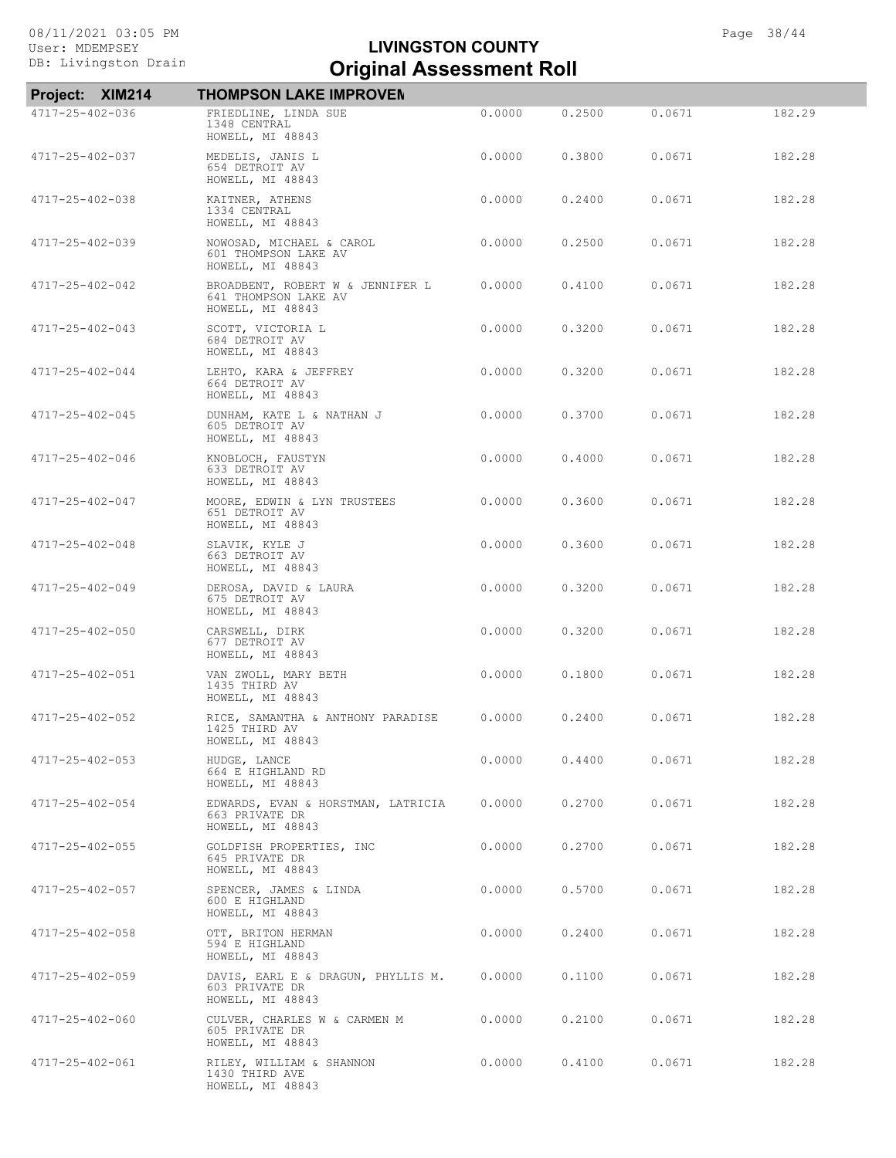| Project: XIM214 | <b>THOMPSON LAKE IMPROVEN</b>                                                |        |        |        |        |
|-----------------|------------------------------------------------------------------------------|--------|--------|--------|--------|
| 4717-25-402-036 | FRIEDLINE, LINDA SUE<br>1348 CENTRAL<br>HOWELL, MI 48843                     | 0.0000 | 0.2500 | 0.0671 | 182.29 |
| 4717-25-402-037 | MEDELIS, JANIS L<br>654 DETROIT AV<br>HOWELL, MI 48843                       | 0.0000 | 0.3800 | 0.0671 | 182.28 |
| 4717-25-402-038 | KAITNER, ATHENS<br>1334 CENTRAL<br>HOWELL, MI 48843                          | 0.0000 | 0.2400 | 0.0671 | 182.28 |
| 4717-25-402-039 | NOWOSAD, MICHAEL & CAROL<br>601 THOMPSON LAKE AV<br>HOWELL, MI 48843         | 0.0000 | 0.2500 | 0.0671 | 182.28 |
| 4717-25-402-042 | BROADBENT, ROBERT W & JENNIFER L<br>641 THOMPSON LAKE AV<br>HOWELL, MI 48843 | 0.0000 | 0.4100 | 0.0671 | 182.28 |
| 4717-25-402-043 | SCOTT, VICTORIA L<br>684 DETROIT AV<br>HOWELL, MI 48843                      | 0.0000 | 0.3200 | 0.0671 | 182.28 |
| 4717-25-402-044 | LEHTO, KARA & JEFFREY<br>664 DETROIT AV<br>HOWELL, MI 48843                  | 0.0000 | 0.3200 | 0.0671 | 182.28 |
| 4717-25-402-045 | DUNHAM, KATE L & NATHAN J<br>605 DETROIT AV<br>HOWELL, MI 48843              | 0.0000 | 0.3700 | 0.0671 | 182.28 |
| 4717-25-402-046 | KNOBLOCH, FAUSTYN<br>633 DETROIT AV<br>HOWELL, MI 48843                      | 0.0000 | 0.4000 | 0.0671 | 182.28 |
| 4717-25-402-047 | MOORE, EDWIN & LYN TRUSTEES<br>651 DETROIT AV<br>HOWELL, MI 48843            | 0.0000 | 0.3600 | 0.0671 | 182.28 |
| 4717-25-402-048 | SLAVIK, KYLE J<br>663 DETROIT AV<br>HOWELL, MI 48843                         | 0.0000 | 0.3600 | 0.0671 | 182.28 |
| 4717-25-402-049 | DEROSA, DAVID & LAURA<br>675 DETROIT AV<br>HOWELL, MI 48843                  | 0.0000 | 0.3200 | 0.0671 | 182.28 |
| 4717-25-402-050 | CARSWELL, DIRK<br>677 DETROIT AV<br>HOWELL, MI 48843                         | 0.0000 | 0.3200 | 0.0671 | 182.28 |
| 4717-25-402-051 | VAN ZWOLL, MARY BETH<br>1435 THIRD AV<br>HOWELL, MI 48843                    | 0.0000 | 0.1800 | 0.0671 | 182.28 |
| 4717-25-402-052 | RICE, SAMANTHA & ANTHONY PARADISE<br>1425 THIRD AV<br>HOWELL, MI 48843       | 0.0000 | 0.2400 | 0.0671 | 182.28 |
| 4717-25-402-053 | HUDGE, LANCE<br>664 E HIGHLAND RD<br>HOWELL, MI 48843                        | 0.0000 | 0.4400 | 0.0671 | 182.28 |
| 4717-25-402-054 | EDWARDS, EVAN & HORSTMAN, LATRICIA<br>663 PRIVATE DR<br>HOWELL, MI 48843     | 0.0000 | 0.2700 | 0.0671 | 182.28 |
| 4717-25-402-055 | GOLDFISH PROPERTIES, INC<br>645 PRIVATE DR<br>HOWELL, MI 48843               | 0.0000 | 0.2700 | 0.0671 | 182.28 |
| 4717-25-402-057 | SPENCER, JAMES & LINDA<br>600 E HIGHLAND<br>HOWELL, MI 48843                 | 0.0000 | 0.5700 | 0.0671 | 182.28 |
| 4717-25-402-058 | OTT, BRITON HERMAN<br>594 E HIGHLAND<br>HOWELL, MI 48843                     | 0.0000 | 0.2400 | 0.0671 | 182.28 |
| 4717-25-402-059 | DAVIS, EARL E & DRAGUN, PHYLLIS M.<br>603 PRIVATE DR<br>HOWELL, MI 48843     | 0.0000 | 0.1100 | 0.0671 | 182.28 |
| 4717-25-402-060 | CULVER, CHARLES W & CARMEN M<br>605 PRIVATE DR<br>HOWELL, MI 48843           | 0.0000 | 0.2100 | 0.0671 | 182.28 |
| 4717-25-402-061 | RILEY, WILLIAM & SHANNON<br>1430 THIRD AVE<br>HOWELL, MI 48843               | 0.0000 | 0.4100 | 0.0671 | 182.28 |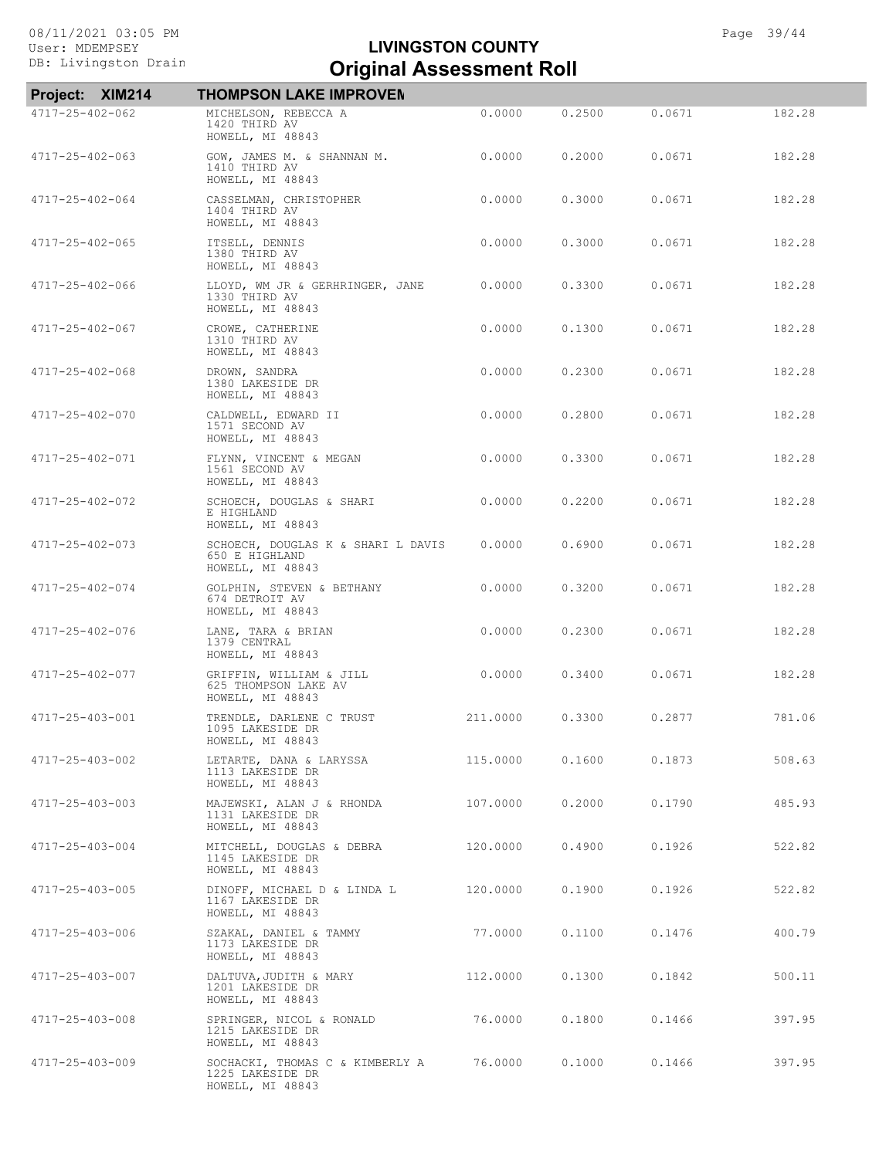| Project: XIM214 | <b>THOMPSON LAKE IMPROVEN</b>                                            |          |        |        |        |
|-----------------|--------------------------------------------------------------------------|----------|--------|--------|--------|
| 4717-25-402-062 | MICHELSON, REBECCA A<br>1420 THIRD AV<br>HOWELL, MI 48843                | 0.0000   | 0.2500 | 0.0671 | 182.28 |
| 4717-25-402-063 | GOW, JAMES M. & SHANNAN M.<br>1410 THIRD AV<br>HOWELL, MI 48843          | 0.0000   | 0.2000 | 0.0671 | 182.28 |
| 4717-25-402-064 | CASSELMAN, CHRISTOPHER<br>1404 THIRD AV<br>HOWELL, MI 48843              | 0.0000   | 0.3000 | 0.0671 | 182.28 |
| 4717-25-402-065 | ITSELL, DENNIS<br>1380 THIRD AV<br>HOWELL, MI 48843                      | 0.0000   | 0.3000 | 0.0671 | 182.28 |
| 4717-25-402-066 | LLOYD, WM JR & GERHRINGER, JANE<br>1330 THIRD AV<br>HOWELL, MI 48843     | 0.0000   | 0.3300 | 0.0671 | 182.28 |
| 4717-25-402-067 | CROWE, CATHERINE<br>1310 THIRD AV<br>HOWELL, MI 48843                    | 0.0000   | 0.1300 | 0.0671 | 182.28 |
| 4717-25-402-068 | DROWN, SANDRA<br>1380 LAKESIDE DR<br>HOWELL, MI 48843                    | 0.0000   | 0.2300 | 0.0671 | 182.28 |
| 4717-25-402-070 | CALDWELL, EDWARD II<br>1571 SECOND AV<br>HOWELL, MI 48843                | 0.0000   | 0.2800 | 0.0671 | 182.28 |
| 4717-25-402-071 | FLYNN, VINCENT & MEGAN<br>1561 SECOND AV<br>HOWELL, MI 48843             | 0.0000   | 0.3300 | 0.0671 | 182.28 |
| 4717-25-402-072 | SCHOECH, DOUGLAS & SHARI<br>E HIGHLAND<br>HOWELL, MI 48843               | 0.0000   | 0.2200 | 0.0671 | 182.28 |
| 4717-25-402-073 | SCHOECH, DOUGLAS K & SHARI L DAVIS<br>650 E HIGHLAND<br>HOWELL, MI 48843 | 0.0000   | 0.6900 | 0.0671 | 182.28 |
| 4717-25-402-074 | GOLPHIN, STEVEN & BETHANY<br>674 DETROIT AV<br>HOWELL, MI 48843          | 0.0000   | 0.3200 | 0.0671 | 182.28 |
| 4717-25-402-076 | LANE, TARA & BRIAN<br>1379 CENTRAL<br>HOWELL, MI 48843                   | 0.0000   | 0.2300 | 0.0671 | 182.28 |
| 4717-25-402-077 | GRIFFIN, WILLIAM & JILL<br>625 THOMPSON LAKE AV<br>HOWELL, MI 48843      | 0.0000   | 0.3400 | 0.0671 | 182.28 |
| 4717-25-403-001 | TRENDLE, DARLENE C TRUST<br>1095 LAKESIDE DR<br>HOWELL, MI 48843         | 211,0000 | 0.3300 | 0.2877 | 781.06 |
| 4717-25-403-002 | LETARTE, DANA & LARYSSA<br>1113 LAKESIDE DR<br>HOWELL, MI 48843          | 115,0000 | 0.1600 | 0.1873 | 508.63 |
| 4717-25-403-003 | MAJEWSKI, ALAN J & RHONDA<br>1131 LAKESIDE DR<br>HOWELL, MI 48843        | 107.0000 | 0.2000 | 0.1790 | 485.93 |
| 4717-25-403-004 | MITCHELL, DOUGLAS & DEBRA<br>1145 LAKESIDE DR<br>HOWELL, MI 48843        | 120.0000 | 0.4900 | 0.1926 | 522.82 |
| 4717-25-403-005 | DINOFF, MICHAEL D & LINDA L<br>1167 LAKESIDE DR<br>HOWELL, MI 48843      | 120,0000 | 0.1900 | 0.1926 | 522.82 |
| 4717-25-403-006 | SZAKAL, DANIEL & TAMMY<br>1173 LAKESIDE DR<br>HOWELL, MI 48843           | 77.0000  | 0.1100 | 0.1476 | 400.79 |
| 4717-25-403-007 | DALTUVA, JUDITH & MARY<br>1201 LAKESIDE DR<br>HOWELL, MI 48843           | 112.0000 | 0.1300 | 0.1842 | 500.11 |
| 4717-25-403-008 | SPRINGER, NICOL & RONALD<br>1215 LAKESIDE DR<br>HOWELL, MI 48843         | 76.0000  | 0.1800 | 0.1466 | 397.95 |
| 4717-25-403-009 | SOCHACKI, THOMAS C & KIMBERLY A<br>1225 LAKESIDE DR<br>HOWELL, MI 48843  | 76.0000  | 0.1000 | 0.1466 | 397.95 |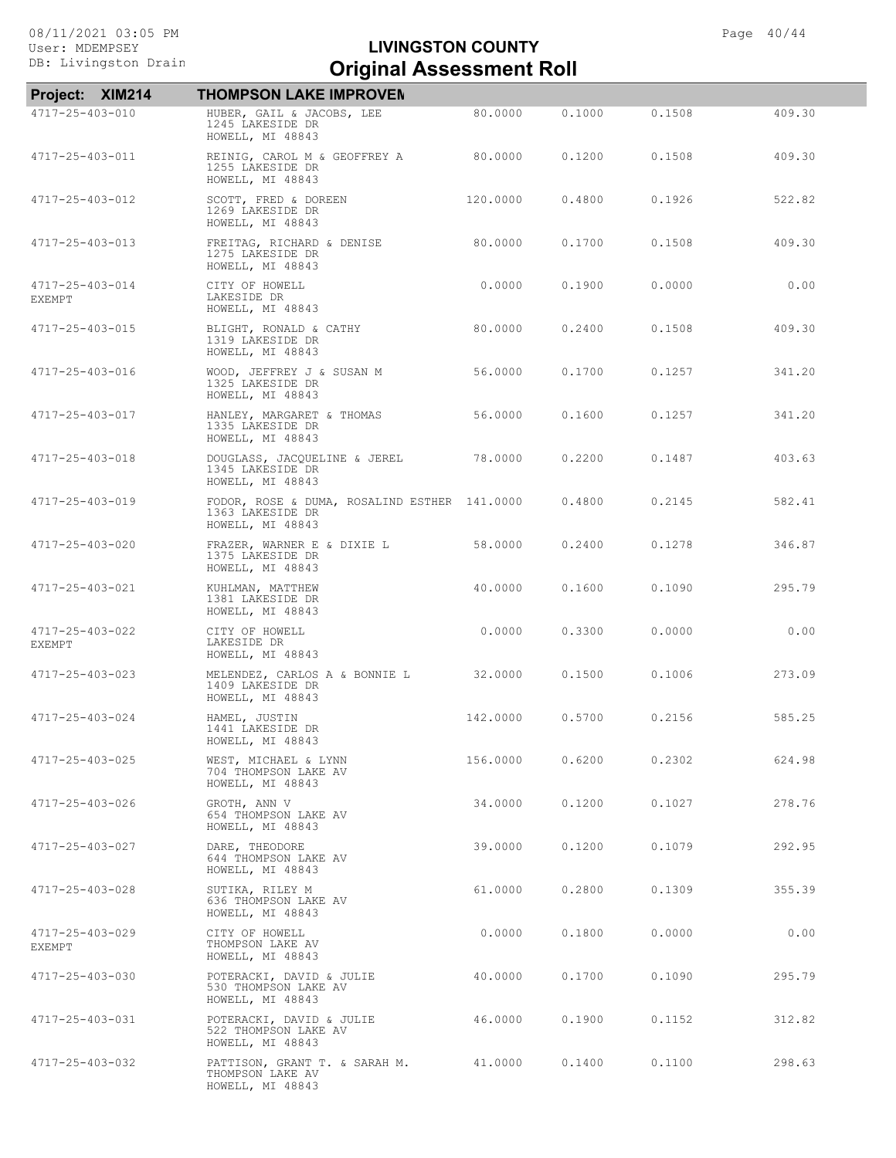| Project: XIM214           | <b>THOMPSON LAKE IMPROVEN</b>                                                        |          |        |        |        |
|---------------------------|--------------------------------------------------------------------------------------|----------|--------|--------|--------|
| 4717-25-403-010           | HUBER, GAIL & JACOBS, LEE<br>1245 LAKESIDE DR<br>HOWELL, MI 48843                    | 80.0000  | 0.1000 | 0.1508 | 409.30 |
| 4717-25-403-011           | REINIG, CAROL M & GEOFFREY A<br>1255 LAKESIDE DR<br>HOWELL, MI 48843                 | 80,0000  | 0.1200 | 0.1508 | 409.30 |
| 4717-25-403-012           | SCOTT, FRED & DOREEN<br>1269 LAKESIDE DR<br>HOWELL, MI 48843                         | 120,0000 | 0.4800 | 0.1926 | 522.82 |
| 4717-25-403-013           | FREITAG, RICHARD & DENISE<br>1275 LAKESIDE DR<br>HOWELL, MI 48843                    | 80,0000  | 0.1700 | 0.1508 | 409.30 |
| 4717-25-403-014<br>EXEMPT | CITY OF HOWELL<br>LAKESIDE DR<br>HOWELL, MI 48843                                    | 0.0000   | 0.1900 | 0.0000 | 0.00   |
| 4717-25-403-015           | BLIGHT, RONALD & CATHY<br>1319 LAKESIDE DR<br>HOWELL, MI 48843                       | 80,0000  | 0.2400 | 0.1508 | 409.30 |
| 4717-25-403-016           | WOOD, JEFFREY J & SUSAN M<br>1325 LAKESIDE DR<br>HOWELL, MI 48843                    | 56.0000  | 0.1700 | 0.1257 | 341.20 |
| 4717-25-403-017           | HANLEY, MARGARET & THOMAS<br>1335 LAKESIDE DR<br>HOWELL, MI 48843                    | 56.0000  | 0.1600 | 0.1257 | 341.20 |
| 4717-25-403-018           | DOUGLASS, JACQUELINE & JEREL<br>1345 LAKESIDE DR<br>HOWELL, MI 48843                 | 78,0000  | 0.2200 | 0.1487 | 403.63 |
| 4717-25-403-019           | FODOR, ROSE & DUMA, ROSALIND ESTHER 141.0000<br>1363 LAKESIDE DR<br>HOWELL, MI 48843 |          | 0.4800 | 0.2145 | 582.41 |
| 4717-25-403-020           | FRAZER, WARNER E & DIXIE L<br>1375 LAKESIDE DR<br>HOWELL, MI 48843                   | 58,0000  | 0.2400 | 0.1278 | 346.87 |
| 4717-25-403-021           | KUHLMAN, MATTHEW<br>1381 LAKESIDE DR<br>HOWELL, MI 48843                             | 40,0000  | 0.1600 | 0.1090 | 295.79 |
| 4717-25-403-022<br>EXEMPT | CITY OF HOWELL<br>LAKESIDE DR<br>HOWELL, MI 48843                                    | 0.0000   | 0.3300 | 0.0000 | 0.00   |
| 4717-25-403-023           | MELENDEZ, CARLOS A & BONNIE L<br>1409 LAKESIDE DR<br>HOWELL, MI 48843                | 32,0000  | 0.1500 | 0.1006 | 273.09 |
| 4717-25-403-024           | HAMEL, JUSTIN<br>1441 LAKESIDE DR<br>HOWELL, MI 48843                                | 142,0000 | 0.5700 | 0.2156 | 585.25 |
| 4717-25-403-025           | WEST, MICHAEL & LYNN<br>704 THOMPSON LAKE AV<br>HOWELL, MI 48843                     | 156.0000 | 0.6200 | 0.2302 | 624.98 |
| 4717-25-403-026           | GROTH, ANN V<br>654 THOMPSON LAKE AV<br>HOWELL, MI 48843                             | 34,0000  | 0.1200 | 0.1027 | 278.76 |
| 4717-25-403-027           | DARE, THEODORE<br>644 THOMPSON LAKE AV<br>HOWELL, MI 48843                           | 39.0000  | 0.1200 | 0.1079 | 292.95 |
| 4717-25-403-028           | SUTIKA, RILEY M<br>636 THOMPSON LAKE AV<br>HOWELL, MI 48843                          | 61,0000  | 0.2800 | 0.1309 | 355.39 |
| 4717-25-403-029<br>EXEMPT | CITY OF HOWELL<br>THOMPSON LAKE AV<br>HOWELL, MI 48843                               | 0.0000   | 0.1800 | 0.0000 | 0.00   |
| 4717-25-403-030           | POTERACKI, DAVID & JULIE<br>530 THOMPSON LAKE AV<br>HOWELL, MI 48843                 | 40.0000  | 0,1700 | 0.1090 | 295.79 |
| 4717-25-403-031           | POTERACKI, DAVID & JULIE<br>522 THOMPSON LAKE AV<br>HOWELL, MI 48843                 | 46.0000  | 0.1900 | 0.1152 | 312.82 |
| 4717-25-403-032           | PATTISON, GRANT T. & SARAH M.<br>THOMPSON LAKE AV<br>HOWELL, MI 48843                | 41.0000  | 0.1400 | 0.1100 | 298.63 |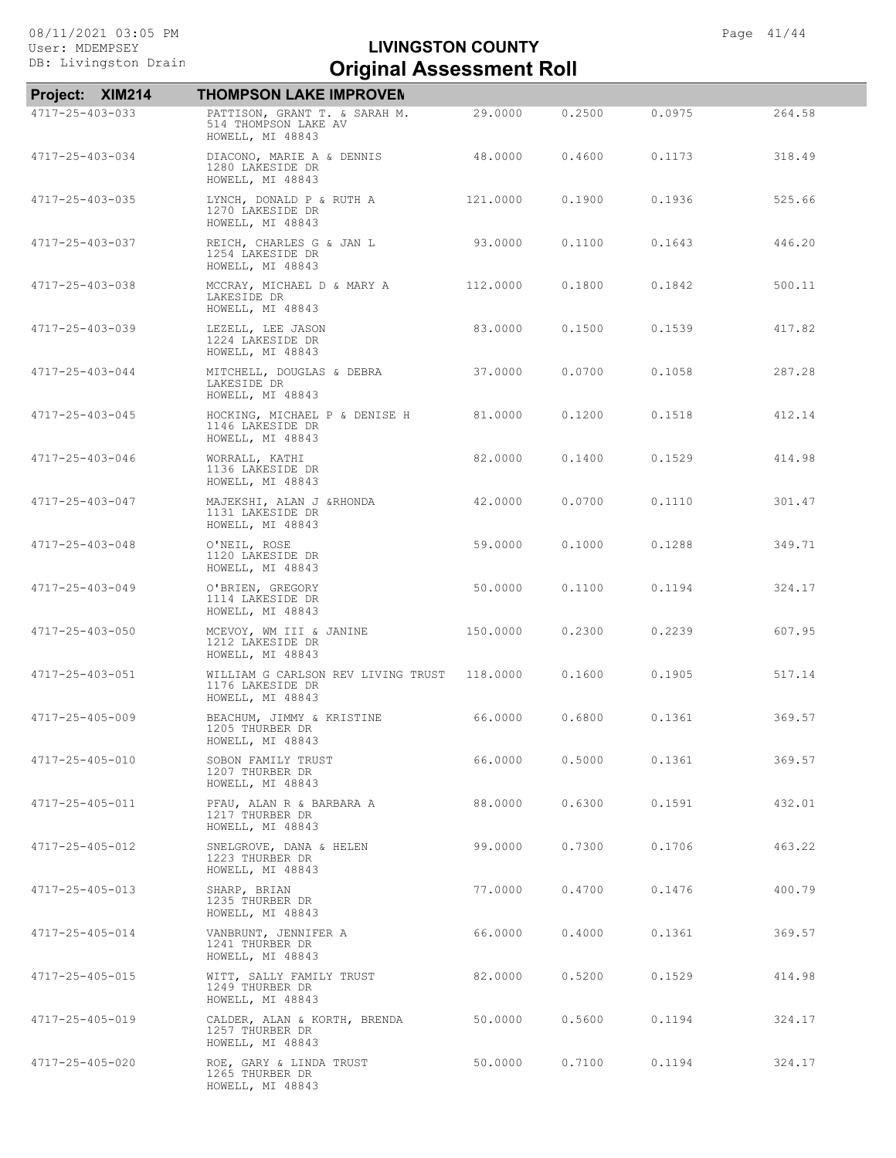| Project: XIM214         | <b>THOMPSON LAKE IMPROVEN</b>                                              |          |        |        |        |
|-------------------------|----------------------------------------------------------------------------|----------|--------|--------|--------|
| 4717-25-403-033         | PATTISON, GRANT T. & SARAH M.<br>514 THOMPSON LAKE AV<br>HOWELL, MI 48843  | 29,0000  | 0.2500 | 0.0975 | 264.58 |
| 4717-25-403-034         | DIACONO, MARIE A & DENNIS<br>1280 LAKESIDE DR<br>HOWELL, MI 48843          | 48,0000  | 0.4600 | 0.1173 | 318.49 |
| 4717-25-403-035         | LYNCH, DONALD P & RUTH A<br>1270 LAKESIDE DR<br>HOWELL, MI 48843           | 121,0000 | 0.1900 | 0.1936 | 525.66 |
| 4717-25-403-037         | REICH, CHARLES G & JAN L<br>1254 LAKESIDE DR<br>HOWELL, MI 48843           | 93.0000  | 0.1100 | 0.1643 | 446.20 |
| 4717-25-403-038         | MCCRAY, MICHAEL D & MARY A<br>LAKESIDE DR<br>HOWELL, MI 48843              | 112,0000 | 0.1800 | 0.1842 | 500.11 |
| 4717-25-403-039         | LEZELL, LEE JASON<br>1224 LAKESIDE DR<br>HOWELL, MI 48843                  | 83,0000  | 0.1500 | 0.1539 | 417.82 |
| 4717-25-403-044         | MITCHELL, DOUGLAS & DEBRA<br>LAKESIDE DR<br>HOWELL, MI 48843               | 37.0000  | 0.0700 | 0.1058 | 287.28 |
| 4717-25-403-045         | HOCKING, MICHAEL P & DENISE H<br>1146 LAKESIDE DR<br>HOWELL, MI 48843      | 81,0000  | 0.1200 | 0.1518 | 412.14 |
| $4717 - 25 - 403 - 046$ | WORRALL, KATHI<br>1136 LAKESIDE DR<br>HOWELL, MI 48843                     | 82,0000  | 0.1400 | 0.1529 | 414.98 |
| 4717-25-403-047         | MAJEKSHI, ALAN J & RHONDA<br>1131 LAKESIDE DR<br>HOWELL, MI 48843          | 42.0000  | 0.0700 | 0.1110 | 301.47 |
| 4717-25-403-048         | O'NEIL, ROSE<br>1120 LAKESIDE DR<br>HOWELL, MI 48843                       | 59.0000  | 0.1000 | 0.1288 | 349.71 |
| 4717-25-403-049         | O'BRIEN, GREGORY<br>1114 LAKESIDE DR<br>HOWELL, MI 48843                   | 50.0000  | 0.1100 | 0.1194 | 324.17 |
| 4717-25-403-050         | MCEVOY, WM III & JANINE<br>1212 LAKESIDE DR<br>HOWELL, MI 48843            | 150.0000 | 0.2300 | 0.2239 | 607.95 |
| 4717-25-403-051         | WILLIAM G CARLSON REV LIVING TRUST<br>1176 LAKESIDE DR<br>HOWELL, MI 48843 | 118,0000 | 0.1600 | 0.1905 | 517.14 |
| 4717-25-405-009         | BEACHUM, JIMMY & KRISTINE<br>1205 THURBER DR<br>HOWELL, MI 48843           | 66.0000  | 0.6800 | 0.1361 | 369.57 |
| 4717-25-405-010         | SOBON FAMILY TRUST<br>1207 THURBER DR<br>HOWELL, MI 48843                  | 66.0000  | 0.5000 | 0.1361 | 369.57 |
| 4717-25-405-011         | PFAU, ALAN R & BARBARA A<br>1217 THURBER DR<br>HOWELL, MI 48843            | 88.0000  | 0.6300 | 0.1591 | 432.01 |
| 4717-25-405-012         | SNELGROVE, DANA & HELEN<br>1223 THURBER DR<br>HOWELL, MI 48843             | 99.0000  | 0.7300 | 0.1706 | 463.22 |
| 4717-25-405-013         | SHARP, BRIAN<br>1235 THURBER DR<br>HOWELL, MI 48843                        | 77.0000  | 0.4700 | 0.1476 | 400.79 |
| 4717-25-405-014         | VANBRUNT, JENNIFER A<br>1241 THURBER DR<br>HOWELL, MI 48843                | 66.0000  | 0.4000 | 0.1361 | 369.57 |
| 4717-25-405-015         | WITT, SALLY FAMILY TRUST<br>1249 THURBER DR<br>HOWELL, MI 48843            | 82.0000  | 0.5200 | 0.1529 | 414.98 |
| 4717-25-405-019         | CALDER, ALAN & KORTH, BRENDA<br>1257 THURBER DR<br>HOWELL, MI 48843        | 50,0000  | 0.5600 | 0.1194 | 324.17 |
| 4717-25-405-020         | ROE, GARY & LINDA TRUST<br>1265 THURBER DR<br>HOWELL, MI 48843             | 50.0000  | 0.7100 | 0.1194 | 324.17 |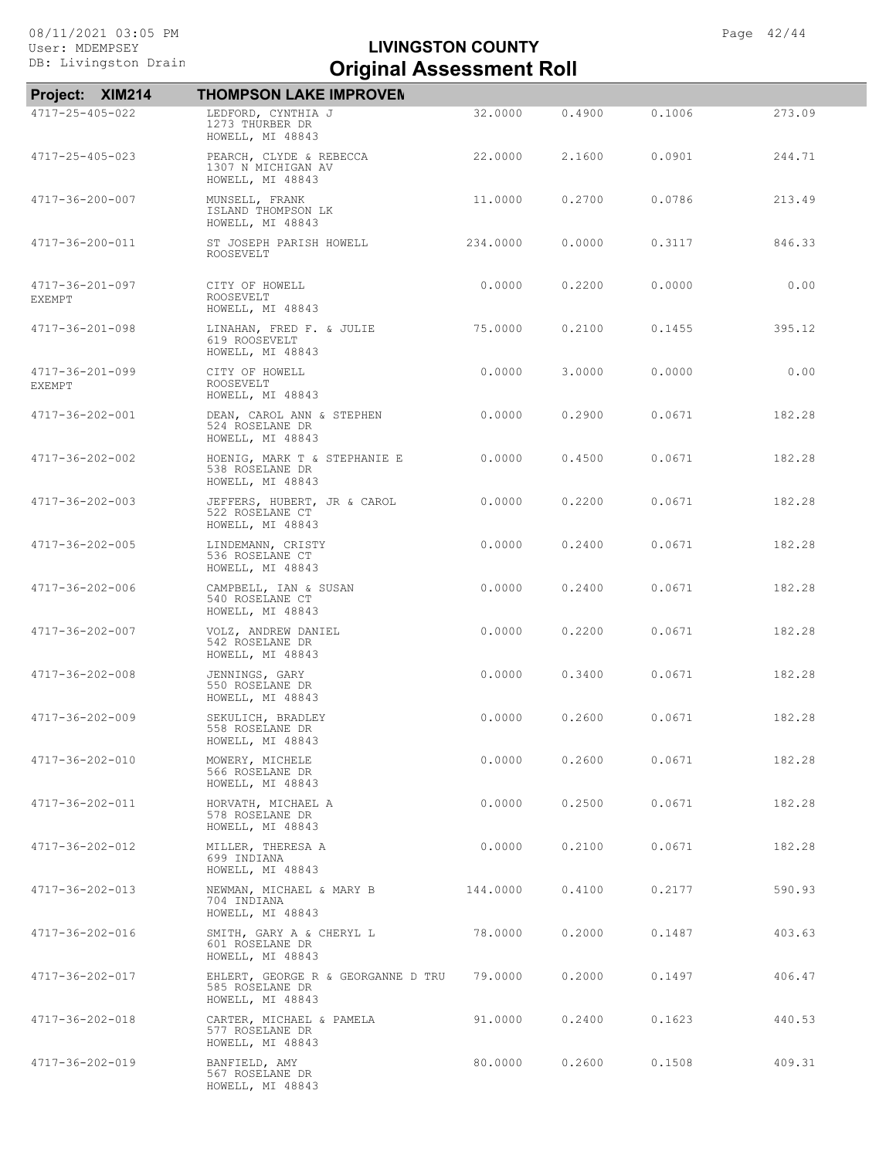| Project: XIM214                  | <b>THOMPSON LAKE IMPROVEN</b>                                             |          |        |        |        |
|----------------------------------|---------------------------------------------------------------------------|----------|--------|--------|--------|
| 4717-25-405-022                  | LEDFORD, CYNTHIA J<br>1273 THURBER DR<br>HOWELL, MI 48843                 | 32,0000  | 0.4900 | 0.1006 | 273.09 |
| 4717-25-405-023                  | PEARCH, CLYDE & REBECCA<br>1307 N MICHIGAN AV<br>HOWELL, MI 48843         | 22.0000  | 2.1600 | 0.0901 | 244.71 |
| 4717-36-200-007                  | MUNSELL, FRANK<br>ISLAND THOMPSON LK<br>HOWELL, MI 48843                  | 11,0000  | 0.2700 | 0.0786 | 213.49 |
| 4717-36-200-011                  | ST JOSEPH PARISH HOWELL<br>ROOSEVELT                                      | 234,0000 | 0.0000 | 0.3117 | 846.33 |
| 4717-36-201-097<br><b>EXEMPT</b> | CITY OF HOWELL<br>ROOSEVELT<br>HOWELL, MI 48843                           | 0.0000   | 0.2200 | 0.0000 | 0.00   |
| 4717-36-201-098                  | LINAHAN, FRED F. & JULIE<br>619 ROOSEVELT<br>HOWELL, MI 48843             | 75.0000  | 0.2100 | 0.1455 | 395.12 |
| 4717-36-201-099<br><b>EXEMPT</b> | CITY OF HOWELL<br>ROOSEVELT<br>HOWELL, MI 48843                           | 0.0000   | 3.0000 | 0.0000 | 0.00   |
| 4717-36-202-001                  | DEAN, CAROL ANN & STEPHEN<br>524 ROSELANE DR<br>HOWELL, MI 48843          | 0.0000   | 0.2900 | 0.0671 | 182.28 |
| 4717-36-202-002                  | HOENIG, MARK T & STEPHANIE E<br>538 ROSELANE DR<br>HOWELL, MI 48843       | 0.0000   | 0.4500 | 0.0671 | 182.28 |
| 4717-36-202-003                  | JEFFERS, HUBERT, JR & CAROL<br>522 ROSELANE CT<br>HOWELL, MI 48843        | 0.0000   | 0.2200 | 0.0671 | 182.28 |
| 4717-36-202-005                  | LINDEMANN, CRISTY<br>536 ROSELANE CT<br>HOWELL, MI 48843                  | 0.0000   | 0.2400 | 0.0671 | 182.28 |
| 4717-36-202-006                  | CAMPBELL, IAN & SUSAN<br>540 ROSELANE CT<br>HOWELL, MI 48843              | 0.0000   | 0.2400 | 0.0671 | 182.28 |
| 4717-36-202-007                  | VOLZ, ANDREW DANIEL<br>542 ROSELANE DR<br>HOWELL, MI 48843                | 0.0000   | 0.2200 | 0.0671 | 182.28 |
| 4717-36-202-008                  | JENNINGS, GARY<br>550 ROSELANE DR<br>HOWELL, MI 48843                     | 0.0000   | 0.3400 | 0.0671 | 182.28 |
| 4717-36-202-009                  | SEKULICH, BRADLEY<br>558 ROSELANE DR<br>HOWELL, MI 48843                  | 0.0000   | 0.2600 | 0.0671 | 182.28 |
| 4717-36-202-010                  | MOWERY, MICHELE<br>566 ROSELANE DR<br>HOWELL, MI 48843                    | 0.0000   | 0.2600 | 0.0671 | 182.28 |
| 4717-36-202-011                  | HORVATH, MICHAEL A<br>578 ROSELANE DR<br>HOWELL, MI 48843                 | 0.0000   | 0.2500 | 0.0671 | 182.28 |
| 4717-36-202-012                  | MILLER, THERESA A<br>699 INDIANA<br>HOWELL, MI 48843                      | 0.0000   | 0.2100 | 0.0671 | 182.28 |
| $4717 - 36 - 202 - 013$          | NEWMAN, MICHAEL & MARY B<br>704 INDIANA<br>HOWELL, MI 48843               | 144.0000 | 0.4100 | 0.2177 | 590.93 |
| 4717-36-202-016                  | SMITH, GARY A & CHERYL L<br>601 ROSELANE DR<br>HOWELL, MI 48843           | 78.0000  | 0.2000 | 0.1487 | 403.63 |
| 4717-36-202-017                  | EHLERT, GEORGE R & GEORGANNE D TRU<br>585 ROSELANE DR<br>HOWELL, MI 48843 | 79.0000  | 0.2000 | 0.1497 | 406.47 |
| 4717-36-202-018                  | CARTER, MICHAEL & PAMELA<br>577 ROSELANE DR<br>HOWELL, MI 48843           | 91,0000  | 0.2400 | 0.1623 | 440.53 |
| 4717-36-202-019                  | BANFIELD, AMY<br>567 ROSELANE DR<br>HOWELL, MI 48843                      | 80.0000  | 0.2600 | 0.1508 | 409.31 |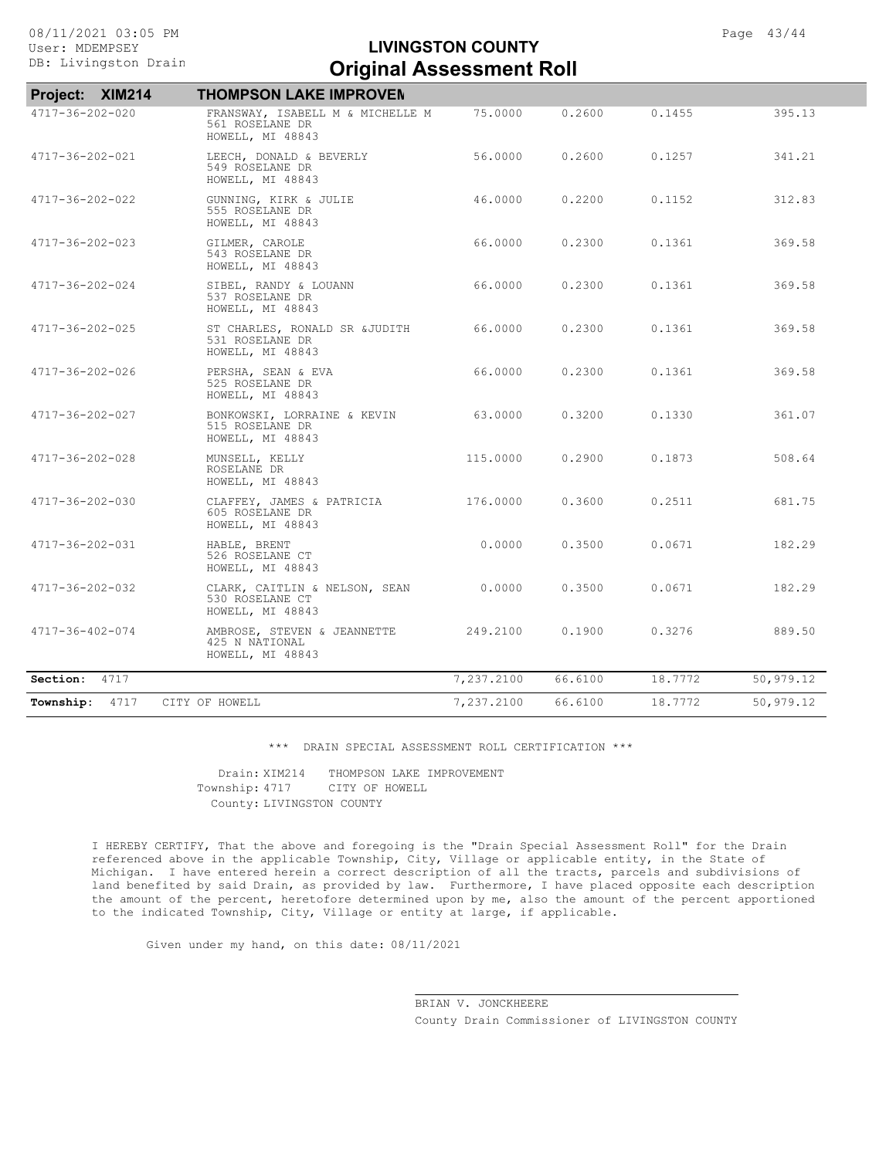| Project: XIM214         | <b>THOMPSON LAKE IMPROVEN</b>                                           |            |         |         |           |
|-------------------------|-------------------------------------------------------------------------|------------|---------|---------|-----------|
| $4717 - 36 - 202 - 020$ | FRANSWAY, ISABELL M & MICHELLE M<br>561 ROSELANE DR<br>HOWELL, MI 48843 | 75.0000    | 0.2600  | 0.1455  | 395.13    |
| 4717-36-202-021         | LEECH, DONALD & BEVERLY<br>549 ROSELANE DR<br>HOWELL, MI 48843          | 56,0000    | 0.2600  | 0.1257  | 341.21    |
| 4717-36-202-022         | GUNNING, KIRK & JULIE<br>555 ROSELANE DR<br>HOWELL, MI 48843            | 46.0000    | 0.2200  | 0.1152  | 312.83    |
| 4717-36-202-023         | GILMER, CAROLE<br>543 ROSELANE DR<br>HOWELL, MI 48843                   | 66,0000    | 0.2300  | 0.1361  | 369.58    |
| 4717-36-202-024         | SIBEL, RANDY & LOUANN<br>537 ROSELANE DR<br>HOWELL, MI 48843            | 66.0000    | 0.2300  | 0.1361  | 369.58    |
| 4717-36-202-025         | ST CHARLES, RONALD SR & JUDITH<br>531 ROSELANE DR<br>HOWELL, MI 48843   | 66,0000    | 0.2300  | 0.1361  | 369.58    |
| 4717-36-202-026         | PERSHA, SEAN & EVA<br>525 ROSELANE DR<br>HOWELL, MI 48843               | 66.0000    | 0.2300  | 0.1361  | 369.58    |
| 4717-36-202-027         | BONKOWSKI, LORRAINE & KEVIN<br>515 ROSELANE DR<br>HOWELL, MI 48843      | 63.0000    | 0.3200  | 0.1330  | 361.07    |
| 4717-36-202-028         | MUNSELL, KELLY<br>ROSELANE DR<br>HOWELL, MI 48843                       | 115,0000   | 0.2900  | 0.1873  | 508.64    |
| 4717-36-202-030         | CLAFFEY, JAMES & PATRICIA<br>605 ROSELANE DR<br>HOWELL, MI 48843        | 176.0000   | 0.3600  | 0.2511  | 681.75    |
| 4717-36-202-031         | HABLE, BRENT<br>526 ROSELANE CT<br>HOWELL, MI 48843                     | 0.0000     | 0.3500  | 0.0671  | 182.29    |
| 4717-36-202-032         | CLARK, CAITLIN & NELSON, SEAN<br>530 ROSELANE CT<br>HOWELL, MI 48843    | 0.0000     | 0.3500  | 0.0671  | 182.29    |
| 4717-36-402-074         | AMBROSE, STEVEN & JEANNETTE<br>425 N NATIONAL<br>HOWELL, MI 48843       | 249.2100   | 0.1900  | 0.3276  | 889.50    |
| 4717<br>Section:        |                                                                         | 7,237.2100 | 66.6100 | 18.7772 | 50,979.12 |
| 4717<br>Township:       | CITY OF HOWELL                                                          | 7,237.2100 | 66.6100 | 18.7772 | 50,979.12 |

\*\*\* DRAIN SPECIAL ASSESSMENT ROLL CERTIFICATION \*\*\*

County: LIVINGSTON COUNTY Township: 4717 CITY OF HOWELL Drain: XIM214 THOMPSON LAKE IMPROVEMENT

I HEREBY CERTIFY, That the above and foregoing is the "Drain Special Assessment Roll" for the Drain referenced above in the applicable Township, City, Village or applicable entity, in the State of Michigan. I have entered herein a correct description of all the tracts, parcels and subdivisions of land benefited by said Drain, as provided by law. Furthermore, I have placed opposite each description the amount of the percent, heretofore determined upon by me, also the amount of the percent apportioned to the indicated Township, City, Village or entity at large, if applicable.

Given under my hand, on this date: 08/11/2021

County Drain Commissioner of LIVINGSTON COUNTY BRIAN V. JONCKHEERE